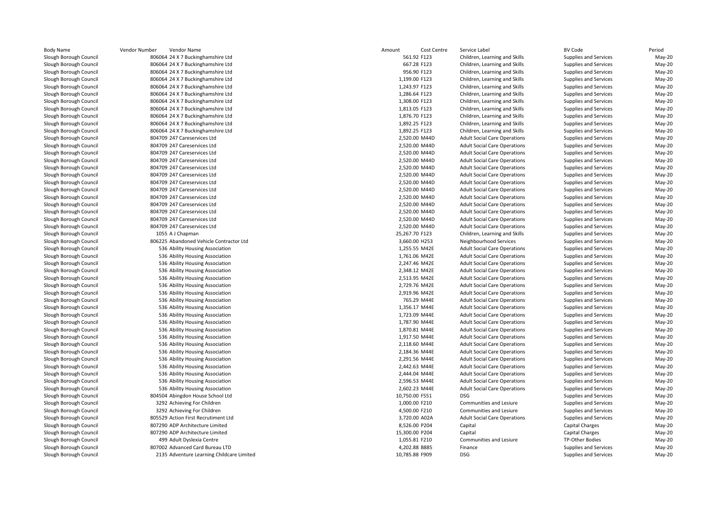|                           | Vendor Number<br>Vendor Name              | Cost Centre<br>Amount | Service Label                       | <b>BV Code</b>               | Period   |
|---------------------------|-------------------------------------------|-----------------------|-------------------------------------|------------------------------|----------|
| ough Council <sup>.</sup> | 806064 24 X 7 Buckinghamshire Ltd         | 561.92 F123           | Children, Learning and Skills       | Supplies and Services        | May-20   |
| ough Council              | 806064 24 X 7 Buckinghamshire Ltd         | 667.28 F123           | Children, Learning and Skills       | <b>Supplies and Services</b> | May-20   |
| ough Council              | 806064 24 X 7 Buckinghamshire Ltd         | 956.90 F123           | Children, Learning and Skills       | Supplies and Services        | May-20   |
| ough Council <sup>-</sup> | 806064 24 X 7 Buckinghamshire Ltd         | 1,199.00 F123         | Children, Learning and Skills       | Supplies and Services        | May-20   |
| ough Council <sup>.</sup> | 806064 24 X 7 Buckinghamshire Ltd         | 1,243.97 F123         | Children, Learning and Skills       | Supplies and Services        | May-20   |
| ough Council              | 806064 24 X 7 Buckinghamshire Ltd         | 1,286.64 F123         | Children, Learning and Skills       | Supplies and Services        | May-20   |
| ough Council <sup>-</sup> | 806064 24 X 7 Buckinghamshire Ltd         | 1,308.00 F123         | Children, Learning and Skills       | Supplies and Services        | May-20   |
| ough Council <sup>.</sup> | 806064 24 X 7 Buckinghamshire Ltd         | 1,813.05 F123         | Children, Learning and Skills       | Supplies and Services        | May-20   |
| ough Council              | 806064 24 X 7 Buckinghamshire Ltd         | 1,876.70 F123         | Children, Learning and Skills       | Supplies and Services        | May-20   |
| ough Council <sup>-</sup> | 806064 24 X 7 Buckinghamshire Ltd         | 1,892.25 F123         | Children, Learning and Skills       | Supplies and Services        | May-20   |
| ough Council <sup>.</sup> | 806064 24 X 7 Buckinghamshire Ltd         | 1,892.25 F123         | Children, Learning and Skills       | Supplies and Services        | May-20   |
| ough Council              | 804709 247 Careservices Ltd               | 2,520.00 M44D         | <b>Adult Social Care Operations</b> | Supplies and Services        | May-20   |
| ough Council <sup>-</sup> | 804709 247 Careservices Ltd               | 2,520.00 M44D         | <b>Adult Social Care Operations</b> | Supplies and Services        | May-20   |
| ough Council <sup>.</sup> | 804709 247 Careservices Ltd               | 2,520.00 M44D         | <b>Adult Social Care Operations</b> | Supplies and Services        | May-20   |
| ough Council              | 804709 247 Careservices Ltd               | 2,520.00 M44D         | <b>Adult Social Care Operations</b> | Supplies and Services        | $May-20$ |
| ough Council <sup>-</sup> | 804709 247 Careservices Ltd               | 2,520.00 M44D         | <b>Adult Social Care Operations</b> | Supplies and Services        | May-20   |
| ough Council <sup>.</sup> | 804709 247 Careservices Ltd               | 2,520.00 M44D         | <b>Adult Social Care Operations</b> | Supplies and Services        | May-20   |
| ough Council              | 804709 247 Careservices Ltd               | 2,520.00 M44D         | <b>Adult Social Care Operations</b> | Supplies and Services        | $May-20$ |
| ough Council <sup>.</sup> | 804709 247 Careservices Ltd               | 2,520.00 M44D         | <b>Adult Social Care Operations</b> | Supplies and Services        | May-20   |
| ough Council <sup>.</sup> | 804709 247 Careservices Ltd               | 2,520.00 M44D         | <b>Adult Social Care Operations</b> | Supplies and Services        | May-20   |
| ough Council              | 804709 247 Careservices Ltd               | 2,520.00 M44D         | <b>Adult Social Care Operations</b> | Supplies and Services        | $May-20$ |
| ough Council <sup>-</sup> | 804709 247 Careservices Ltd               | 2,520.00 M44D         | <b>Adult Social Care Operations</b> | Supplies and Services        | May-20   |
| ough Council <sup>.</sup> | 804709 247 Careservices Ltd               | 2,520.00 M44D         | <b>Adult Social Care Operations</b> | Supplies and Services        | May-20   |
| ough Council              | 804709 247 Careservices Ltd               | 2,520.00 M44D         | <b>Adult Social Care Operations</b> | Supplies and Services        | $May-20$ |
| ough Council <sup>-</sup> | 1055 A J Chapman                          | 25,267.70 F123        | Children, Learning and Skills       | Supplies and Services        | May-20   |
| ough Council <sup>.</sup> | 806225 Abandoned Vehicle Contractor Ltd   | 3,660.00 H253         | Neighbourhood Services              | Supplies and Services        | May-20   |
| ough Council              | 536 Ability Housing Association           | 1,255.55 M42E         | <b>Adult Social Care Operations</b> | Supplies and Services        | $May-20$ |
| ough Council <sup>-</sup> | 536 Ability Housing Association           | 1,761.06 M42E         | <b>Adult Social Care Operations</b> | Supplies and Services        | May-20   |
| ough Council <sup>.</sup> | 536 Ability Housing Association           | 2,247.46 M42E         | <b>Adult Social Care Operations</b> | Supplies and Services        | May-20   |
| ough Council              | 536 Ability Housing Association           | 2,348.12 M42E         | <b>Adult Social Care Operations</b> | Supplies and Services        | $May-20$ |
| ough Council <sup>-</sup> | 536 Ability Housing Association           | 2,513.95 M42E         | <b>Adult Social Care Operations</b> | Supplies and Services        | May-20   |
| ough Council <sup>.</sup> | 536 Ability Housing Association           | 2,729.76 M42E         | <b>Adult Social Care Operations</b> | Supplies and Services        | May-20   |
| ough Council              | 536 Ability Housing Association           | 2,919.96 M42E         | <b>Adult Social Care Operations</b> | Supplies and Services        | $May-20$ |
| ough Council <sup>-</sup> | 536 Ability Housing Association           | 765.29 M44E           | <b>Adult Social Care Operations</b> | Supplies and Services        | May-20   |
| ough Council <sup>-</sup> | 536 Ability Housing Association           | 1,356.17 M44E         | <b>Adult Social Care Operations</b> | Supplies and Services        | May-20   |
| ough Council              | 536 Ability Housing Association           | 1,723.09 M44E         | <b>Adult Social Care Operations</b> | Supplies and Services        | $May-20$ |
| ough Council              | 536 Ability Housing Association           | 1,787.90 M44E         | <b>Adult Social Care Operations</b> | Supplies and Services        | May-20   |
| ough Council <sup>-</sup> | 536 Ability Housing Association           | 1,870.81 M44E         | <b>Adult Social Care Operations</b> | Supplies and Services        | May-20   |
| ough Council              | 536 Ability Housing Association           | 1,917.50 M44E         | <b>Adult Social Care Operations</b> | <b>Supplies and Services</b> | May-20   |
| ough Council <sup>-</sup> | 536 Ability Housing Association           | 2,118.60 M44E         | <b>Adult Social Care Operations</b> | Supplies and Services        | May-20   |
| ough Council <sup>-</sup> | 536 Ability Housing Association           | 2,184.36 M44E         | <b>Adult Social Care Operations</b> | Supplies and Services        | May-20   |
| ough Council              | 536 Ability Housing Association           | 2,291.56 M44E         | <b>Adult Social Care Operations</b> | Supplies and Services        | May-20   |
|                           | 536 Ability Housing Association           | 2,442.63 M44E         | <b>Adult Social Care Operations</b> |                              | May-20   |
| ough Council <sup>-</sup> |                                           |                       |                                     | Supplies and Services        |          |
| ough Council <sup>-</sup> | 536 Ability Housing Association           | 2,444.04 M44E         | <b>Adult Social Care Operations</b> | Supplies and Services        | May-20   |
| ough Council              | 536 Ability Housing Association           | 2,596.53 M44E         | <b>Adult Social Care Operations</b> | Supplies and Services        | $May-20$ |
| ough Council <sup>-</sup> | 536 Ability Housing Association           | 2,602.23 M44E         | <b>Adult Social Care Operations</b> | Supplies and Services        | May-20   |
| ough Council <sup>-</sup> | 804504 Abingdon House School Ltd          | 10,750.00 F551        | <b>DSG</b>                          | Supplies and Services        | May-20   |
| ough Council              | 3292 Achieving For Children               | 1,000.00 F210         | Communities and Lesiure             | Supplies and Services        | May-20   |
| ough Council <sup>-</sup> | 3292 Achieving For Children               | 4,500.00 F210         | Communities and Lesiure             | Supplies and Services        | May-20   |
| ough Council <sup>-</sup> | 805529 Action First Recrutiment Ltd       | 3,720.00 A02A         | <b>Adult Social Care Operations</b> | Supplies and Services        | May-20   |
| ough Council <sup>.</sup> | 807290 ADP Architecture Limited           | 8,526.00 P204         | Capital                             | <b>Capital Charges</b>       | May-20   |
| ough Council              | 807290 ADP Architecture Limited           | 15,300.00 P204        | Capital                             | <b>Capital Charges</b>       | May-20   |
| ough Council <sup>-</sup> | 499 Adult Dyslexia Centre                 | 1,055.81 F210         | Communities and Lesiure             | TP-Other Bodies              | May-20   |
| ough Council <sup>.</sup> | 807002 Advanced Card Bureau LTD           | 4,202.88 B885         | Finance                             | Supplies and Services        | May-20   |
| ough Council              | 2135 Adventure Learning Childcare Limited | 10,785.88 F909        | <b>DSG</b>                          | Supplies and Services        | May-20   |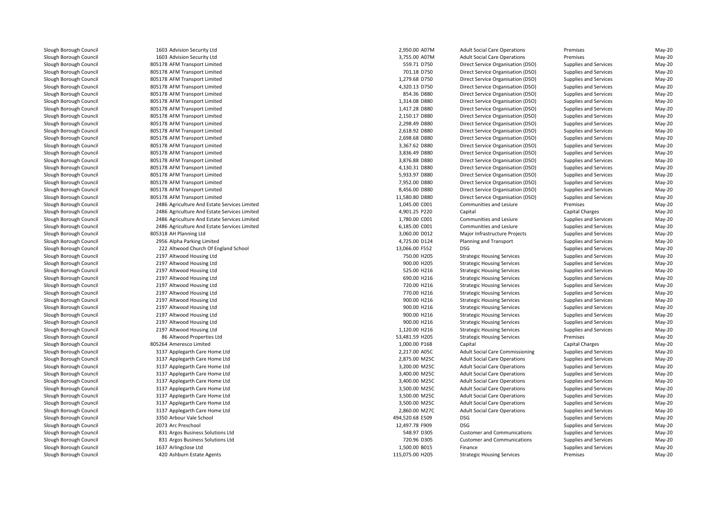1603 Advision Security Ltd 2,950.00 A07M 1603 Advision Security Ltd 3,755.00 A07M 805178 AFM Transport Limited 805178 AFM Transport Limited 805178 AFM Transport Limited 805178 AFM Transport Limited 805178 AFM Transport Limited 805178 AFM Transport Limited 805178 AFM Transport Limited 805178 AFM Transport Limited 805178 AFM Transport Limited 805178 AFM Transport Limited 805178 AFM Transport Limited 805178 AFM Transport Limited 805178 AFM Transport Limited 805178 AFM Transport Limited 805178 AFM Transport Limited 805178 AFM Transport Limited 805178 AFM Transport Limited 805178 AFM Transport Limited 805178 AFM Transport Limited 2486 Agriculture And Estate Services Limited 2486 Agriculture And Estate Services Limited 2486 Agriculture And Estate Services Limited 2486 Agriculture And Estate Services Limited 805318 AH Planning Ltd 2956 Alpha Parking Limited13,066.00 F552 DSG 222 Altwood Church Of England School 13,066.00 F552 DSG 2012 DSG 2013 2197 Altwood Housing Ltd 2197 Altwood Housing Ltd 2197 Altwood Housing Ltd 2197 Altwood Housing Ltd 2197 Altwood Housing Ltd 2197 Altwood Housing Ltd 2197 Altwood Housing Ltd 2197 Altwood Housing Ltd 2197 Altwood Housing Ltd 2197 Altwood Housing Ltd 2197 Altwood Housing Ltd 8686 Altwood Properties Ltd 805264 Ameresco Limited 3137 Applegarth Care Home Ltd 3137 Applegarth Care Home Ltd 3137 Applegarth Care Home Ltd 3137 Applegarth Care Home Ltd 3137 Applegarth Care Home Ltd 3137 Applegarth Care Home Ltd 3137 Applegarth Care Home Ltd 3137 Applegarth Care Home Ltd 3137 Applegarth Care Home Ltd3350 Arbour Vale School 0 Arbour Vale School **DSG 2008 Proposed Arbour Vale School Arbour Vale School DSG** 2014 2073 Arc Preschool Arc Preschool 2008 DSG 2009 DSG 2009 DSG 2009 DSG 2009 DSG 2009 DSG 2009 DSG 2009 DSG 2009 DSG 2009 DSG 2009 DSG 2009 DSG 2009 DSG 2009 DSG 2009 DSG 2009 DSG 2009 DSG 2009 DSG 2009 DSG 2009 DSG 2009 DSG 2009 DSG 2009 DSG 2 831 Argos Business Solutions Ltd 831 Argos Business Solutions Ltd 1637 Arlingclose Ltd420 Ashburn Estate Agents

|                | 2,950.00 A07M   | Ad   |
|----------------|-----------------|------|
|                | 3,755.00 A07M   | Ad   |
|                | 559.71 D750     | Dir  |
|                | 701.18 D750     | Dir  |
|                | 1,279.68 D750   | Dir  |
|                | 4,320.13 D750   | Dir  |
|                | 854.36 D880     | Dir  |
|                | 1,314.08 D880   | Dir  |
|                | 1,417.28 D880   | Dir  |
|                | 2,150.17 D880   | Dir  |
|                | 2,298.49 D880   | Dir  |
|                | 2,618.92 D880   | Dir  |
|                | 2,698.68 D880   | Dir  |
|                | 3,367.62 D880   | Dir  |
|                | 3,836.49 D880   | Dir  |
|                | 3,876.88 D880   | Dir  |
|                | 4,130.31 D880   | Dir  |
|                | 5,933.97 D880   | Dir  |
|                | 7,952.00 D880   | Dir  |
|                | 8,456.00 D880   | Dir  |
|                | 11,580.80 D880  | Dir  |
| rvices Limited | 1,045.00 C001   | Co   |
| rvices Limited | 4,901.25 P220   | Ca   |
| rvices Limited | 1,780.00 C001   | Co   |
| rvices Limited | 6,185.00 C001   | Co   |
|                | 3,060.00 D012   | M    |
|                | 4,725.00 D124   | Pla  |
| nd School      | 13,066.00 F552  | DS   |
|                | 750.00 H205     | Str  |
|                | 900.00 H205     | Str  |
|                | 525.00 H216     | Str  |
|                | 690.00 H216     | Str  |
|                | 720.00 H216     | Str  |
|                | 770.00 H216     | Str  |
|                | 900.00 H216     | Str  |
|                | 900.00 H216     | Str  |
|                | 900.00 H216     | Str  |
|                | 900.00 H216     | Str  |
|                | 1,120.00 H216   | Str  |
|                | 53,481.59 H205  | Str  |
|                | 1,000.00 P168   | Ca   |
| d              | 2,217.00 A05C   | Ad   |
| d              |                 | Ad   |
| d              | 2,875.00 M25C   |      |
|                | 3,200.00 M25C   | Ad   |
| d<br>d         | 3,400.00 M25C   | Ad   |
|                | 3,400.00 M25C   | Ad   |
| d              | 3,500.00 M25C   | Ad   |
| d              | 3,500.00 M25C   | Ad   |
| d              | 3,500.00 M25C   | Ad   |
| d              | 2,860.00 M27C   | Ad   |
|                | 494,520.68 E509 | DS   |
|                | 12,497.78 F909  | DS   |
| Ltd            | 548.97 D305     | Cu   |
| Ltd            | 720.96 D305     | Cu   |
|                | 1,500.00 B015   | Fir  |
|                | 115 075 00 H205 | $tr$ |

Iult Social Care Operations **Advices 19 and Conventions** May-20 May-20<br> **Advices Advices Premises Advices May-20**<br>
Premises May-20 Iult Social Care Operations **Fremises** Premises Advictions May-20<br>1942- Prechault Supplies and Services May-20 Fect Service Organisation (DSO) Supplies and Services May-20<br>1972 Prect Service Organisation (DSO) Supplies and Services 701.18 D750 Direct Service Organisation (DSO) Supplies and Services May-20<br>1,279.68 D750 Direct Service Organisation (DSO) Supplies and Services May-20 1,279.68 D750 Direct Service Organisation (DSO) Supplies and Services May-20<br>1992 A.320.13 D750 Direct Service Organisation (DSO) Supplies and Services May-20 4,320.13 rect Service Organisation (DSO) Supplies and Services<br>1.320.13 Prect Service Organisation (DSO) Supplies and Services May-20 854.36 D880 Direct Service Organisation (DSO) Supplies and Services May-20 May-20<br>1.314.08 D880 Direct Service Organisation (DSO) Supplies and Services May-20 1,314.08 D880 Direct Service Organisation (DSO) Supplies and Services May-20 1,417.28 D880 Direct Service Organisation (DSO) Supplies and Services May-20<br>1992 2,150.17 D880 Direct Service Organisation (DSO) Supplies and Services May-20 2,150.17 D880 Direct Service Organisation (DSO) Supplies and Services May-20 May-20<br>2,298.49 D880 Direct Service Organisation (DSO) Supplies and Services May-20 2,298.49 D880 Direct Service Organisation (DSO) Supplies and Services May-20 2,618.92 D880 Direct Service Organisation (DSO) Supplies and Services May-20 May-20<br>2,698.68 D880 Direct Service Organisation (DSO) Supplies and Services May-20 2,698.68 D880 Direct Service Organisation (DSO) Supplies and Services May-20 3,367.62 D880 Direct Service Organisation (DSO) Supplies and Services May-20 May-20<br>3.836.49 D880 Direct Service Organisation (DSO) Supplies and Services May-20 3,836.49 D880 Direct Service Organisation (DSO) Supplies and Services May-20 3,876.88 D880 Direct Service Organisation (DSO) Supplies and Services May-20<br>3.1 D880 Direct Service Organisation (DSO) Supplies and Services May-20 4,130.31 D880 Direct Service Organisation (DSO) Supplies and Services May-20 May-20<br>1993.97 D880 Direct Service Organisation (DSO) Supplies and Services May-20 5,933.97 D880 Direct Service Organisation (DSO) Supplies and Services May-20<br>1952.00 D880 Direct Service Organisation (DSO) Supplies and Services May-20 7,952.00 D880 Direct Service Organisation (DSO) Supplies and Services May-20 8,456.00 D880 Direct Service Organisation (DSO) Supplies and Services May-20 May-20<br>11,580.80 D880 Direct Service Organisation (DSO) Supplies and Services May-20 11,580.80 D880 Direct Service Organisation (DSO) Supplies and Services May-20 May-20<br>1,045.00 C001 Communities and Lesiure Premises Premises May-20 1,045.00 C001 Communities and Lesiure Premises May-20 4,901.25 P220 Capital Capital Charges May-20 d communities and Lesiure Supplies and Services May-20 Communities and Lesiure Supplies and Services May-20 6,185.00 C001 Communities and Lesiure Supplies and Services May-20 3,060.00 D012 Major Infrastructure Projects Supplies and Services May-20 d extending and Transport Planning and Transport Supplies and Services May-20 Supplies and Services May-20<br>
Supplies and Services May-20<br>
Supplies and Services May-20 d entity and Services Strategic Housing Services Supplies and Services May-20 Supplies and Services May-20 Supplies and Services May-20 d entity and Services Strategic Housing Services Supplies and Services May-20 d S25.00 H216 Strategic Housing Services Supplies and Services May-20 690.00 H216 Strategic Housing Services Supplies and Services May-20 d extending Strategic Housing Services Supplies and Services May-20<br>Supplies and Services May-20 d extending Strategic Housing Services Supplies and Services May-20 d entity and Services Strategic Housing Services Supplies and Services May-20 900.00 H216 Strategic Housing Services Supplies and Services May-20 900.00 H216 Strategic Housing Services Supplies and Services May-20 900.00 H216 Strategic Housing Services Supplies and Services May-20 d entity and Services Strategic Housing Services Supplies and Services May-20 d entity and the S3,481.59 H205 Strategic Housing Services Premises Premises May-20 d entitled the capital control of the Capital Capital Capital Charges Capital Charges May-20 (Capital Charges May-20  $\mu$ lult Social Care Commissioning Supplies and Services and Services May-20<br>Allt Social Care Operations Supplies and Services May-20 lult Social Care Operations **Supplies and Services** May-20<br>A Supplies and Services May-20<br>May-20 Adult Social Care Operations Supplies and Services May-20 lult Social Care Operations **Supplies and Services** May-20<br>A Supplies and Services May-20<br>May-20 lult Social Care Operations **Supplies and Services** May-20<br>A Supplies and Services May-20<br>May-20 Iult Social Care Operations **Supplies and Services** May-20<br>And Social Care Operations Supplies and Services May-20 lult Social Care Operations **Supplies and Services** May-20<br>- Supplies and Services May-20 May-20 Iult Social Care Operations **Supplies and Services** May-20<br>19-Young Supplies and Services May-20 Ault Social Care Operations **Supplies and Services** May-20<br>Grade Supplies and Services May-20 Supplies and Services May-20<br>Supplies and Services May-20<br>Supplies and Services May-20 G G Supplies and Services May-20<br>Supplies and Services May-20<br>Supplies and Services May-20 548.97 D305 Customer and Communications Supplies and Services May-20 720.96 D305 Customer and Communications Supplies and Services May-20 d extending to the state of the state of the Supplies and Services of the Supplies and Services of the Supplies and Services of the Supplies and Services of the Supplies and Services of the Supplies and Services of the Sup 0 Ashburn Estate Agents **115,075.00 H205** Strategic Housing Services Premises Premises Premises May-20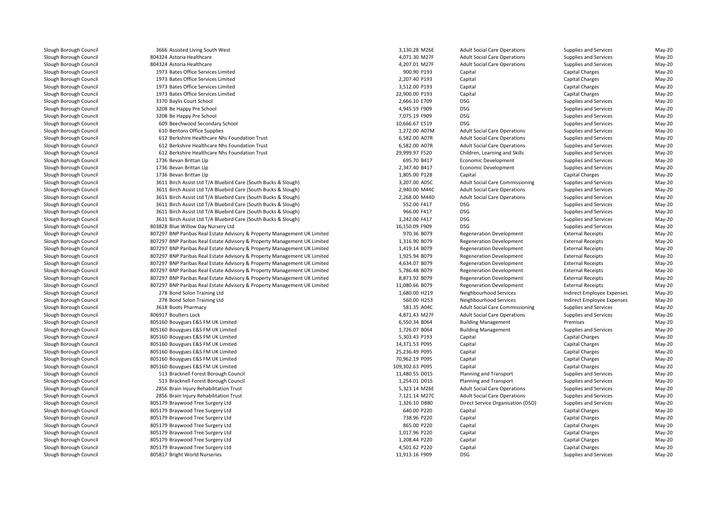| 3666 Assisted Living South West                                          | 3,130.28 M26E                  | <b>Adult Social Care Operations</b>    | Supplies and Services      | $May-20$         |
|--------------------------------------------------------------------------|--------------------------------|----------------------------------------|----------------------------|------------------|
| 804324 Astoria Healthcare                                                | 4,071.30 M27F                  | <b>Adult Social Care Operations</b>    | Supplies and Services      | May-20           |
| 804324 Astoria Healthcare                                                | 4,207.01 M27F                  | <b>Adult Social Care Operations</b>    | Supplies and Services      | May-20           |
| 1973 Bates Office Services Limited                                       | 900.90 P193                    | Capital                                | <b>Capital Charges</b>     | May-20           |
| 1973 Bates Office Services Limited                                       | 2,207.40 P193                  | Capital                                | <b>Capital Charges</b>     | May-20           |
| 1973 Bates Office Services Limited                                       | 3,512.00 P193                  | Capital                                | <b>Capital Charges</b>     | May-20           |
| 1973 Bates Office Services Limited                                       | 22,900.00 P193                 | Capital                                | <b>Capital Charges</b>     | May-20           |
| 3370 Baylis Court School                                                 | 2,666.10 E709                  | <b>DSG</b>                             | Supplies and Services      | May-20           |
| 3208 Be Happy Pre School                                                 | 4,945.59 F909                  | <b>DSG</b>                             | Supplies and Services      | May-20           |
| 3208 Be Happy Pre School                                                 | 7,075.19 F909                  | <b>DSG</b>                             | Supplies and Services      | May-20           |
| 609 Beechwood Secondary School                                           | 10,666.67 E519                 | <b>DSG</b>                             | Supplies and Services      | May-20           |
| 610 Bentons Office Supplies                                              | 1,272.00 A07M                  | <b>Adult Social Care Operations</b>    | Supplies and Services      | May-20           |
| 612 Berkshire Healthcare Nhs Foundation Trust                            | 6,582.00 A07R                  | <b>Adult Social Care Operations</b>    | Supplies and Services      | May-20           |
| 612 Berkshire Healthcare Nhs Foundation Trust                            | 6,582.00 A07R                  | <b>Adult Social Care Operations</b>    | Supplies and Services      | May-20           |
| 612 Berkshire Healthcare Nhs Foundation Trust                            | 29,999.97 F520                 | Children, Learning and Skills          | Supplies and Services      | May-20           |
| 1736 Bevan Brittan Llp                                                   | 695.70 B417                    | <b>Economic Development</b>            | Supplies and Services      | May-20           |
| 1736 Bevan Brittan Llp                                                   | 2,347.40 B417                  | Economic Development                   | Supplies and Services      | May-20           |
| 1736 Bevan Brittan Llp                                                   | 1,805.00 P128                  | Capital                                | <b>Capital Charges</b>     | May-20           |
| 3611 Birch Assist Ltd T/A Bluebird Care (South Bucks & Slough)           | 3,207.00 A05C                  | <b>Adult Social Care Commissioning</b> | Supplies and Services      | May-20           |
| 3611 Birch Assist Ltd T/A Bluebird Care (South Bucks & Slough)           | 2,940.00 M44C                  | <b>Adult Social Care Operations</b>    | Supplies and Services      | May-20           |
| 3611 Birch Assist Ltd T/A Bluebird Care (South Bucks & Slough)           | 2,268.00 M44D                  | <b>Adult Social Care Operations</b>    | Supplies and Services      | May-20           |
| 3611 Birch Assist Ltd T/A Bluebird Care (South Bucks & Slough)           | 552.00 F417                    | <b>DSG</b>                             | Supplies and Services      | May-20           |
| 3611 Birch Assist Ltd T/A Bluebird Care (South Bucks & Slough)           | 966.00 F417                    | <b>DSG</b>                             | Supplies and Services      | May-20           |
| 3611 Birch Assist Ltd T/A Bluebird Care (South Bucks & Slough)           | 1,242.00 F417                  | <b>DSG</b>                             | Supplies and Services      | May-20           |
| 803828 Blue Willow Day Nursery Ltd                                       | 16,150.09 F909                 | <b>DSG</b>                             | Supplies and Services      | May-20           |
| 807297 BNP Paribas Real Estate Advisory & Property Management UK Limited | 970.36 B079                    | <b>Regeneration Development</b>        | <b>External Receipts</b>   | May-20           |
| 807297 BNP Paribas Real Estate Advisory & Property Management UK Limited | 1,316.90 B079                  | <b>Regeneration Development</b>        | <b>External Receipts</b>   | May-20           |
| 807297 BNP Paribas Real Estate Advisory & Property Management UK Limited | 1,419.14 B079                  | <b>Regeneration Development</b>        | <b>External Receipts</b>   | May-20           |
| 807297 BNP Paribas Real Estate Advisory & Property Management UK Limited | 1,925.94 B079                  | <b>Regeneration Development</b>        | <b>External Receipts</b>   | May-20           |
| 807297 BNP Paribas Real Estate Advisory & Property Management UK Limited | 4,634.07 B079                  | <b>Regeneration Development</b>        | <b>External Receipts</b>   | May-20           |
| 807297 BNP Paribas Real Estate Advisory & Property Management UK Limited | 5,786.48 B079                  | <b>Regeneration Development</b>        | <b>External Receipts</b>   | May-20           |
| 807297 BNP Paribas Real Estate Advisory & Property Management UK Limited | 8,873.92 B079                  | <b>Regeneration Development</b>        | <b>External Receipts</b>   | May-20           |
| 807297 BNP Paribas Real Estate Advisory & Property Management UK Limited | 11,080.66 B079                 | <b>Regeneration Development</b>        | <b>External Receipts</b>   | May-20           |
| 278 Bond Solon Training Ltd                                              | 1,680.00 H219                  | Neighbourhood Services                 | Indirect Employee Expenses | May-20           |
| 278 Bond Solon Training Ltd                                              | 560.00 H253                    | Neighbourhood Services                 | Indirect Employee Expenses | May-20           |
| 3618 Boots Pharmacy                                                      | 581.35 A04C                    | <b>Adult Social Care Commissioning</b> | Supplies and Services      | May-20           |
| 806917 Boulters Lock                                                     | 4,871.43 M27F                  | <b>Adult Social Care Operations</b>    | Supplies and Services      | May-20           |
|                                                                          |                                |                                        |                            |                  |
| 805160 Bouygues E&S FM UK Limited                                        | 6,550.34 B064<br>1,726.07 B064 | <b>Building Management</b>             | Premises                   | May-20<br>May-20 |
| 805160 Bouygues E&S FM UK Limited                                        |                                | <b>Building Management</b>             | Supplies and Services      |                  |
| 805160 Bouygues E&S FM UK Limited                                        | 5,303.43 P193                  | Capital                                | <b>Capital Charges</b>     | May-20           |
| 805160 Bouygues E&S FM UK Limited                                        | 14,371.53 P095                 | Capital                                | <b>Capital Charges</b>     | $May-20$         |
| 805160 Bouygues E&S FM UK Limited                                        | 25,236.49 P095                 | Capital                                | <b>Capital Charges</b>     | May-20           |
| 805160 Bouygues E&S FM UK Limited                                        | 70,962.19 P095                 | Capital                                | Capital Charges            | May-20           |
| 805160 Bouygues E&S FM UK Limited                                        | 109,302.63 P095                | Capital                                | <b>Capital Charges</b>     | May-20           |
| 513 Bracknell Forest Borough Council                                     | 11,480.55 D015                 | Planning and Transport                 | Supplies and Services      | May-20           |
| 513 Bracknell Forest Borough Council                                     | 1,254.01 D015                  | Planning and Transport                 | Supplies and Services      | May-20           |
| 2856 Brain Injury Rehabilitation Trust                                   | 5,323.14 M26E                  | <b>Adult Social Care Operations</b>    | Supplies and Services      | May-20           |
| 2856 Brain Injury Rehabilitation Trust                                   | 7,121.14 M27C                  | <b>Adult Social Care Operations</b>    | Supplies and Services      | May-20           |
| 805179 Braywood Tree Surgery Ltd                                         | 1,326.10 D880                  | Direct Service Organisation (DSO)      | Supplies and Services      | May-20           |
| 805179 Braywood Tree Surgery Ltd                                         | 640.00 P220                    | Capital                                | <b>Capital Charges</b>     | May-20           |
| 805179 Braywood Tree Surgery Ltd                                         | 738.96 P220                    | Capital                                | <b>Capital Charges</b>     | May-20           |
| 805179 Braywood Tree Surgery Ltd                                         | 865.00 P220                    | Capital                                | <b>Capital Charges</b>     | May-20           |
| 805179 Braywood Tree Surgery Ltd                                         | 1,017.96 P220                  | Capital                                | <b>Capital Charges</b>     | May-20           |
| 805179 Braywood Tree Surgery Ltd                                         | 1,208.44 P220                  | Capital                                | <b>Capital Charges</b>     | May-20           |
| 805179 Braywood Tree Surgery Ltd                                         | 4,501.62 P220                  | Capital                                | Capital Charges            | May-20           |
| 805817 Bright World Nurseries                                            | 11,913.16 F909                 | <b>DSG</b>                             | Supplies and Services      | $May-20$         |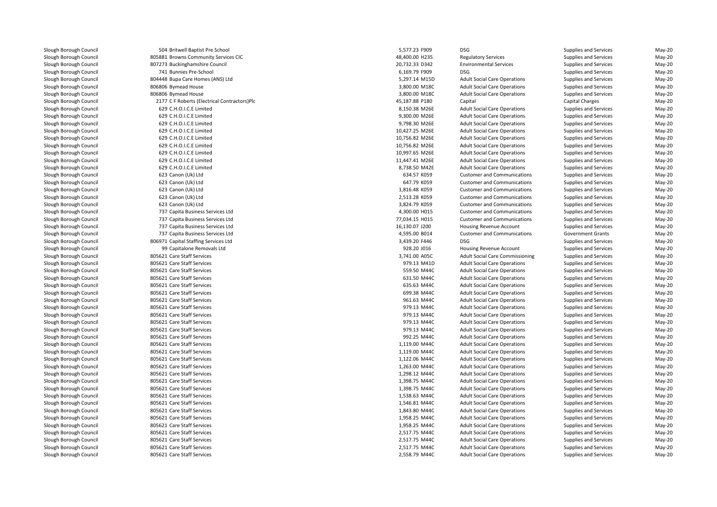| 504 Britwell Baptist Pre School              | 5,577.23 F909  | <b>DSG</b>                                                                | Supplies and Services    | May-20   |
|----------------------------------------------|----------------|---------------------------------------------------------------------------|--------------------------|----------|
| 805881 Browns Community Services CIC         | 48,400.00 H235 | <b>Regulatory Services</b>                                                | Supplies and Services    | May-20   |
| 807273 Buckinghamshire Council               | 20,732.33 D342 | <b>Environmental Services</b>                                             | Supplies and Services    | May-20   |
| 741 Bunnies Pre-School                       | 6,169.79 F909  | <b>DSG</b>                                                                | Supplies and Services    | May-20   |
| 804448 Bupa Care Homes (ANS) Ltd             | 5,297.14 M15D  | <b>Adult Social Care Operations</b>                                       | Supplies and Services    | May-20   |
| 806806 Bymead House                          | 3,800.00 M18C  | <b>Adult Social Care Operations</b>                                       | Supplies and Services    | May-20   |
| 806806 Bymead House                          | 3,800.00 M18C  | <b>Adult Social Care Operations</b>                                       | Supplies and Services    | May-20   |
| 2177 C F Roberts (Electrical Contractors)Plc | 45,187.88 P180 | Capital                                                                   | <b>Capital Charges</b>   | May-20   |
| 629 C.H.O.I.C.E Limited                      | 8,150.38 M26E  | <b>Adult Social Care Operations</b>                                       | Supplies and Services    | May-20   |
| 629 C.H.O.I.C.E Limited                      | 9,300.00 M26E  | <b>Adult Social Care Operations</b>                                       | Supplies and Services    | May-20   |
| 629 C.H.O.I.C.E Limited                      | 9,798.30 M26E  | <b>Adult Social Care Operations</b>                                       | Supplies and Services    | May-20   |
| 629 C.H.O.I.C.E Limited                      | 10,427.25 M26E | <b>Adult Social Care Operations</b>                                       | Supplies and Services    | May-20   |
| 629 C.H.O.I.C.E Limited                      | 10,756.82 M26E | <b>Adult Social Care Operations</b>                                       | Supplies and Services    | May-20   |
| 629 C.H.O.I.C.E Limited                      | 10,756.82 M26E | <b>Adult Social Care Operations</b>                                       | Supplies and Services    | May-20   |
| 629 C.H.O.I.C.E Limited                      | 10,997.65 M26E | <b>Adult Social Care Operations</b>                                       | Supplies and Services    | May-20   |
| 629 C.H.O.I.C.E Limited                      | 11,447.41 M26E | <b>Adult Social Care Operations</b>                                       | Supplies and Services    | May-20   |
| 629 C.H.O.I.C.E Limited                      |                |                                                                           |                          | May-20   |
|                                              | 8,738.50 M42E  | <b>Adult Social Care Operations</b><br><b>Customer and Communications</b> | Supplies and Services    |          |
| 623 Canon (Uk) Ltd                           | 634.57 K059    |                                                                           | Supplies and Services    | May-20   |
| 623 Canon (Uk) Ltd                           | 647.79 K059    | <b>Customer and Communications</b>                                        | Supplies and Services    | May-20   |
| 623 Canon (Uk) Ltd                           | 1,816.48 K059  | <b>Customer and Communications</b>                                        | Supplies and Services    | May-20   |
| 623 Canon (Uk) Ltd                           | 2,513.28 K059  | <b>Customer and Communications</b>                                        | Supplies and Services    | May-20   |
| 623 Canon (Uk) Ltd                           | 3,824.79 K059  | <b>Customer and Communications</b>                                        | Supplies and Services    | May-20   |
| 737 Capita Business Services Ltd             | 4,300.00 H015  | <b>Customer and Communications</b>                                        | Supplies and Services    | May-20   |
| 737 Capita Business Services Ltd             | 77,034.15 H015 | <b>Customer and Communications</b>                                        | Supplies and Services    | May-20   |
| 737 Capita Business Services Ltd             | 16,130.07 J200 | <b>Housing Revenue Account</b>                                            | Supplies and Services    | May-20   |
| 737 Capita Business Services Ltd             | 4,595.00 B014  | <b>Customer and Communications</b>                                        | <b>Government Grants</b> | May-20   |
| 806971 Capital Staffing Services Ltd         | 3,439.20 F446  | <b>DSG</b>                                                                | Supplies and Services    | May-20   |
| 99 Capitalone Removals Ltd                   | 928.20 J016    | Housing Revenue Account                                                   | Supplies and Services    | May-20   |
| 805621 Care Staff Services                   | 3,741.00 A05C  | <b>Adult Social Care Commissioning</b>                                    | Supplies and Services    | May-20   |
| 805621 Care Staff Services                   | 979.13 M41D    | <b>Adult Social Care Operations</b>                                       | Supplies and Services    | May-20   |
| 805621 Care Staff Services                   | 559.50 M44C    | <b>Adult Social Care Operations</b>                                       | Supplies and Services    | May-20   |
| 805621 Care Staff Services                   | 631.50 M44C    | <b>Adult Social Care Operations</b>                                       | Supplies and Services    | May-20   |
| 805621 Care Staff Services                   | 635.63 M44C    | <b>Adult Social Care Operations</b>                                       | Supplies and Services    | May-20   |
| 805621 Care Staff Services                   | 699.38 M44C    | <b>Adult Social Care Operations</b>                                       | Supplies and Services    | May-20   |
| 805621 Care Staff Services                   | 961.63 M44C    | <b>Adult Social Care Operations</b>                                       | Supplies and Services    | May-20   |
| 805621 Care Staff Services                   | 979.13 M44C    | <b>Adult Social Care Operations</b>                                       | Supplies and Services    | May-20   |
| 805621 Care Staff Services                   | 979.13 M44C    | <b>Adult Social Care Operations</b>                                       | Supplies and Services    | May-20   |
| 805621 Care Staff Services                   | 979.13 M44C    | <b>Adult Social Care Operations</b>                                       | Supplies and Services    | May-20   |
| 805621 Care Staff Services                   | 979.13 M44C    | <b>Adult Social Care Operations</b>                                       | Supplies and Services    | May-20   |
| 805621 Care Staff Services                   | 992.25 M44C    | <b>Adult Social Care Operations</b>                                       | Supplies and Services    | May-20   |
| 805621 Care Staff Services                   | 1,119.00 M44C  | <b>Adult Social Care Operations</b>                                       | Supplies and Services    | May-20   |
| 805621 Care Staff Services                   | 1,119.00 M44C  | <b>Adult Social Care Operations</b>                                       | Supplies and Services    | May-20   |
| 805621 Care Staff Services                   | 1,122.06 M44C  | <b>Adult Social Care Operations</b>                                       | Supplies and Services    | May-20   |
| 805621 Care Staff Services                   | 1,263.00 M44C  | <b>Adult Social Care Operations</b>                                       | Supplies and Services    | May-20   |
| 805621 Care Staff Services                   | 1,298.12 M44C  | <b>Adult Social Care Operations</b>                                       | Supplies and Services    | May-20   |
| 805621 Care Staff Services                   | 1,398.75 M44C  | <b>Adult Social Care Operations</b>                                       | Supplies and Services    | May-20   |
| 805621 Care Staff Services                   | 1,398.75 M44C  | <b>Adult Social Care Operations</b>                                       | Supplies and Services    | May-20   |
| 805621 Care Staff Services                   | 1,538.63 M44C  | <b>Adult Social Care Operations</b>                                       | Supplies and Services    | May-20   |
| 805621 Care Staff Services                   | 1,546.81 M44C  | <b>Adult Social Care Operations</b>                                       | Supplies and Services    | May-20   |
| 805621 Care Staff Services                   | 1,843.80 M44C  | <b>Adult Social Care Operations</b>                                       | Supplies and Services    | May-20   |
| 805621 Care Staff Services                   | 1,958.25 M44C  | <b>Adult Social Care Operations</b>                                       | Supplies and Services    | May-20   |
| 805621 Care Staff Services                   | 1,958.25 M44C  | <b>Adult Social Care Operations</b>                                       | Supplies and Services    | May-20   |
| 805621 Care Staff Services                   | 2,517.75 M44C  | <b>Adult Social Care Operations</b>                                       | Supplies and Services    | May-20   |
| 805621 Care Staff Services                   | 2,517.75 M44C  | <b>Adult Social Care Operations</b>                                       | Supplies and Services    | May-20   |
| 805621 Care Staff Services                   | 2,517.75 M44C  | <b>Adult Social Care Operations</b>                                       | Supplies and Services    | May-20   |
| 805621 Care Staff Services                   | 2.558.79 M44C  | <b>Adult Social Care Operations</b>                                       | Supplies and Services    | $Mav-20$ |
|                                              |                |                                                                           |                          |          |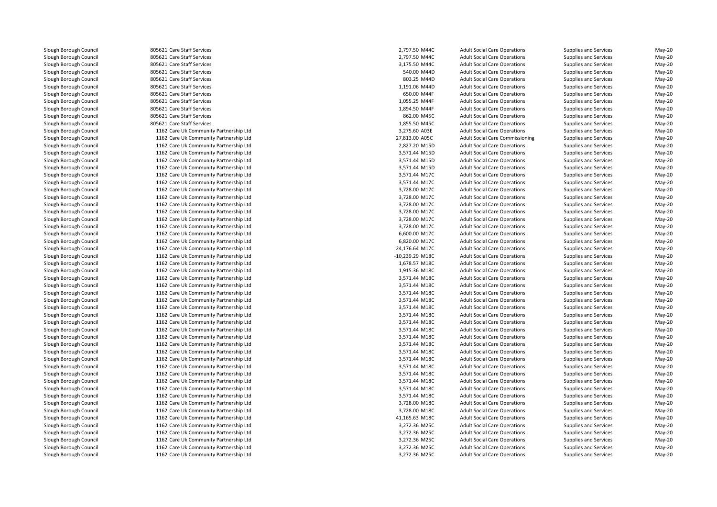805621 Care Staff Services Care Staff Services 2,797.50 M44C 805621 Care Staff Services 2,797.50 M44C805621 Care Staff Services Care Staff Services 3,175.50 M44C**1** 805621 Care Staff Services 640.00 M44D States 340.00 M44D States 340.00 M44D States 340.00 M44D States 340.00 M44D States 340.00 M44D States 340.00 M44D States 340.00 M44D States 340.00 M44D States 340.00 M44D States 3 805621 Care Staff Services Care Staff Services 803.25 M44D805621 Care Staff Services Care Staff Services 1,191.06 M44D805621 Care Staff Services 805621 Care Staff Services 805621 Care Staff Services **805621 Care Staff Services** 862.00 M45C 862.00 M45C 862.00 M45C 862.00 M45C 862.00 M45C 862.00 M45C 862.00 M45C l and the set of the South Services 1,855.50 M45C and the South Services 1,855.50 M45C and the South Services 1,855.50 M45C and the South Services 1,855.50 M45C and the South Services 1,855.50 M45C and the South Services 1 1162 Care Uk Community Partnership Ltd 1162 Care Uk Community Partnership Ltd 1162 Care Uk Community Partnership Ltd 1162 Care Uk Community Partnership Ltd 1162 Care Uk Community Partnership Ltd 1162 Care Uk Community Partnership Ltd 1162 Care Uk Community Partnership Ltd 1162 Care Uk Community Partnership Ltd 1162 Care Uk Community Partnership Ltd 1162 Care Uk Community Partnership Ltd 1162 Care Uk Community Partnership Ltd 1162 Care Uk Community Partnership Ltd 1162 Care Uk Community Partnership Ltd 1162 Care Uk Community Partnership Ltd 1162 Care Uk Community Partnership Ltd 1162 Care Uk Community Partnership Ltd 1162 Care Uk Community Partnership Ltd 1162 Care Uk Community Partnership Ltd 1162 Care Uk Community Partnership Ltd 1162 Care Uk Community Partnership Ltd 1162 Care Uk Community Partnership Ltd 1162 Care Uk Community Partnership Ltd 1162 Care Uk Community Partnership Ltd 1162 Care Uk Community Partnership Ltd 1162 Care Uk Community Partnership Ltd 1162 Care Uk Community Partnership Ltd 1162 Care Uk Community Partnership Ltd 1162 Care Uk Community Partnership Ltd 1162 Care Uk Community Partnership Ltd 1162 Care Uk Community Partnership Ltd 1162 Care Uk Community Partnership Ltd 1162 Care Uk Community Partnership Ltd 1162 Care Uk Community Partnership Ltd 1162 Care Uk Community Partnership Ltd 1162 Care Uk Community Partnership Ltd 1162 Care Uk Community Partnership Ltd 1162 Care Uk Community Partnership Ltd 1162 Care Uk Community Partnership Ltd 1162 Care Uk Community Partnership Ltd 1162 Care Uk Community Partnership Ltd 1162 Care Uk Community Partnership Ltd 1162 Care Uk Community Partnership Ltd 1162 Care Uk Community Partnership Ltd 1162 Care Uk Community Partnership Ltd1162 Care Uk Community Partnership Ltd

| 1 Care Staff Services               | 2,797.50 M44C                  | <b>Adult Social Care Operations</b>    | Supplies and Services        | May-20   |
|-------------------------------------|--------------------------------|----------------------------------------|------------------------------|----------|
| 1 Care Staff Services               | 2,797.50 M44C                  | <b>Adult Social Care Operations</b>    | Supplies and Services        | May-20   |
| 1 Care Staff Services               | 3,175.50 M44C                  | <b>Adult Social Care Operations</b>    | Supplies and Services        | May-20   |
| 1 Care Staff Services               | 540.00 M44D                    | <b>Adult Social Care Operations</b>    | Supplies and Services        | May-20   |
| 1 Care Staff Services               | 803.25 M44D                    | <b>Adult Social Care Operations</b>    | Supplies and Services        | May-20   |
| 1 Care Staff Services               | 1,191.06 M44D                  | <b>Adult Social Care Operations</b>    | Supplies and Services        | May-20   |
| 1 Care Staff Services               | 650.00 M44F                    | <b>Adult Social Care Operations</b>    | Supplies and Services        | May-20   |
| 1 Care Staff Services               | 1,055.25 M44F                  | <b>Adult Social Care Operations</b>    | Supplies and Services        | May-20   |
| 1 Care Staff Services               | 1,894.50 M44F                  | <b>Adult Social Care Operations</b>    | Supplies and Services        | May-20   |
| 1 Care Staff Services               | 862.00 M45C                    | <b>Adult Social Care Operations</b>    | Supplies and Services        | May-20   |
| 1 Care Staff Services               | 1,855.50 M45C                  | <b>Adult Social Care Operations</b>    | Supplies and Services        | May-20   |
| 2 Care Uk Community Partnership Ltd | 3,275.60 A03E                  | <b>Adult Social Care Operations</b>    | Supplies and Services        | May-20   |
| 2 Care Uk Community Partnership Ltd | 27,813.00 A05C                 | <b>Adult Social Care Commissioning</b> | Supplies and Services        | May-20   |
| 2 Care Uk Community Partnership Ltd | 2,827.20 M15D                  | <b>Adult Social Care Operations</b>    | Supplies and Services        | $May-20$ |
| 2 Care Uk Community Partnership Ltd | 3,571.44 M15D                  | <b>Adult Social Care Operations</b>    | Supplies and Services        | May-20   |
| 2 Care Uk Community Partnership Ltd | 3,571.44 M15D                  | <b>Adult Social Care Operations</b>    | Supplies and Services        | May-20   |
| 2 Care Uk Community Partnership Ltd | 3,571.44 M15D                  | <b>Adult Social Care Operations</b>    | Supplies and Services        | May-20   |
| 2 Care Uk Community Partnership Ltd | 3,571.44 M17C                  | <b>Adult Social Care Operations</b>    | Supplies and Services        | May-20   |
| 2 Care Uk Community Partnership Ltd | 3,571.44 M17C                  | <b>Adult Social Care Operations</b>    | Supplies and Services        | $May-20$ |
| 2 Care Uk Community Partnership Ltd | 3,728.00 M17C                  | <b>Adult Social Care Operations</b>    | Supplies and Services        | May-20   |
| 2 Care Uk Community Partnership Ltd | 3,728.00 M17C                  | <b>Adult Social Care Operations</b>    | Supplies and Services        | May-20   |
| 2 Care Uk Community Partnership Ltd | 3,728.00 M17C                  | <b>Adult Social Care Operations</b>    | Supplies and Services        | May-20   |
| 2 Care Uk Community Partnership Ltd | 3,728.00 M17C                  | <b>Adult Social Care Operations</b>    | Supplies and Services        | May-20   |
| 2 Care Uk Community Partnership Ltd | 3,728.00 M17C                  | <b>Adult Social Care Operations</b>    | Supplies and Services        | May-20   |
| 2 Care Uk Community Partnership Ltd | 3,728.00 M17C                  | <b>Adult Social Care Operations</b>    | Supplies and Services        | May-20   |
| 2 Care Uk Community Partnership Ltd | 6,600.00 M17C                  | <b>Adult Social Care Operations</b>    | Supplies and Services        | May-20   |
| 2 Care Uk Community Partnership Ltd | 6,820.00 M17C                  | <b>Adult Social Care Operations</b>    | Supplies and Services        | May-20   |
| 2 Care Uk Community Partnership Ltd | 24,176.64 M17C                 | <b>Adult Social Care Operations</b>    | <b>Supplies and Services</b> | May-20   |
| 2 Care Uk Community Partnership Ltd | -10,239.29 M18C                | <b>Adult Social Care Operations</b>    | Supplies and Services        | May-20   |
| 2 Care Uk Community Partnership Ltd | 1,678.57 M18C                  | <b>Adult Social Care Operations</b>    | Supplies and Services        | May-20   |
| 2 Care Uk Community Partnership Ltd | 1,915.36 M18C                  | <b>Adult Social Care Operations</b>    | Supplies and Services        | May-20   |
| 2 Care Uk Community Partnership Ltd | 3,571.44 M18C                  | <b>Adult Social Care Operations</b>    | Supplies and Services        | May-20   |
| 2 Care Uk Community Partnership Ltd | 3,571.44 M18C                  | <b>Adult Social Care Operations</b>    | Supplies and Services        | $May-20$ |
| 2 Care Uk Community Partnership Ltd | 3,571.44 M18C                  | <b>Adult Social Care Operations</b>    | Supplies and Services        | May-20   |
| 2 Care Uk Community Partnership Ltd | 3,571.44 M18C                  | <b>Adult Social Care Operations</b>    | Supplies and Services        | May-20   |
| 2 Care Uk Community Partnership Ltd | 3,571.44 M18C                  | <b>Adult Social Care Operations</b>    | Supplies and Services        | May-20   |
| 2 Care Uk Community Partnership Ltd | 3,571.44 M18C                  | <b>Adult Social Care Operations</b>    | Supplies and Services        | May-20   |
| 2 Care Uk Community Partnership Ltd | 3,571.44 M18C                  | <b>Adult Social Care Operations</b>    | Supplies and Services        | $May-20$ |
| 2 Care Uk Community Partnership Ltd | 3,571.44 M18C                  | <b>Adult Social Care Operations</b>    | Supplies and Services        | May-20   |
| 2 Care Uk Community Partnership Ltd | 3,571.44 M18C                  | <b>Adult Social Care Operations</b>    | Supplies and Services        | May-20   |
| 2 Care Uk Community Partnership Ltd | 3,571.44 M18C                  | <b>Adult Social Care Operations</b>    | Supplies and Services        | May-20   |
| 2 Care Uk Community Partnership Ltd | 3,571.44 M18C                  | <b>Adult Social Care Operations</b>    | Supplies and Services        | May-20   |
| 2 Care Uk Community Partnership Ltd | 3,571.44 M18C                  | <b>Adult Social Care Operations</b>    | Supplies and Services        | May-20   |
| 2 Care Uk Community Partnership Ltd | 3,571.44 M18C                  | <b>Adult Social Care Operations</b>    | Supplies and Services        | May-20   |
| 2 Care Uk Community Partnership Ltd | 3,571.44 M18C                  | <b>Adult Social Care Operations</b>    | Supplies and Services        | May-20   |
|                                     |                                |                                        |                              |          |
| 2 Care Uk Community Partnership Ltd | 3,571.44 M18C<br>3,571.44 M18C | <b>Adult Social Care Operations</b>    | Supplies and Services        | May-20   |
| 2 Care Uk Community Partnership Ltd |                                | <b>Adult Social Care Operations</b>    | Supplies and Services        | May-20   |
| 2 Care Uk Community Partnership Ltd | 3,571.44 M18C                  | <b>Adult Social Care Operations</b>    | Supplies and Services        | May-20   |
| 2 Care Uk Community Partnership Ltd | 3,728.00 M18C                  | <b>Adult Social Care Operations</b>    | Supplies and Services        | May-20   |
| 2 Care Uk Community Partnership Ltd | 3,728.00 M18C                  | <b>Adult Social Care Operations</b>    | Supplies and Services        | May-20   |
| 2 Care Uk Community Partnership Ltd | 41,165.63 M18C                 | <b>Adult Social Care Operations</b>    | Supplies and Services        | May-20   |
| 2 Care Uk Community Partnership Ltd | 3,272.36 M25C                  | <b>Adult Social Care Operations</b>    | Supplies and Services        | May-20   |
| 2 Care Uk Community Partnership Ltd | 3,272.36 M25C                  | <b>Adult Social Care Operations</b>    | Supplies and Services        | May-20   |
| 2 Care Uk Community Partnership Ltd | 3,272.36 M25C                  | <b>Adult Social Care Operations</b>    | Supplies and Services        | May-20   |
| 2 Care Uk Community Partnership Ltd | 3,272.36 M25C                  | <b>Adult Social Care Operations</b>    | Supplies and Services        | May-20   |
| 2 Care Uk Community Partnership Ltd | 3.272.36 M25C                  | <b>Adult Social Care Operations</b>    | Supplies and Services        | $Mav-20$ |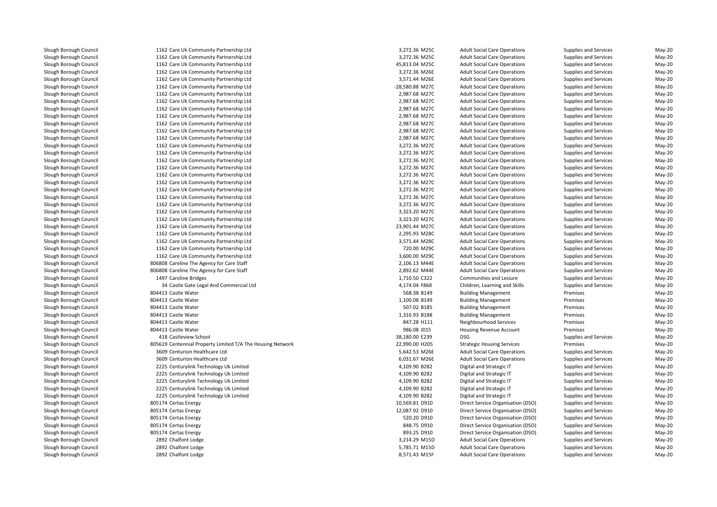1162 Care Uk Community Partnership Ltd 3,272.36 M25C 1162 Care Uk Community Partnership Ltd 3,272.36 M25C 1162 Care Uk Community Partnership Ltd 45,813.04 M25C 1162 Care Uk Community Partnership Ltd 1162 Care Uk Community Partnership Ltd 1162 Care Uk Community Partnership Ltd -28,580.88 M27C 1162 Care Uk Community Partnership Ltd 2,987.68 M27C 1162 Care Uk Community Partnership Ltd 2,987.68 M27C 1162 Care Uk Community Partnership Ltd 2,987.68 M27C 1162 Care Uk Community Partnership Ltd 2,987.68 M27C 1162 Care Uk Community Partnership Ltd 2,987.68 M27C 1162 Care Uk Community Partnership Ltd 2,987.68 M27C 1162 Care Uk Community Partnership Ltd 2,987.68 M27C 1162 Care Uk Community Partnership Ltd 3,272.36 M27C 1162 Care Uk Community Partnership Ltd 3,272.36 M27C 1162 Care Uk Community Partnership Ltd 3,272.36 M27C 1162 Care Uk Community Partnership Ltd 3,272.36 M27C 1162 Care Uk Community Partnership Ltd 3,272.36 M27C 1162 Care Uk Community Partnership Ltd 3,272.36 M27C 1162 Care Uk Community Partnership Ltd 3,272.36 M27C 1162 Care Uk Community Partnership Ltd 3,272.36 M27C 1162 Care Uk Community Partnership Ltd 3,272.36 M27C 1162 Care Uk Community Partnership Ltd 3,323.20 M27C 1162 Care Uk Community Partnership Ltd 3,323.20 M27C 1162 Care Uk Community Partnership Ltd 23,901.44 M27C 1162 Care Uk Community Partnership Ltd 2,295.93 M28C 1162 Care Uk Community Partnership Ltd 3,571.44 M28C 1162 Care Uk Community Partnership Ltd 720.00 M29C 1162 Care Uk Community Partnership Ltd 3,600.00 M29C 806808 Careline The Agency for Care Staff 2,106.13 M44E Adult Social Care Operations Supplies and Services May-20 806808 Careline The Agency for Care Staff 2,892.62 M44E Adult Social Care Operations Supplies and Services May-20 1497 Caroline Bridges  $\sim$  34 34 Castle Gate Legal And Commercial Ltd 804413 Castle Water 804413 Castle Water 804413 Castle Water 804413 Castle Water 804413 Castle Water 804413 Castle Water 418 Castleview School 8 Castleview School 239 DSG 239 DSG 239 DSG 239 DSG 239 DSG 239 DSG 239 DSG 239 DSG 239 DSG 239 DSG 239 DSG 239 DSG 239 DSG 239 DSG 239 DSG 239 DSG 239 DSG 239 DSG 239 DSG 239 DSG 239 DSG 239 DSG 239 DSG 239 DSG 239 DSG 23 805619 Centennial Property Limited T/A The Housing Network 22,990.00 H205 Strategic Housing Services Premises May-20 3609 Centurion Healthcare Ltd 3609 Centurion Healthcare Ltd 2225 Centurylink Technology Uk Limited 2225 Centurylink Technology Uk Limited 2225 Centurylink Technology Uk Limited 2225 Centurylink Technology Uk Limited 2225 Centurylink Technology Uk Limited805174 Certas Energy 805174 Certas Energy 805174 Certas Energy 805174 Certas Energy 805174 Certas Energy 2892 Chalfont Lodge 2 Chalfont Lodge 2008 and 2008 and 2008 and 2008 and 2008 and 2008 and 2008 and 2008 and 2008 and 2008 and 200 2892 Chalfont Lodge 2 Chalfont Lodge **5,785.71** M15D 2892 Chalfont Lodge

| 2.36 M25C | Adult Social Care Op                         |
|-----------|----------------------------------------------|
| 2.36 M25C | Adult Social Care Op                         |
| 3.04 M25C | Adult Social Care Op                         |
| 2.36 M26E | Adult Social Care Op                         |
| 1.44 M26E | Adult Social Care Op                         |
| 0.88 M27C | Adult Social Care Op                         |
| 7.68 M27C | Adult Social Care Op                         |
| 7.68 M27C | Adult Social Care Op                         |
| 7.68 M27C | Adult Social Care Op                         |
| 7.68 M27C | Adult Social Care Op                         |
|           |                                              |
| 7.68 M27C | Adult Social Care Op                         |
| 7.68 M27C | Adult Social Care Op                         |
| 7.68 M27C | Adult Social Care Op                         |
| 2.36 M27C | Adult Social Care Op                         |
| 2.36 M27C | Adult Social Care Op                         |
| 2.36 M27C | Adult Social Care Op                         |
| 2.36 M27C | Adult Social Care Op                         |
| 2.36 M27C | Adult Social Care Op                         |
| 2.36 M27C | Adult Social Care Op                         |
| 2.36 M27C | Adult Social Care Op                         |
| 2.36 M27C | Adult Social Care Op                         |
| 2.36 M27C | Adult Social Care Op                         |
| 3.20 M27C | Adult Social Care Op                         |
| 3.20 M27C | Adult Social Care Op                         |
| 1.44 M27C | Adult Social Care Op                         |
| 5.93 M28C | Adult Social Care Op                         |
| 1.44 M28C | Adult Social Care Op                         |
| 0.00 M29C | Adult Social Care Op                         |
| 0.00 M29C | Adult Social Care Op                         |
| 5.13 M44E | Adult Social Care Op                         |
| 2.62 M44E | Adult Social Care Op                         |
| 0.50 C322 | Communities and Le                           |
|           |                                              |
| 4.04 F868 | Children, Learning a                         |
| 3.38 B149 | <b>Building Manageme</b>                     |
| 0.08 B149 | <b>Building Manageme</b>                     |
| 7.02 B185 | <b>Building Manageme</b>                     |
| 5.93 B188 | <b>Building Manageme</b>                     |
| 7.28 H111 | Neighbourhood Serv                           |
| 5.08 JO15 | Housing Revenue Ac                           |
| 0.00 E239 | <b>DSG</b>                                   |
| 0.00 H205 | <b>Strategic Housing Se</b>                  |
| 2.53 M26E | Adult Social Care Op                         |
| 1.67 M26E | Adult Social Care Op                         |
| 9.90 B282 | Digital and Strategic                        |
| 9.90 B282 | Digital and Strategic                        |
| 9.90 B282 | Digital and Strategic                        |
| 9.90 B282 | Digital and Strategic                        |
| 9.90 B282 | Digital and Strategic                        |
| 9.81 D910 | Direct Service Organ                         |
| 7.92 D910 | Direct Service Organ                         |
| 0.20 D910 | Direct Service Organ                         |
| 3.75 D910 | Direct Service Organ                         |
| 3.25 D910 | Direct Service Organ                         |
| 4.29 M15D |                                              |
| 5.71 M15D | Adult Social Care Op                         |
| 1 43 M15F | Adult Social Care Op<br>Adult Social Care On |
|           |                                              |

erations **Supplies and Services** May-20<br>
Supplies and Services May-20 erations **Supplies and Services** May-20<br>19-adult Supplies and Services May-20 Adult Social Care Operations Supplies and Services May-20 d Samples and Services May-20 Services Supplies and Services May-20 Supplies and Services May-20 d Samples and Services May-20 and Services Supplies and Services May-20 and Services May-20 and Services May-20 erations **Supplies and Services** May-20<br>
Supplies and Services May-20 erations **Supplies and Services** May-20<br>
Supplies and Services May-20<br>
May-20 erations **Supplies and Services** May-20<br>19-adions Supplies and Services May-20 erations **Supplies and Services** May-20<br>
Supplies and Services May-20 erations **Supplies and Services** May-20<br>
Supplies and Services May-20 erations **Supplies and Services** May-20<br> **Supplies and Services** May-20 erations **Supplies and Services** May-20<br>
Supplies and Services May-20 erations **Supplies and Services** May-20<br>
Adv-20 Supplies and Services May-20 erations **Supplies and Services** May-20<br>
Supplies and Services May-20 Adult Social Care Operations Supplies and Services May-20 Adult Social Care Operations Supplies and Services May-20 erations **Supplies and Services** May-20<br>
Supplies and Services May-20 erations **Supplies and Services** May-20<br>
Supplies and Services May-20<br>
May-20 erations **Supplies and Services** May-20<br>19-adions Supplies and Services May-20 Adult Social Care Operations Supplies and Services May-20 erations **Supplies and Services** May-20<br>
Supplies and Services May-20 erations **Supplies and Services** May-20<br> **Supplies and Services** May-20 erations **Supplies and Services** May-20<br>
Supplies and Services May-20 erations **Supplies and Services** May-20<br>
Supplies and Services May-20<br>
May-20 erations **Supplies and Services** May-20<br>
Advised Supplies and Services May-20 Adult Social Care Operations Supplies and Services May-20 erations **Supplies and Services** May-20<br>
Supplies and Services May-20 erations **Supplies and Services** May-20<br>
Supplies and Services May-20 erations **Supplies and Services** May-20<br>
Supplies and Services May-20 7 Caroline Bridges 20 Communities and Lesiure Supplies and Services May-20 Communities and Lesiure Supplies and Services May-20 d entity and the Face of the Face of the Face of the Face of the Face of the Face of the Face of the Face of the May-20  $\mu$  May-20  $\mu$ 3 Castle Water **School Accord Foundation** Section 1 and the S68.38 B149 Building Management Premises Premises May-20 3 Castle Water **1,100.08 B149** Building Management Premises Premises May-20 Building Management Premises Premises South Castle Water School and the Castle Way-20 Building Management Associates May-20 Building Management Premises May-20 3 Castle Water 1,316.93 B188 Building Management Premises Premises May-20 S Castle Water **Castle Water Services** May-20 H111 Meighbourhood Services Premises Premises May-20 Castle Water 986.08 J015 Housing Revenue Account Premises May-20 Supplies and Services May-20<br>Premises Premises May-20 5,642.53 M26E Adult Social Care Operations Supplies and Services May-20 6,031.67 M26E Adult Social Care Operations Supplies and Services May-20 d entity and Strategic IT Annual Strategic IT Supplies and Services May-20 and Services May-20 d entity and Strategic IT Annual Strategic IT Supplies and Services May-20 and Services May-20 d entity and Strategic IT and Strategic IT Supplies and Services May-20 and Services May-20 d entity and Strategic IT and Strategic IT Supplies and Services May-20 and Services May-20 d entity and Strategic IT and Strategic IT Supplies and Services May-20 and Services May-20 Certas Energy 10,569.81 D910 Direct Service Organisation (DSO) Supplies and Services May-20 Certas Energy 12,087.92 D910 Direct Service Organisation (DSO) Supplies and Services May-20 Certas Energy 520.20 D910 Direct Service Organisation (DSO) Supplies and Services May-20 Certas Energy 848.75 D910 Direct Service Organisation (DSO) Supplies and Services May-20 Certas Energy 893.25 D910 Direct Service Organisation (DSO) Supplies and Services May-20 erations **Supplies and Services** May-20<br>19-december 2014 Supplies and Services May-20 perations Supplies and Services May-20<br>19- perations Supplies and Services May-20 2 Chalfont Lodge 8,571.43 M15F Adult Social Care Operations Supplies and Services May-20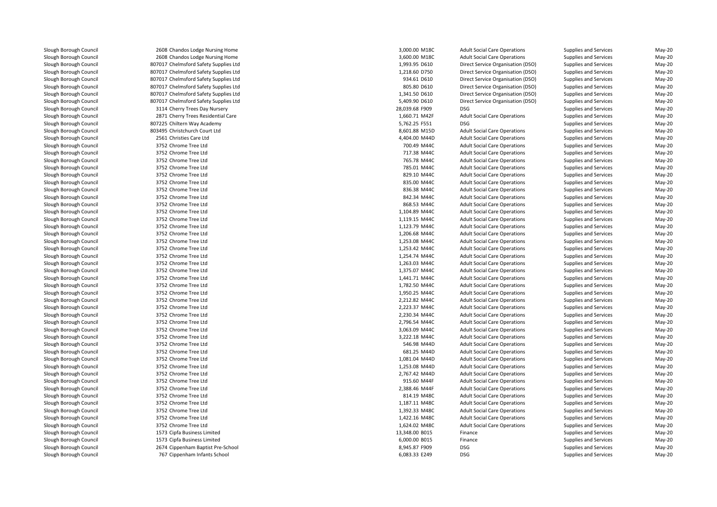1 and 2608 Chandos Lodge Nursing Home 3,000 minutes and 3,000.00 minutes 3,000.00 minutes 3,000.00 minutes 3,000 minutes 3,000 minutes 3,000 minutes 3,000 minutes and 3,000 minutes and 3,000 minutes and 3,000 minutes and 3 1 and 2608 Chandos Lodge Nursing Home 3,600.00 M2C 3,600.00 M18C 3,600.00 M18C 3,600.00 M18C 807017 Chelmsford Safety Supplies Ltd 807017 Chelmsford Safety Supplies Ltd 807017 Chelmsford Safety Supplies Ltd 807017 Chelmsford Safety Supplies Ltd 807017 Chelmsford Safety Supplies Ltd 807017 Chelmsford Safety Supplies Ltd 3114 Cherry Trees Day Nursery 28,039.68 F909 DSG2871 Cherry Trees Residential Care l 5,762.25 F551 DSG و 807225 Chiltern Way Academy S,762.25 F551 DSG و 5,762.25 F551 DSG و 5,762.25 F551 DSG و 5 803495 Christchurch Court Ltd 2561 Christies Care Ltd 4,404.00 M44D 3752 Chrome Tree Ltdd and the contract of the contract of the contract of the contract of the contract of the contract of the contract of the contract of the contract of the contract of the contract of the contract of the contract of the cont 3752 Chrome Tree Ltdd 217.38 M44C 3752 Chrome Tree Ltdd and the contract of the contract of the contract of the contract of the contract of the contract of the contract of the contract of the contract of the contract of the contract of the contract of the contract of the cont 3752 Chrome Tree Ltdd and the contract of the contract of the contract of the contract of the contract of the contract of the contract of the contract of the contract of the contract of the contract of the contract of the contract of the cont 3752 Chrome Tree Ltdd 829.10 M44C 3752 Chrome Tree Ltdd 835.00 M44C 3752 Chrome Tree Ltdd 836.38 M44C 3752 Chrome Tree Ltdd 842.34 M44C 3752 Chrome Tree Ltdd 868.53 M44C 3752 Chrome Tree Ltd $1,104.89$  M44C 3752 Chrome Tree Ltdd 1,119.15 M44C 3752 Chrome Tree Ltd $1,123.79$  M44C 3752 Chrome Tree Ltdd 1,206.68 M44C 3752 Chrome Tree Ltd $1,253.08$  M44C 3752 Chrome Tree Ltd $1,253.42$  M44C 3752 Chrome Tree Ltd $1,254.74$  M44C 3752 Chrome Tree Ltdd  $1,263.03 \text{ M}44\text{C}$  3752 Chrome Tree Ltdd  $1,375.07$  M44C 3752 Chrome Tree Ltdd  $1,441.71 \text{ M}440$  3752 Chrome Tree Ltd 1,782.50 M44C 3752 Chrome Tree Ltd 1,950.25 M44C 3752 Chrome Tree Ltdd  $2,212.82$  M44C 3752 Chrome Tree Ltdd 2,223.37 M44C 3752 Chrome Tree Ltdd  $2,230.34 \, \text{M}$ 44C 3752 Chrome Tree Ltd 2,796.54 M44C 3752 Chrome Tree Ltdd 3,063.09 M44C 3752 Chrome Tree Ltd 3,222.18 M44C 3752 Chrome Tree Ltdd 546.98 M44D 5546.98 M44D 546.98 M44D 546.98 M44D 546.98 M44D 546.98 M44D 546.98 M44D 546.98 M44D 546.98 M44D 3752 Chrome Tree Ltdd 681.25 M44D 3752 Chrome Tree Ltdd 1,081.04 M44D 3752 Chrome Tree Ltdd 1,253.08 M44D 3752 Chrome Tree Ltd 2,767.42 M44D 3752 Chrome Tree Ltd 3752 Chrome Tree Ltd 3752 Chrome Tree Ltdd 814.19 M48C 3752 Chrome Tree Ltdd 1,187.11 M48C 3752 Chrome Tree Ltdd 1,392.33 M48C 3752 Chrome Tree Ltd 1,422.16 M48C 3752 Chrome Tree Ltdd 1,624.02 M48C 1573 Cipfa Business Limited 1573 Cipfa Business Limited 2674 Cippenham Baptist Pre-School 8,945.87 F909 DSG767 Cippenham Infants School 6,083.33 E249 DSG

| 8 Chandos Lodge Nursing Home           | 3,000.00 M18C                  | <b>Adult Social Care Operations</b> | Supplies and Services | May-20 |
|----------------------------------------|--------------------------------|-------------------------------------|-----------------------|--------|
| 8 Chandos Lodge Nursing Home           | 3,600.00 M18C                  | <b>Adult Social Care Operations</b> | Supplies and Services | May-20 |
| 7 Chelmsford Safety Supplies Ltd       | 1,993.95 D610                  | Direct Service Organisation (DSO)   | Supplies and Services | May-20 |
| 7 Chelmsford Safety Supplies Ltd       | 1,218.60 D750                  | Direct Service Organisation (DSO)   | Supplies and Services | May-20 |
| 7 Chelmsford Safety Supplies Ltd       | 934.61 D610                    | Direct Service Organisation (DSO)   | Supplies and Services | May-20 |
| 7 Chelmsford Safety Supplies Ltd       | 805.80 D610                    | Direct Service Organisation (DSO)   | Supplies and Services | May-20 |
| 7 Chelmsford Safety Supplies Ltd       | 1,341.50 D610                  | Direct Service Organisation (DSO)   | Supplies and Services | May-20 |
| 7 Chelmsford Safety Supplies Ltd       | 5,409.90 D610                  | Direct Service Organisation (DSO)   | Supplies and Services | May-20 |
| 4 Cherry Trees Day Nursery             | 28,039.68 F909                 | <b>DSG</b>                          | Supplies and Services | May-20 |
| 1 Cherry Trees Residential Care        | 1,660.71 M42F                  | <b>Adult Social Care Operations</b> | Supplies and Services | May-20 |
| 5 Chiltern Way Academy                 | 5,762.25 F551                  | <b>DSG</b>                          | Supplies and Services | May-20 |
| 5 Christchurch Court Ltd               | 8,601.88 M15D                  | <b>Adult Social Care Operations</b> | Supplies and Services | May-20 |
| 1 Christies Care Ltd                   | 4,404.00 M44D                  | <b>Adult Social Care Operations</b> | Supplies and Services | May-20 |
| 2 Chrome Tree Ltd                      | 700.49 M44C                    | <b>Adult Social Care Operations</b> | Supplies and Services | May-20 |
| 2 Chrome Tree Ltd                      | 717.38 M44C                    | <b>Adult Social Care Operations</b> | Supplies and Services | May-20 |
| 2 Chrome Tree Ltd                      | 765.78 M44C                    | <b>Adult Social Care Operations</b> | Supplies and Services | May-20 |
| 2 Chrome Tree Ltd                      |                                |                                     |                       |        |
| 2 Chrome Tree Ltd                      | 785.01 M44C<br>829.10 M44C     | <b>Adult Social Care Operations</b> | Supplies and Services | May-20 |
|                                        |                                | <b>Adult Social Care Operations</b> | Supplies and Services | May-20 |
| 2 Chrome Tree Ltd<br>2 Chrome Tree Ltd | 835.00 M44C                    | <b>Adult Social Care Operations</b> | Supplies and Services | May-20 |
|                                        | 836.38 M44C                    | <b>Adult Social Care Operations</b> | Supplies and Services | May-20 |
| 2 Chrome Tree Ltd                      | 842.34 M44C                    | <b>Adult Social Care Operations</b> | Supplies and Services | May-20 |
| 2 Chrome Tree Ltd                      | 868.53 M44C                    | <b>Adult Social Care Operations</b> | Supplies and Services | May-20 |
| 2 Chrome Tree Ltd                      | 1,104.89 M44C                  | <b>Adult Social Care Operations</b> | Supplies and Services | May-20 |
| 2 Chrome Tree Ltd                      | 1,119.15 M44C                  | <b>Adult Social Care Operations</b> | Supplies and Services | May-20 |
| 2 Chrome Tree Ltd                      | 1,123.79 M44C                  | <b>Adult Social Care Operations</b> | Supplies and Services | May-20 |
| 2 Chrome Tree Ltd                      | 1,206.68 M44C                  | <b>Adult Social Care Operations</b> | Supplies and Services | May-20 |
| 2 Chrome Tree Ltd                      | 1,253.08 M44C                  | <b>Adult Social Care Operations</b> | Supplies and Services | May-20 |
| 2 Chrome Tree Ltd                      | 1,253.42 M44C                  | <b>Adult Social Care Operations</b> | Supplies and Services | May-20 |
| 2 Chrome Tree Ltd                      | 1,254.74 M44C                  | <b>Adult Social Care Operations</b> | Supplies and Services | May-20 |
| 2 Chrome Tree Ltd                      | 1,263.03 M44C                  | <b>Adult Social Care Operations</b> | Supplies and Services | May-20 |
| 2 Chrome Tree Ltd                      | 1,375.07 M44C                  | <b>Adult Social Care Operations</b> | Supplies and Services | May-20 |
| 2 Chrome Tree Ltd                      | 1,441.71 M44C                  | <b>Adult Social Care Operations</b> | Supplies and Services | May-20 |
| 2 Chrome Tree Ltd<br>2 Chrome Tree Ltd | 1,782.50 M44C<br>1,950.25 M44C | <b>Adult Social Care Operations</b> | Supplies and Services | May-20 |
|                                        |                                | <b>Adult Social Care Operations</b> | Supplies and Services | May-20 |
| 2 Chrome Tree Ltd                      | 2,212.82 M44C                  | <b>Adult Social Care Operations</b> | Supplies and Services | May-20 |
| 2 Chrome Tree Ltd                      | 2,223.37 M44C                  | <b>Adult Social Care Operations</b> | Supplies and Services | May-20 |
| 2 Chrome Tree Ltd                      | 2,230.34 M44C                  | <b>Adult Social Care Operations</b> | Supplies and Services | May-20 |
| 2 Chrome Tree Ltd                      | 2,796.54 M44C                  | <b>Adult Social Care Operations</b> | Supplies and Services | May-20 |
| 2 Chrome Tree Ltd                      | 3,063.09 M44C                  | <b>Adult Social Care Operations</b> | Supplies and Services | May-20 |
| 2 Chrome Tree Ltd                      | 3,222.18 M44C                  | <b>Adult Social Care Operations</b> | Supplies and Services | May-20 |
| 2 Chrome Tree Ltd                      | 546.98 M44D                    | <b>Adult Social Care Operations</b> | Supplies and Services | May-20 |
| 2 Chrome Tree Ltd                      | 681.25 M44D                    | <b>Adult Social Care Operations</b> | Supplies and Services | May-20 |
| 2 Chrome Tree Ltd                      | 1,081.04 M44D                  | <b>Adult Social Care Operations</b> | Supplies and Services | May-20 |
| 2 Chrome Tree Ltd                      | 1,253.08 M44D                  | <b>Adult Social Care Operations</b> | Supplies and Services | May-20 |
| 2 Chrome Tree Ltd                      | 2,767.42 M44D                  | <b>Adult Social Care Operations</b> | Supplies and Services | May-20 |
| 2 Chrome Tree Ltd                      | 915.60 M44F                    | <b>Adult Social Care Operations</b> | Supplies and Services | May-20 |
| 2 Chrome Tree Ltd                      | 2,388.46 M44F                  | <b>Adult Social Care Operations</b> | Supplies and Services | May-20 |
| 2 Chrome Tree Ltd                      | 814.19 M48C                    | <b>Adult Social Care Operations</b> | Supplies and Services | May-20 |
| 2 Chrome Tree Ltd                      | 1,187.11 M48C                  | <b>Adult Social Care Operations</b> | Supplies and Services | May-20 |
| 2 Chrome Tree Ltd                      | 1,392.33 M48C                  | <b>Adult Social Care Operations</b> | Supplies and Services | May-20 |
| 2 Chrome Tree Ltd                      | 1,422.16 M48C                  | <b>Adult Social Care Operations</b> | Supplies and Services | May-20 |
| 2 Chrome Tree Ltd                      | 1,624.02 M48C                  | <b>Adult Social Care Operations</b> | Supplies and Services | May-20 |
| 3 Cipfa Business Limited               | 13,348.00 B015                 | Finance                             | Supplies and Services | May-20 |
| 3 Cipfa Business Limited               | 6,000.00 B015                  | Finance                             | Supplies and Services | May-20 |
| 4 Cippenham Baptist Pre-School         | 8,945.87 F909                  | <b>DSG</b>                          | Supplies and Services | May-20 |
| 7 Cippenham Infants School             | 6.083.33 E249                  | <b>DSG</b>                          | Supplies and Services | Mav-20 |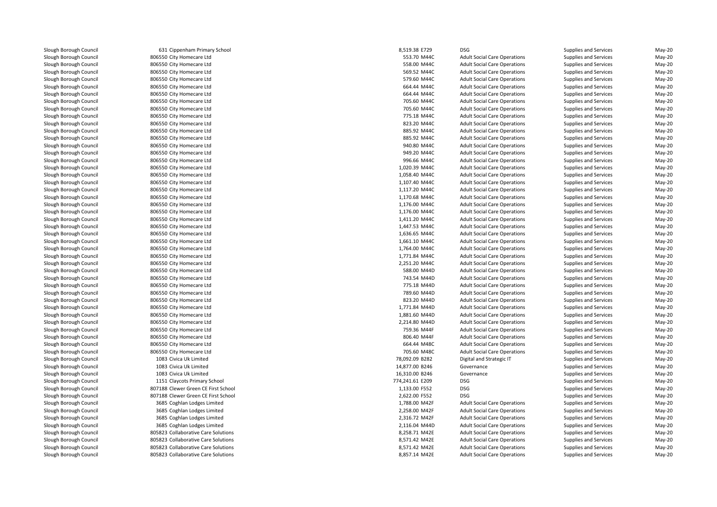631 Cippenham Primary School 8,519.38 E729 DSG 806550 City Homecare Ltdd 553.70 M44C 806550 City Homecare Ltdd 558.00 M44C 806550 City Homecare Ltdd 569.52 M44C 806550 City Homecare Ltdd 579.60 M44C 806550 City Homecare Ltdd 664.44 M44C 806550 City Homecare Ltdd 664.44 M44C 806550 City Homecare Ltd 705.60 M44C 806550 City Homecare Ltd 705.60 M44C 806550 City Homecare Ltd 775.18 M44C 806550 City Homecare Ltdd 823.20 M44C 806550 City Homecare Ltdd 885.92 M44C 806550 City Homecare Ltdd 885.92 M44C 806550 City Homecare Ltdd 940.80 M44C 806550 City Homecare Ltdd 949.20 M44C 806550 City Homecare Ltdd 996.66 M44C 806550 City Homecare Ltdd  $1,020.39$  M44C 806550 City Homecare Ltdd 1,058.40 M44C 806550 City Homecare Ltd $1,107.40$  M44C 806550 City Homecare Ltd $1,117.20$  M44C 806550 City Homecare Ltdd 1,170.68 M44C 806550 City Homecare Ltd $1,176.00 \, \text{M}$ 44C 806550 City Homecare Ltd $1,176.00 \, \text{M}$ 44C 806550 City Homecare Ltdd 1,411.20 M44C 806550 City Homecare Ltd $1,447.53$  M44C 806550 City Homecare Ltdd 1,636.65 M44C 806550 City Homecare Ltdd  $1,661.10 \text{ M}440$  806550 City Homecare Ltdd 1,764.00 M44C 806550 City Homecare Ltdd 1,771.84 M44C 806550 City Homecare Ltd 2,251.20 M44C 806550 City Homecare Ltd 588.00 M44D 806550 City Homecare Ltd 743.54 M44D 806550 City Homecare Ltd 775.18 M44D 806550 City Homecare Ltd 789.60 M44D 806550 City Homecare Ltdd 823.20 M44D 806550 City Homecare Ltdd 1,771.84 M44D 806550 City Homecare Ltdd 1,881.60 M44D 806550 City Homecare Ltd 2,214.80 M44D 806550 City Homecare Ltd 806550 City Homecare Ltd 806550 City Homecare Ltdd 664.44 M48C 806550 City Homecare Ltd 705.60 M48C 1083 Civica Uk Limited 1083 Civica Uk Limited 1083 Civica Uk Limited 1151 Claycots Primary School 774,241.61 E209 DSGl 1,133.00 F552 bSG 807188 Clewer Green CE First School 1,133.00 F552 bSG 9552 bSG 9552 bSG 9552 bSG 9552 bSG 9552 bSG 9552 bSG 9552 bSG 9552 bSG 9552 bSG 9552 bSG 9552 bSG 9552 bSG 9552 bSG 9552 bSG 9552 bSG 952 bSG 952 b 807188 Clewer Green CE First School 2,622.00 F552 DSG 3685 Coghlan Lodges Limited 3685 Coghlan Lodges Limited 3685 Coghlan Lodges Limited 3685 Coghlan Lodges Limited805823 Collaborative Care Solutions 805823 Collaborative Care Solutions 805823 Collaborative Care Solutions 805823 Collaborative Care Solutions

| 1 Cippenham Primary School                 | 8,519.38 E729                  | <b>DSG</b>                          | Supplies and Services | May-20     |
|--------------------------------------------|--------------------------------|-------------------------------------|-----------------------|------------|
| 0 City Homecare Ltd                        | 553.70 M44C                    | <b>Adult Social Care Operations</b> | Supplies and Services | May-20     |
| 0 City Homecare Ltd                        | 558.00 M44C                    | <b>Adult Social Care Operations</b> | Supplies and Services | $May-20$   |
| 0 City Homecare Ltd                        | 569.52 M44C                    | <b>Adult Social Care Operations</b> | Supplies and Services | May-20     |
| 0 City Homecare Ltd                        | 579.60 M44C                    | <b>Adult Social Care Operations</b> | Supplies and Services | $May-20$   |
| 0 City Homecare Ltd                        | 664.44 M44C                    | <b>Adult Social Care Operations</b> | Supplies and Services | $May-20$   |
| 0 City Homecare Ltd                        | 664.44 M44C                    | <b>Adult Social Care Operations</b> | Supplies and Services | May-20     |
| 0 City Homecare Ltd                        | 705.60 M44C                    | <b>Adult Social Care Operations</b> | Supplies and Services | $May-20$   |
| 0 City Homecare Ltd                        | 705.60 M44C                    | <b>Adult Social Care Operations</b> | Supplies and Services | May-20     |
| 0 City Homecare Ltd                        | 775.18 M44C                    | <b>Adult Social Care Operations</b> | Supplies and Services | May-20     |
| 0 City Homecare Ltd                        | 823.20 M44C                    | <b>Adult Social Care Operations</b> | Supplies and Services | May-20     |
| 0 City Homecare Ltd                        | 885.92 M44C                    | <b>Adult Social Care Operations</b> | Supplies and Services | $May-20$   |
| 0 City Homecare Ltd                        | 885.92 M44C                    | <b>Adult Social Care Operations</b> | Supplies and Services | May-20     |
| 0 City Homecare Ltd                        | 940.80 M44C                    | <b>Adult Social Care Operations</b> | Supplies and Services | $May-20$   |
| 0 City Homecare Ltd                        | 949.20 M44C                    | <b>Adult Social Care Operations</b> | Supplies and Services | $May-20$   |
| 0 City Homecare Ltd                        | 996.66 M44C                    | <b>Adult Social Care Operations</b> | Supplies and Services | $May-20$   |
| 0 City Homecare Ltd                        | 1,020.39 M44C                  | <b>Adult Social Care Operations</b> | Supplies and Services | $May-20$   |
| 0 City Homecare Ltd                        | 1,058.40 M44C                  | <b>Adult Social Care Operations</b> | Supplies and Services | $May-20$   |
| 0 City Homecare Ltd                        | 1,107.40 M44C                  | <b>Adult Social Care Operations</b> | Supplies and Services | $May-20$   |
| 0 City Homecare Ltd                        | 1,117.20 M44C                  | <b>Adult Social Care Operations</b> | Supplies and Services | May-20     |
| 0 City Homecare Ltd                        | 1,170.68 M44C                  | <b>Adult Social Care Operations</b> | Supplies and Services | $May-20$   |
| 0 City Homecare Ltd                        | 1,176.00 M44C                  | <b>Adult Social Care Operations</b> | Supplies and Services | May-20     |
| 0 City Homecare Ltd                        | 1,176.00 M44C                  | <b>Adult Social Care Operations</b> | Supplies and Services | $May-20$   |
| 0 City Homecare Ltd                        | 1,411.20 M44C                  | <b>Adult Social Care Operations</b> | Supplies and Services | May-20     |
| 0 City Homecare Ltd                        | 1,447.53 M44C                  | <b>Adult Social Care Operations</b> | Supplies and Services | $May-20$   |
| 0 City Homecare Ltd                        | 1,636.65 M44C                  | <b>Adult Social Care Operations</b> | Supplies and Services | May-20     |
| 0 City Homecare Ltd                        | 1,661.10 M44C                  | <b>Adult Social Care Operations</b> | Supplies and Services | $May-20$   |
|                                            | 1,764.00 M44C                  |                                     |                       | $May-20$   |
| 0 City Homecare Ltd<br>0 City Homecare Ltd |                                | <b>Adult Social Care Operations</b> | Supplies and Services | $May-20$   |
|                                            | 1,771.84 M44C<br>2,251.20 M44C | <b>Adult Social Care Operations</b> | Supplies and Services |            |
| 0 City Homecare Ltd                        |                                | <b>Adult Social Care Operations</b> | Supplies and Services | $May-20$   |
| 0 City Homecare Ltd                        | 588.00 M44D                    | <b>Adult Social Care Operations</b> | Supplies and Services | May-20     |
| 0 City Homecare Ltd                        | 743.54 M44D                    | <b>Adult Social Care Operations</b> | Supplies and Services | $May-20$   |
| 0 City Homecare Ltd                        | 775.18 M44D                    | <b>Adult Social Care Operations</b> | Supplies and Services | May-20     |
| 0 City Homecare Ltd                        | 789.60 M44D                    | <b>Adult Social Care Operations</b> | Supplies and Services | $May-20$   |
| 0 City Homecare Ltd                        | 823.20 M44D                    | <b>Adult Social Care Operations</b> | Supplies and Services | May-20     |
| 0 City Homecare Ltd                        | 1,771.84 M44D                  | <b>Adult Social Care Operations</b> | Supplies and Services | $May-20$   |
| 0 City Homecare Ltd                        | 1,881.60 M44D                  | <b>Adult Social Care Operations</b> | Supplies and Services | May-20     |
| 0 City Homecare Ltd                        | 2,214.80 M44D                  | <b>Adult Social Care Operations</b> | Supplies and Services | $May-20$   |
| 0 City Homecare Ltd                        | 759.36 M44F                    | <b>Adult Social Care Operations</b> | Supplies and Services | May-20     |
| 0 City Homecare Ltd                        | 806.40 M44F                    | <b>Adult Social Care Operations</b> | Supplies and Services | $May-20$   |
| 0 City Homecare Ltd                        | 664.44 M48C                    | <b>Adult Social Care Operations</b> | Supplies and Services | $May-20$   |
| 0 City Homecare Ltd                        | 705.60 M48C                    | <b>Adult Social Care Operations</b> | Supplies and Services | $May-20$   |
| 3 Civica Uk Limited                        | 78,092.09 B282                 | Digital and Strategic IT            | Supplies and Services | $May-20$   |
| 3 Civica Uk Limited                        | 14,877.00 B246                 | Governance                          | Supplies and Services | May-20     |
| 3 Civica Uk Limited                        | 16,310.00 B246                 | Governance                          | Supplies and Services | May-20     |
| 1 Claycots Primary School                  | 774,241.61 E209                | <b>DSG</b>                          | Supplies and Services | May-20     |
| 8 Clewer Green CE First School             | 1,133.00 F552                  | <b>DSG</b>                          | Supplies and Services | $May-20$   |
| 8 Clewer Green CE First School             | 2,622.00 F552                  | <b>DSG</b>                          | Supplies and Services | May-20     |
| 5 Coghlan Lodges Limited                   | 1,788.00 M42F                  | <b>Adult Social Care Operations</b> | Supplies and Services | $May-20$   |
| 5 Coghlan Lodges Limited                   | 2,258.00 M42F                  | <b>Adult Social Care Operations</b> | Supplies and Services | $May-20$   |
| 5 Coghlan Lodges Limited                   | 2,316.72 M42F                  | <b>Adult Social Care Operations</b> | Supplies and Services | $May-20$   |
| 5 Coghlan Lodges Limited                   | 2,116.04 M44D                  | <b>Adult Social Care Operations</b> | Supplies and Services | $May-20$   |
| 3 Collaborative Care Solutions             | 8,258.71 M42E                  | <b>Adult Social Care Operations</b> | Supplies and Services | $May-20$   |
| 3 Collaborative Care Solutions             | 8,571.42 M42E                  | <b>Adult Social Care Operations</b> | Supplies and Services | May-20     |
| 3 Collaborative Care Solutions             | 8,571.42 M42E                  | <b>Adult Social Care Operations</b> | Supplies and Services | $May-20$   |
| 2. Callabaustine Cass Calvilla             | 0.05711114125                  | Adult Capial Cass Ongooti           | متسمتك اسمم ممتلمست   | $1.1 - 20$ |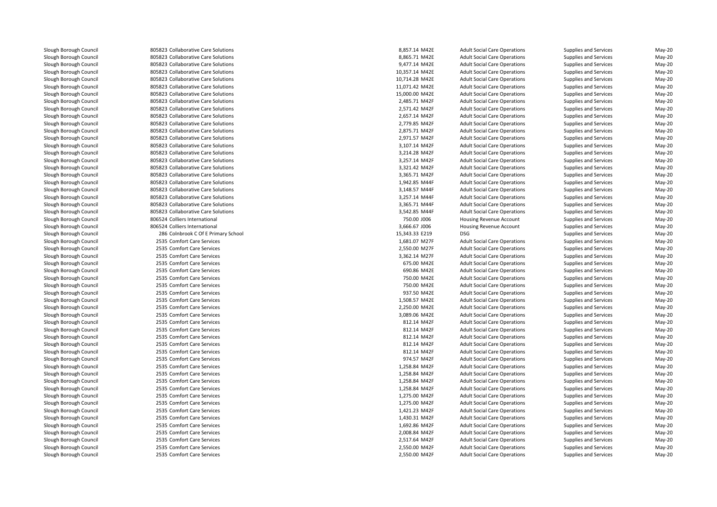805823 Collaborative Care Solutions 805823 Collaborative Care Solutions 805823 Collaborative Care Solutions 805823 Collaborative Care Solutions 805823 Collaborative Care Solutions 805823 Collaborative Care Solutions 805823 Collaborative Care Solutions 805823 Collaborative Care Solutions 805823 Collaborative Care Solutions 805823 Collaborative Care Solutions 805823 Collaborative Care Solutions 805823 Collaborative Care Solutions 805823 Collaborative Care Solutions 805823 Collaborative Care Solutions 805823 Collaborative Care Solutions 805823 Collaborative Care Solutions 805823 Collaborative Care Solutions 805823 Collaborative Care Solutions 805823 Collaborative Care Solutions 805823 Collaborative Care Solutions 805823 Collaborative Care Solutions 805823 Collaborative Care Solutions 805823 Collaborative Care Solutions 806524 Colliers International 806524 Colliers International 286 Colnbrook C Of E Primary School 15,343.33 E219 DSG2535 Comfort Care Services 2535 Comfort Care Services 2535 Comfort Care Services 2535 Comfort Care Services 2535 Comfort Care Services 2535 Comfort Care Services 2535 Comfort Care Services 2535 Comfort Care Services 2535 Comfort Care Services 2535 Comfort Care Services 2535 Comfort Care Services 2535 Comfort Care Services 2535 Comfort Care Services 2535 Comfort Care Services 2535 Comfort Care Services 2535 Comfort Care Services 2535 Comfort Care Services 2535 Comfort Care Services 2535 Comfort Care Services 2535 Comfort Care Services 2535 Comfort Care Services 2535 Comfort Care Services 2535 Comfort Care Services 2535 Comfort Care Services 2535 Comfort Care Services 2535 Comfort Care Services 2535 Comfort Care Services 2535 Comfort Care Services 2535 Comfort Care Services 2535 Comfort Care Services Comfort Care Services 2,550.00 M42F Adult Social Care Operations Supplies and Services May-20

| 3 Collaborative Care Solutions    | 8,857.14 M42E  | <b>Adult Social Care Operations</b> | Supplies and Services | May-20   |
|-----------------------------------|----------------|-------------------------------------|-----------------------|----------|
| 3 Collaborative Care Solutions    | 8,865.71 M42E  | <b>Adult Social Care Operations</b> | Supplies and Services | $May-20$ |
| 3 Collaborative Care Solutions    | 9,477.14 M42E  | <b>Adult Social Care Operations</b> | Supplies and Services | May-20   |
| 3 Collaborative Care Solutions    | 10,357.14 M42E | <b>Adult Social Care Operations</b> | Supplies and Services | $May-20$ |
| 3 Collaborative Care Solutions    | 10,714.28 M42E | <b>Adult Social Care Operations</b> | Supplies and Services | May-20   |
| 3 Collaborative Care Solutions    | 11,071.42 M42E | <b>Adult Social Care Operations</b> | Supplies and Services | May-20   |
| 3 Collaborative Care Solutions    | 15,000.00 M42E | <b>Adult Social Care Operations</b> | Supplies and Services | $May-20$ |
| 3 Collaborative Care Solutions    | 2,485.71 M42F  | <b>Adult Social Care Operations</b> | Supplies and Services | May-20   |
| 3 Collaborative Care Solutions    | 2,571.42 M42F  | <b>Adult Social Care Operations</b> | Supplies and Services | $May-20$ |
| 3 Collaborative Care Solutions    | 2,657.14 M42F  | <b>Adult Social Care Operations</b> | Supplies and Services | $May-20$ |
| 3 Collaborative Care Solutions    | 2,779.85 M42F  | <b>Adult Social Care Operations</b> | Supplies and Services | $May-20$ |
| 3 Collaborative Care Solutions    | 2,875.71 M42F  | <b>Adult Social Care Operations</b> | Supplies and Services | $May-20$ |
| 3 Collaborative Care Solutions    | 2,971.57 M42F  | <b>Adult Social Care Operations</b> | Supplies and Services | $May-20$ |
| 3 Collaborative Care Solutions    | 3,107.14 M42F  | <b>Adult Social Care Operations</b> | Supplies and Services | $May-20$ |
| 3 Collaborative Care Solutions    | 3,214.28 M42F  | <b>Adult Social Care Operations</b> | Supplies and Services | $May-20$ |
| 3 Collaborative Care Solutions    | 3,257.14 M42F  | <b>Adult Social Care Operations</b> | Supplies and Services | $May-20$ |
| 3 Collaborative Care Solutions    | 3,321.42 M42F  | <b>Adult Social Care Operations</b> | Supplies and Services | $May-20$ |
| 3 Collaborative Care Solutions    | 3,365.71 M42F  | <b>Adult Social Care Operations</b> | Supplies and Services | $May-20$ |
| 3 Collaborative Care Solutions    | 1,942.85 M44F  | <b>Adult Social Care Operations</b> | Supplies and Services | May-20   |
| 3 Collaborative Care Solutions    | 3,148.57 M44F  | <b>Adult Social Care Operations</b> | Supplies and Services | $May-20$ |
| 3 Collaborative Care Solutions    | 3,257.14 M44F  | <b>Adult Social Care Operations</b> | Supplies and Services | $May-20$ |
| 3 Collaborative Care Solutions    | 3,365.71 M44F  | <b>Adult Social Care Operations</b> | Supplies and Services | $May-20$ |
| 3 Collaborative Care Solutions    | 3,542.85 M44F  | <b>Adult Social Care Operations</b> | Supplies and Services | $May-20$ |
| 4 Colliers International          | 750.00 J006    | Housing Revenue Account             | Supplies and Services | May-20   |
| 4 Colliers International          | 3,666.67 J006  | Housing Revenue Account             | Supplies and Services | $May-20$ |
| 6 Colnbrook C Of E Primary School | 15,343.33 E219 | <b>DSG</b>                          | Supplies and Services | $May-20$ |
| 5 Comfort Care Services           | 1,681.07 M27F  | <b>Adult Social Care Operations</b> | Supplies and Services | May-20   |
| 5 Comfort Care Services           | 2,550.00 M27F  | <b>Adult Social Care Operations</b> | Supplies and Services | $May-20$ |
| 5 Comfort Care Services           | 3,362.14 M27F  | <b>Adult Social Care Operations</b> | Supplies and Services | $May-20$ |
| 5 Comfort Care Services           | 675.00 M42E    | <b>Adult Social Care Operations</b> | Supplies and Services | May-20   |
| 5 Comfort Care Services           | 690.86 M42E    | <b>Adult Social Care Operations</b> | Supplies and Services | $May-20$ |
| 5 Comfort Care Services           | 750.00 M42E    | <b>Adult Social Care Operations</b> | Supplies and Services | $May-20$ |
| 5 Comfort Care Services           | 750.00 M42E    | <b>Adult Social Care Operations</b> | Supplies and Services | May-20   |
| 5 Comfort Care Services           | 937.50 M42E    | <b>Adult Social Care Operations</b> | Supplies and Services | $May-20$ |
| 5 Comfort Care Services           | 1,508.57 M42E  | <b>Adult Social Care Operations</b> | Supplies and Services | $May-20$ |
| 5 Comfort Care Services           | 2,250.00 M42E  | <b>Adult Social Care Operations</b> | Supplies and Services | $May-20$ |
| 5 Comfort Care Services           | 3,089.06 M42E  | <b>Adult Social Care Operations</b> | Supplies and Services | $May-20$ |
| 5 Comfort Care Services           | 812.14 M42F    | <b>Adult Social Care Operations</b> | Supplies and Services | May-20   |
| 5 Comfort Care Services           | 812.14 M42F    | <b>Adult Social Care Operations</b> | Supplies and Services | $May-20$ |
| 5 Comfort Care Services           | 812.14 M42F    | <b>Adult Social Care Operations</b> | Supplies and Services | May-20   |
| 5 Comfort Care Services           | 812.14 M42F    | <b>Adult Social Care Operations</b> | Supplies and Services | May-20   |
| 5 Comfort Care Services           | 812.14 M42F    | <b>Adult Social Care Operations</b> | Supplies and Services | $May-20$ |
| 5 Comfort Care Services           | 974.57 M42F    | <b>Adult Social Care Operations</b> | Supplies and Services | $May-20$ |
| 5 Comfort Care Services           | 1,258.84 M42F  | <b>Adult Social Care Operations</b> | Supplies and Services | May-20   |
| 5 Comfort Care Services           | 1,258.84 M42F  | <b>Adult Social Care Operations</b> | Supplies and Services | $May-20$ |
| 5 Comfort Care Services           | 1,258.84 M42F  | <b>Adult Social Care Operations</b> | Supplies and Services | $May-20$ |
| 5 Comfort Care Services           | 1,258.84 M42F  | <b>Adult Social Care Operations</b> | Supplies and Services | $May-20$ |
| 5 Comfort Care Services           | 1,275.00 M42F  | <b>Adult Social Care Operations</b> | Supplies and Services | May-20   |
| 5 Comfort Care Services           | 1,275.00 M42F  | <b>Adult Social Care Operations</b> | Supplies and Services | $May-20$ |
| 5 Comfort Care Services           | 1,421.23 M42F  | <b>Adult Social Care Operations</b> | Supplies and Services | $May-20$ |
| 5 Comfort Care Services           | 1,430.31 M42F  | <b>Adult Social Care Operations</b> | Supplies and Services | May-20   |
| 5 Comfort Care Services           | 1,692.86 M42F  | <b>Adult Social Care Operations</b> | Supplies and Services | $May-20$ |
| 5 Comfort Care Services           | 2,008.84 M42F  | <b>Adult Social Care Operations</b> | Supplies and Services | $May-20$ |
| 5 Comfort Care Services           | 2,517.64 M42F  | <b>Adult Social Care Operations</b> | Supplies and Services | May-20   |
| 5 Comfort Care Services           | 2,550.00 M42F  | <b>Adult Social Care Operations</b> | Supplies and Services | $May-20$ |
|                                   |                |                                     |                       |          |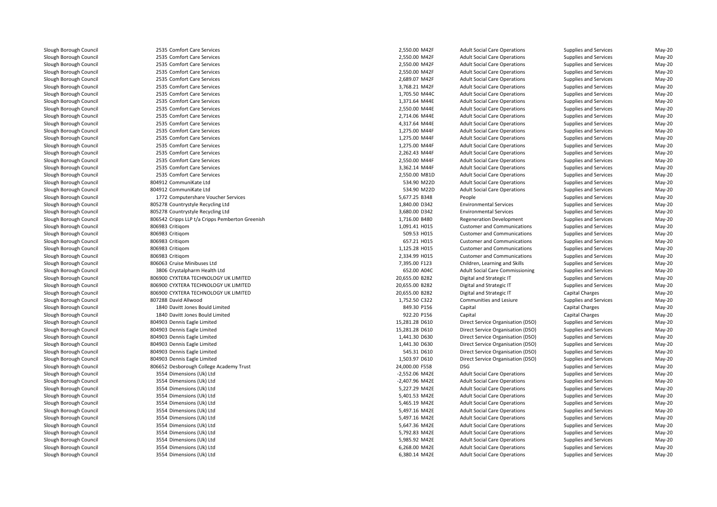2535 Comfort Care Services Comfort Care Services 2,550.00 M42F Adult Social Care Operations Supplies and Services May-20 2535 Comfort Care Services 2535 Comfort Care Services 2535 Comfort Care Services 2535 Comfort Care Services 2535 Comfort Care Services 2535 Comfort Care Services 1,705.50 M44C2535 Comfort Care Services 2535 Comfort Care Services 2535 Comfort Care Services 2535 Comfort Care Services 2535 Comfort Care Services 2535 Comfort Care Services 2535 Comfort Care Services 2535 Comfort Care Services 2535 Comfort Care Services 2535 Comfort Care Services 2535 Comfort Care Services 2,550.00 M81D 804912 CommuniKate Ltd 534.90 M22D 804912 CommuniKate Ltd 534.90 M22D1772 Computershare Voucher Services 805278 Countrystyle Recycling Ltd 805278 Countrystyle Recycling Ltd 806542 Cripps LLP t/a Cripps Pemberton Greenish 806983 Critiqom 806983 Critiqom 806983 Critiqom 806983 Critiqom 806983 Critiqom 806063 Cruise Minibuses Ltd 3806 Crystalpharm Health Ltdd 652.00 A04C 806900 CYXTERA TECHNOLOGY UK LIMITED 806900 CYXTERA TECHNOLOGY UK LIMITED 806900 CYXTERA TECHNOLOGY UK LIMITED 807288 David Allwood 1840 Davitt Jones Bould Limited 1840 Davitt Jones Bould Limited 804903 Dennis Eagle Limited 804903 Dennis Eagle Limited 804903 Dennis Eagle Limited 804903 Dennis Eagle Limited 804903 Dennis Eagle Limited 804903 Dennis Eagle Limited 806652 Desborough College Academy Trust 24,000.00 F558 DSG 3554 Dimensions (Uk) Ltd 3554 Dimensions (Uk) Ltd 3554 Dimensions (Uk) Ltd 3554 Dimensions (Uk) Ltd 3554 Dimensions (Uk) Ltd 3554 Dimensions (Uk) Ltd 3554 Dimensions (Uk) Ltd 3554 Dimensions (Uk) Ltd 3554 Dimensions (Uk) Ltd 3554 Dimensions (Uk) Ltd3554 Dimensions (Uk) Ltd

| 550.00 M42F | Adu          |
|-------------|--------------|
| 550.00 M42F | Adu          |
| 550.00 M42F | Adu          |
| 550.00 M42F | Adu          |
| 689.07 M42F | Adu          |
| 768.21 M42F | Adu          |
| 705.50 M44C | Adu          |
| 371.64 M44E | Adu          |
| 550.00 M44E | Adu          |
| 714.06 M44E | Adu          |
| 317.64 M44E | Adu          |
| 275.00 M44F | Adu          |
| 275.00 M44F | Adu          |
| 275.00 M44F | Adu          |
| 262.43 M44F | Adu          |
| 550.00 M44F | Adu          |
| 362.14 M44F | Adu          |
| 550.00 M81D | Adu          |
| 534.90 M22D | Adu          |
| 534.90 M22D | Adu          |
| 677.25 B348 | Peo          |
| 840.00 D342 | Envi         |
| 680.00 D342 | Envi         |
| 716.00 B480 | Reg          |
| 091.41 H015 | Cust         |
| 509.53 H015 | Cust         |
| 657.21 H015 | Cust         |
| 125.28 H015 | Cust         |
| 334.99 H015 | Cust         |
| 395.00 F123 | Chil         |
| 652.00 A04C | Adu          |
| 655.00 B282 | Digi         |
| 655.00 B282 | Digi         |
| 655.00 B282 | Digi         |
| 752.50 C322 | Con          |
| 849.30 P156 | Cap          |
| 922.20 P156 | Cap          |
| 281.28 D610 | Dire         |
| 281.28 D610 |              |
| 441.30 D630 | Dire<br>Dire |
| 441.30 D630 |              |
|             | Dire         |
| 545.31 D610 | Dire         |
| 503.97 D610 | Dire         |
| 000.00 F558 | <b>DSG</b>   |
| 552.06 M42E | Adu          |
| 407.96 M42E | Adu          |
| 227.29 M42E | Adu          |
| 401.53 M42E | Adu          |
| 465.19 M42E | Adu          |
| 497.16 M42E | Adu          |
| 497.16 M42E | Adu          |
| 647.36 M42E | Adu          |
| 792.83 M42E | Adu          |
| 985.92 M42E | Adu          |
| 268.00 M42E | Adu          |

 Comfort Care Services 2,550.00 M42F Adult Social Care Operations Supplies and Services May-20 Comfort Care Services 2,550.00 M42F Adult Social Care Operations Supplies and Services May-20 Comfort Care Services 2,550.00 M42F Adult Social Care Operations Supplies and Services May-20 Comfort Care Services 2,689.07 M42F Adult Social Care Operations Supplies and Services May-20 S Comfort Care Services 3,768.21 M42F Adult Social Care Operations Supplies and Services May-20 alt Social Care Operations **Supplies and Services** May-20<br>At Social Care Operations Supplies and Services May-20 Comfort Care Services 1,371.64 M44E Adult Social Care Operations Supplies and Services May-20 Comfort Care Services 2,550.00 M44E Adult Social Care Operations Supplies and Services May-20 Comfort Care Services 2,714.06 M44E Adult Social Care Operations Supplies and Services May-20 5 Comfort Care Services **1988 May-20** 4,317.64 M44E Adult Social Care Operations Supplies and Services May-20 Comfort Care Services 1,275.00 M44F Adult Social Care Operations Supplies and Services May-20 Comfort Care Services 1,275.00 M44F Adult Social Care Operations Supplies and Services May-20 Comfort Care Services 1,275.00 M44F Adult Social Care Operations Supplies and Services May-20 Comfort Care Services 2,262.43 M44F Adult Social Care Operations Supplies and Services May-20 Comfort Care Services 2,550.00 M44F Adult Social Care Operations Supplies and Services May-20 Comfort Care Services 3,362.14 M44F Adult Social Care Operations Supplies and Services May-20 alt Social Care Operations **Supplies and Services** May-20<br>At Social Care Operations Supplies and Services May-20 alt Social Care Operations **Supplies and Services** May-20<br>At Social Care Operations Supplies and Services May-20 alt Social Care Operations **Supplies and Services** May-20<br>Adv-20 Supplies and Services May-20 2 Computershare Voucher Services **6,677.25 B348** People People Supplies and Services May-20 1,840.00 D342 Environmental Services Supplies and Services May-20 3,680.00 D342 Environmental Services Supplies and Services May-20 h 1,716.00 B480 Regeneration Development Supplies and Services May-20 n and Communications Customer and Communications Supplies and Services May-20<br>May-20 509.53 HO15 Customer and Communications Supplies and Services May-20<br>Services May-20 for the content of the content of the content of the content of the content of the content of the content of the content of the content of the content of the content of the content of the content of the content of the cont m and Communications of the Customer and Communications Supplies and Services May-20<br>May-20 Supplies and Services May-20 Supplies and Services May-20 Supplies and Services May-20 Supplies and Ser m and Communications Cast Customer and Communications Supplies and Services May-20<br>Customer and Services May-20<br>Customer May-20 d entity and School Formula Children, Learning and Skills Supplies and Services May-20 alt Social Care Commissioning Supplies and Services and Services May-20<br>
ital and Strategic IT Supplies and Services May-20 20,655.00 B282 Digital and Strategic IT Supplies and Services May-20 20,655.00 B282 Digital and Strategic IT Supplies and Services May-20 20,655.00 B282 Digital and Strategic IT Capital Charges May-20 d extending to the state of 1,752.50 C322 communities and Lesiure Supplies and Services May-20 communities and Lesiure d extending the state of the S49.30 P156 Capital Capital Capital Charges Capital Charges May-20 d extending the state of the S22.20 P156 Capital Capital Capital Charges Capital Charges May-20 15,281.28 D610 Direct Service Organisation (DSO) Supplies and Services May-20 May-20<br>15,281.28 D610 Direct Service Organisation (DSO) Supplies and Services May-20 15,281.28 D610 Direct Service Organisation (DSO) Supplies and Services May-20 1,441.30 D630 Direct Service Organisation (DSO) Supplies and Services May-20 1,441.30 D630 Direct Service Organisation (DSO) Supplies and Services May-20 545.31 D610 Direct Service Organisation (DSO) Supplies and Services May-20 1,503.97 D610 Direct Service Organisation (DSO) Supplies and Services May-20 Supplies and Services May-20<br>Interview Supplies and Services May-20<br>May-20 May-20 d extending the Lagrange of Adult Social Care Operations Supplies and Services May-20 d extending the C2,407.96 M42E Adult Social Care Operations Supplies and Services May-20 d Share Coreal Care Cover Lagrange State Coreal Care Adult Social Care Operations Supplies and Services May-20 d Shang and Samuel Care Cover and Services Supplies and Services May-20 and Services May-20 and Services May-20 d Shanghalt Shang Care Cover Adult Social Care Operations Supplies and Services May-20 5,497.16 M42E Adult Social Care Operations Supplies and Services May-20 5,497.16 M42E Adult Social Care Operations Supplies and Services May-20 5,647.36 M42E Adult Social Care Operations Supplies and Services May-20 d Shang and Samples and Services State Care Constants Adult Social Care Operations Supplies and Services May-20 d Shang and Shang Shang Shang Adult Social Care Operations Supplies and Services May-20 d extending the S,268.00 M42E Adult Social Care Operations Supplies and Services May-20 d extending the S,380.14 M42E Adult Social Care Operations Supplies and Services May-20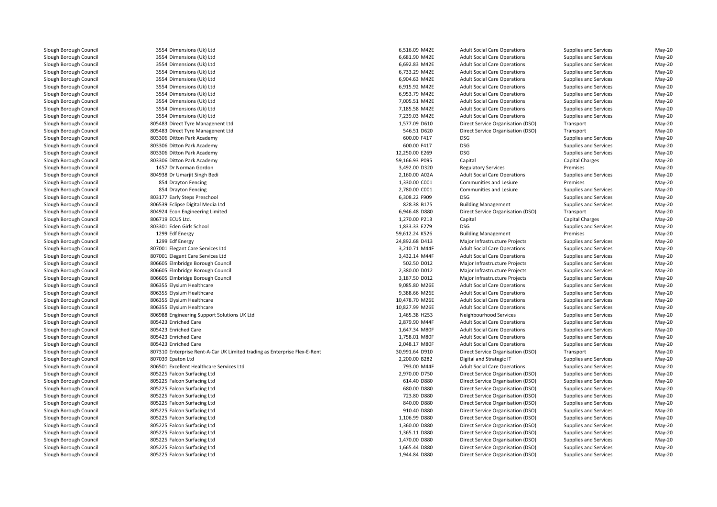3554 Dimensions (Uk) Ltdd extending the S516.09 M42E Adult Social Care Operations Supplies and Services May-20 3554 Dimensions (Uk) Ltd 3554 Dimensions (Uk) Ltd 3554 Dimensions (Uk) Ltd 3554 Dimensions (Uk) Ltd 3554 Dimensions (Uk) Ltd 3554 Dimensions (Uk) Ltd 3554 Dimensions (Uk) Ltd 3554 Dimensions (Uk) Ltd 3554 Dimensions (Uk) Ltd 805483 Direct Tyre Managenent Ltd 805483 Direct Tyre Managenent Ltdl 1993 - 1993 - 1994 - 1998 - 1998 - 1999 - 1999 - 1998 - 1999 - 1999 - 1999 - 1999 - 1999 - 1999 - 1999 - 199 l 1992 - Booston Park Academy 1993 - Andreas Company of the Superior Company of the Superior Company of the Superior Company of the Superior Company of the Superior Company of the Superior Company of the Superior Company o 803306 Ditton Park Academy Ditton Park Academy 12,250.00 E269 DSG803306 Ditton Park Academy Ditton Park Academy 59,166.93 P095 Capital Capital Charges May-20 1457 Dr Norman Gordon 804938 Dr Umarjit Singh Bedi 2,160.00 A02A854 Dravton Fencing A Drayton Fencing Termises and Lesiure 1,330.00 Communities and Lesiure Premises Premises Premises May-20 854 Drayton Fencing 4 Drayton Fencing 2,780.00 Communities and Lesiure Supplies and Services May-20 l and the steps of the SS23177 Early Steps Preschool **6,308.22 F909** DSG energy and the SS26 F909 DSG energy and the SS26 F909 DSG energy and the SS26 F909 DSG energy and the SS26 F909 DSG energy and the SS26 F909 DSG ener 806539 Eclipse Digital Media Ltd 804924 Econ Engineering Limited806719 FCUS Ltd. ECUS Ltd. 1,270.00 P213 Capital Capital Charges May-20 803301 Eden Girls School Eden Girls School 1,833.33 E279 DSG1299 Edf Energy Edf Energy 59,612.24 K526 Building Management Premises May-20 1299 Edf Energy Edf Energy 24,892.68 D413 Major Infrastructure Projects Supplies and Services May-20 807001 Elegant Care Services Ltd 807001 Elegant Care Services Ltd806605 Elmbridge Borough Council Elmbridge Borough Council 502.50 D012 Major Infrastructure Projects Supplies and Services May-20 806605 Elmbridge Borough Council Elmbridge Borough Council 2,380.00 D012 Major Infrastructure Projects Supplies and Services May-20 806605 Elmbridge Borough Council Elmbridge Borough Council 3,187.50 D012 Major Infrastructure Projects Supplies and Services May-20 806355 Elysium Healthcare Elysium Healthcare 9,085.80 M26E Adult Social Care Operations Supplies and Services May-20 806355 Elysium Healthcare 5 Elysium Healthcare **19,388.66 M26E** Adult Social Care Operations Supplies and Services May-20 806355 Elysium Healthcare Elysium Healthcare 10,478.70 M26E Adult Social Care Operations Supplies and Services May-20 806355 Elvsium Healthcare Elysium Healthcare 10,827.99 M26E Adult Social Care Operations Supplies and Services May-20 806988 Engineering Support Solutions UK Ltd805423 Enriched Care Enriched Care 2,879.90 M44F Adult Social Care Operations Supplies and Services May-20 805423 Enriched Care Enriched Care 1,647.34 M80F Adult Social Care Operations Supplies and Services May-20 805423 Enriched Care Enriched Care 1,758.01 M80F Adult Social Care Operations Supplies and Services May-20 805423 Enriched Care Enriched Care 2,048.17 M80F Adult Social Care Operations Supplies and Services May-20 807310 Enterprise Rent-A-Car UK Limited trading as Enterprise Flex-E-Rent 30,991.64 D910 Direct Service Organisation (DSO) Transport May-20 807039 Epaton Ltd 806501 Excellent Healthcare Services Ltd 805225 Falcon Surfacing Ltd 805225 Falcon Surfacing Ltd 805225 Falcon Surfacing Ltd 805225 Falcon Surfacing Ltd 805225 Falcon Surfacing Ltd 805225 Falcon Surfacing Ltd 805225 Falcon Surfacing Ltd 805225 Falcon Surfacing Ltd 805225 Falcon Surfacing Ltd 805225 Falcon Surfacing Ltd805225 Falcon Surfacing Ltd

d extending the Gold Gold Gast Care Constants Care Constants Constants Constants Constants Constants Constants Constants Constants Constants Constants Constants Constants Constants Constants Constants Constants Constants C d extending the G,692.83 M42E Adult Social Care Operations Supplies and Services May-20 6,733.29 M42E Adult Social Care Operations Supplies and Services May-20<br>6,904.63 M42E Adult Social Care Operations Supplies and Services May-20 d extending the S,904.63 M42E Adult Social Care Operations Supplies and Services May-20 d extending the Space of Adult Social Care Operations Supplies and Services May-20 6,953.79 M42E Adult Social Care Operations Supplies and Services May-20<br>1.005.51 M42E Adult Social Care Operations Supplies and Services May-20 d and the T<sub>7</sub>,005.51 M42E Adult Social Care Operations Supplies and Services May-20 d and the State of The State Care Cover and Services May-20 and Services May-20 and Services May-20 and Services May-20 and Services May-20 and Services May-20 and Services May-20 and Services State Operations and Services d and the Care Care Care Adult Social Care Operations Supplies and Services May-20 and Services May-20 1,577.09 D610 Direct Service Organisation (DSO) Transport Cases and May-20 May-20<br>1946.51 D620 Direct Service Organisation (DSO) Transport Cases May-20 546.51 D620 Direct Service Organisation (DSO) Transport Cass of May-20 May-20<br>600.00 F417 DSG DSG Supplies and Services May-20 Supplies and Services May-20<br>
Supplies and Services May-20<br>
May-20 Supplies and Services May-20 DSG DESCONSILIES Supplies and Services May-20 May-20<br>
Capital Charges Capital Charges May-20 n and the state of the state of the state of the state of the state of the state of the state of the state of the state of the state of the state of the state of the state of the state of the state of the state of the stat 2,160.00 A02A 
Adult Social Care Operations
201 
2.160.00 A02A

Adult Social Care Operations
20
201

2.330.00 C001

Communities and Lesiure
20

2.330.00

2.330.00

2.330.00

2.330.00

2.330.00

2.330.00

2.330.00

2.330.00 DSG DSG May-20<br>Building Management Supplies and Services May-20 d S28.38 B175 Building Management Supplies and Services May-20 6,946.48 D880 Direct Service Organisation (DSO) Transport May-20 DSG Supplies and Services May-20<br>
Building Management Christianus Premises May-20<br>
Premises Premises May-20 d Samples and Services May-20 and Services Supplies and Services May-20 and Services May-20 and Services May-20 d San Samman and the State of Adult Social Care Operations Supplies and Services May-20 and Services May-20 and Services May-20 and Services State of May-20 and Services State of May-20 and Services State of May-20 and Ser 1,465.38 H253 Neighbourhood Services Supplies and Services May-20 d Charlotter Charlotter and Strategic IT All the Supplies and Services May-20 and Services May-20 and Services May-20 and Services May-20 and Services Strategic IT All the Supplies and Services May-20 and Services May-20 a 793.00 M44F Adult Social Care Operations Supplies and Services May-20<br>1970.00 D750 Direct Service Organisation (DSO) Supplies and Services May-20 2,970.00 D750 Direct Service Organisation (DSO) Supplies and Services May-20 614.40 D880 Direct Service Organisation (DSO) Supplies and Services May-20 680.00 D880 Direct Service Organisation (DSO) Supplies and Services May-20 May-20<br>23.80 D880 Direct Service Organisation (DSO) Supplies and Services May-20 723.80 D880 Direct Service Organisation (DSO) Supplies and Services May-20 840.00 D880 Direct Service Organisation (DSO) Supplies and Services May-20 May-20<br>910.40 D880 Direct Service Organisation (DSO) Supplies and Services May-20 910.40 D880 Direct Service Organisation (DSO) Supplies and Services May-20 May-20<br>1,106.99 D880 Direct Service Organisation (DSO) Supplies and Services May-20 1,106.99 D880 Direct Service Organisation (DSO) Supplies and Services May-20 May-20<br>1,360.00 D880 Direct Service Organisation (DSO) Supplies and Services May-20 1,360.00 D880 Direct Service Organisation (DSO) Supplies and Services May-20 May-20<br>1,365.11 D880 Direct Service Organisation (DSO) Supplies and Services May-20 1,365.11 D880 Direct Service Organisation (DSO) Supplies and Services May-20 May-20<br>1,470.00 D880 Direct Service Organisation (DSO) Supplies and Services May-20 1,470.00 D880 Direct Service Organisation (DSO) Supplies and Services May-20<br>1,665.44 D880 Direct Service Organisation (DSO) Supplies and Services May-20 1,665.44 D880 Direct Service Organisation (DSO) Supplies and Services May-20 May-20<br>1,944.84 D880 Direct Service Organisation (DSO) Supplies and Services May-20 1,944.84 D880 Direct Service Organisation (DSO) Supplies and Services May-20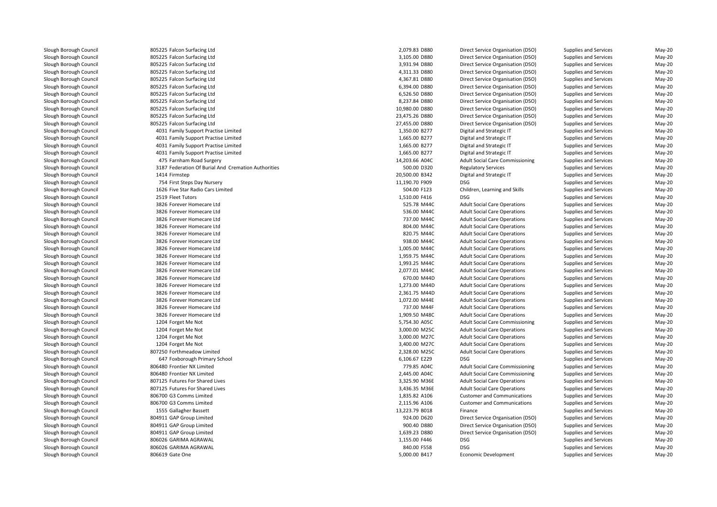| 805225 Falcon Surfacing Ltd                         | 2,079.83 D880  | Direct Service Organisation (DSO)               | Supplies and Services                          | May-20           |
|-----------------------------------------------------|----------------|-------------------------------------------------|------------------------------------------------|------------------|
| 805225 Falcon Surfacing Ltd                         | 3,105.00 D880  | Direct Service Organisation (DSO)               | Supplies and Services                          | May-20           |
| 805225 Falcon Surfacing Ltd                         | 3,931.94 D880  | Direct Service Organisation (DSO)               | Supplies and Services                          | May-20           |
| 805225 Falcon Surfacing Ltd                         | 4,311.33 D880  | Direct Service Organisation (DSO)               | Supplies and Services                          | $May-20$         |
| 805225 Falcon Surfacing Ltd                         | 4,367.81 D880  | Direct Service Organisation (DSO)               | Supplies and Services                          | May-20           |
| 805225 Falcon Surfacing Ltd                         | 6,394.00 D880  | Direct Service Organisation (DSO)               | Supplies and Services                          | May-20           |
| 805225 Falcon Surfacing Ltd                         | 6,526.50 D880  | Direct Service Organisation (DSO)               | Supplies and Services                          | $May-20$         |
| 805225 Falcon Surfacing Ltd                         | 8,237.84 D880  | Direct Service Organisation (DSO)               | Supplies and Services                          | May-20           |
| 805225 Falcon Surfacing Ltd                         | 10,980.00 D880 | Direct Service Organisation (DSO)               | Supplies and Services                          | $May-20$         |
| 805225 Falcon Surfacing Ltd                         | 23,475.26 D880 | Direct Service Organisation (DSO)               | Supplies and Services                          | May-20           |
| 805225 Falcon Surfacing Ltd                         | 27,455.00 D880 | Direct Service Organisation (DSO)               | Supplies and Services                          | $May-20$         |
| 4031 Family Support Practise Limited                | 1,350.00 B277  | Digital and Strategic IT                        | Supplies and Services                          | May-20           |
| 4031 Family Support Practise Limited                | 1,665.00 B277  | Digital and Strategic IT                        | Supplies and Services                          | May-20           |
| 4031 Family Support Practise Limited                | 1,665.00 B277  | Digital and Strategic IT                        | Supplies and Services                          | May-20           |
| 4031 Family Support Practise Limited                | 1,665.00 B277  | Digital and Strategic IT                        | Supplies and Services                          | $May-20$         |
| 475 Farnham Road Surgery                            | 14,203.66 A04C | <b>Adult Social Care Commissioning</b>          | Supplies and Services                          | May-20           |
| 3187 Federation Of Burial And Cremation Authorities | 500.00 D320    | <b>Regulatory Services</b>                      | Supplies and Services                          | $May-20$         |
| 1414 Firmstep                                       | 20,500.00 B342 | Digital and Strategic IT                        | Supplies and Services                          | May-20           |
| 754 First Steps Day Nursery                         | 11,190.70 F909 | <b>DSG</b>                                      | Supplies and Services                          | $May-20$         |
| 1626 Five Star Radio Cars Limited                   | 504.00 F123    | Children, Learning and Skills                   | Supplies and Services                          | $May-20$         |
| 2519 Fleet Tutors                                   | 1,510.00 F416  | <b>DSG</b>                                      | Supplies and Services                          | May-20           |
| 3826 Forever Homecare Ltd                           | 525.78 M44C    | <b>Adult Social Care Operations</b>             | Supplies and Services                          | $May-20$         |
| 3826 Forever Homecare Ltd                           | 536.00 M44C    | <b>Adult Social Care Operations</b>             | Supplies and Services                          | $May-20$         |
| 3826 Forever Homecare Ltd                           | 737.00 M44C    | <b>Adult Social Care Operations</b>             | Supplies and Services                          | $May-20$         |
| 3826 Forever Homecare Ltd                           | 804.00 M44C    | <b>Adult Social Care Operations</b>             | Supplies and Services                          | $May-20$         |
| 3826 Forever Homecare Ltd                           | 820.75 M44C    | <b>Adult Social Care Operations</b>             | Supplies and Services                          | $May-20$         |
| 3826 Forever Homecare Ltd                           | 938.00 M44C    | <b>Adult Social Care Operations</b>             | Supplies and Services                          | $May-20$         |
| 3826 Forever Homecare Ltd                           | 1,005.00 M44C  | <b>Adult Social Care Operations</b>             | Supplies and Services                          | $May-20$         |
| 3826 Forever Homecare Ltd                           | 1,959.75 M44C  | <b>Adult Social Care Operations</b>             | Supplies and Services                          | May-20           |
| 3826 Forever Homecare Ltd                           | 1,993.25 M44C  | <b>Adult Social Care Operations</b>             | Supplies and Services                          | $May-20$         |
| 3826 Forever Homecare Ltd                           | 2,077.01 M44C  | <b>Adult Social Care Operations</b>             | Supplies and Services                          | May-20           |
| 3826 Forever Homecare Ltd                           | 670.00 M44D    | <b>Adult Social Care Operations</b>             | Supplies and Services                          | $May-20$         |
| 3826 Forever Homecare Ltd                           | 1,273.00 M44D  | <b>Adult Social Care Operations</b>             | Supplies and Services                          | May-20           |
| 3826 Forever Homecare Ltd                           | 2,361.75 M44D  | <b>Adult Social Care Operations</b>             | Supplies and Services                          | May-20           |
| 3826 Forever Homecare Ltd                           | 1,072.00 M44E  | <b>Adult Social Care Operations</b>             | Supplies and Services                          | $May-20$         |
| 3826 Forever Homecare Ltd                           | 737.00 M44F    | <b>Adult Social Care Operations</b>             | Supplies and Services                          | May-20           |
| 3826 Forever Homecare Ltd                           | 1,909.50 M48C  | <b>Adult Social Care Operations</b>             | Supplies and Services                          | $May-20$         |
| 1204 Forget Me Not                                  | 5,754.30 A05C  | <b>Adult Social Care Commissioning</b>          | Supplies and Services                          | $May-20$         |
| 1204 Forget Me Not                                  | 3,000.00 M25C  | <b>Adult Social Care Operations</b>             | Supplies and Services                          | $May-20$         |
| 1204 Forget Me Not                                  | 3,000.00 M27C  | <b>Adult Social Care Operations</b>             | Supplies and Services                          | $May-20$         |
| 1204 Forget Me Not                                  | 3,400.00 M27C  | <b>Adult Social Care Operations</b>             | Supplies and Services                          | May-20           |
| 807250 Forthmeadow Limited                          | 2,328.00 M25C  | <b>Adult Social Care Operations</b>             | Supplies and Services                          | May-20           |
| 647 Foxborough Primary School                       | 6,106.67 E229  | <b>DSG</b>                                      | Supplies and Services                          | May-20           |
| 806480 Frontier NX Limited                          | 779.85 A04C    | <b>Adult Social Care Commissioning</b>          | Supplies and Services                          | May-20           |
| 806480 Frontier NX Limited                          | 2,445.00 A04C  | <b>Adult Social Care Commissioning</b>          | Supplies and Services                          | $May-20$         |
| 807125 Futures For Shared Lives                     | 3,325.90 M36E  | <b>Adult Social Care Operations</b>             | Supplies and Services                          | $May-20$         |
| 807125 Futures For Shared Lives                     | 3,436.35 M36E  | <b>Adult Social Care Operations</b>             | Supplies and Services                          | $May-20$         |
| 806700 G3 Comms Limited                             | 1,835.82 A106  | <b>Customer and Communications</b>              | Supplies and Services                          | $May-20$         |
| 806700 G3 Comms Limited                             | 2,115.96 A106  | <b>Customer and Communications</b>              | Supplies and Services                          | $May-20$         |
| 1555 Gallagher Bassett                              | 13,223.79 B018 | Finance                                         | Supplies and Services                          | May-20           |
| 804911 GAP Group Limited                            | 924.00 D620    | Direct Service Organisation (DSO)               | Supplies and Services                          | May-20           |
| 804911 GAP Group Limited                            | 900.40 D880    | Direct Service Organisation (DSO)               | Supplies and Services                          | $May-20$         |
| 804911 GAP Group Limited                            | 1,639.23 D880  |                                                 |                                                |                  |
| 806026 GARIMA AGRAWAL                               | 1,155.00 F446  | Direct Service Organisation (DSO)<br><b>DSG</b> | Supplies and Services<br>Supplies and Services | May-20           |
| 806026 GARIMA AGRAWAL                               | 840.00 F558    | <b>DSG</b>                                      | Supplies and Services                          | May-20<br>May-20 |
|                                                     | E 000.00 B417  | Economic Dovelopment                            | Cupplies and Convice                           | $M_{21}$ , 20    |
|                                                     |                |                                                 |                                                |                  |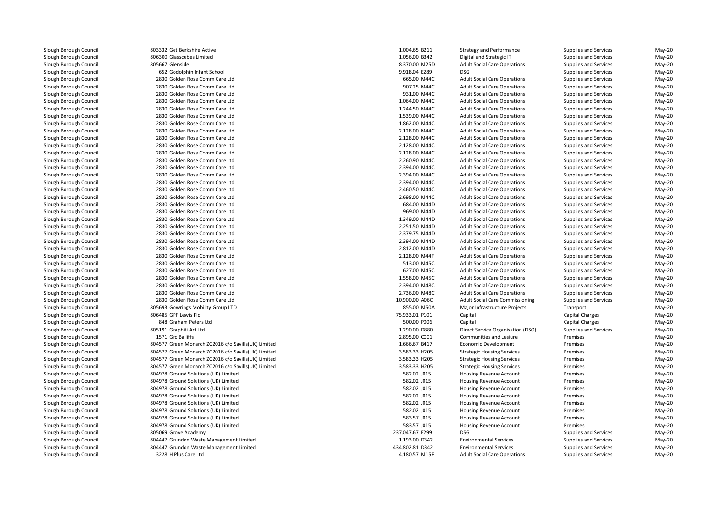803332 Get Berkshire Active 806300 Glasscubes Limited805667 Glenside Glenside 8,370.00 M25D 652 Godolphin Infant School 9,918.04 E289 DSG 2830 Golden Rose Comm Care Ltdd 665.00 M44C 2830 Golden Rose Comm Care Ltdd 907.25 M44C 2830 Golden Rose Comm Care Ltdd 931.00 M44C 2830 Golden Rose Comm Care Ltdd 1,064.00 M44C 2830 Golden Rose Comm Care Ltd $1,244.50$  M44C 2830 Golden Rose Comm Care Ltd 1,539.00 M44C 2830 Golden Rose Comm Care Ltd 1,862.00 M44C 2830 Golden Rose Comm Care Ltd 2,128.00 M44C 2830 Golden Rose Comm Care Ltd 2,128.00 M44C 2830 Golden Rose Comm Care Ltd 2,128.00 M44C 2830 Golden Rose Comm Care Ltd 2,128.00 M44C 2830 Golden Rose Comm Care Ltd 2,260.90 M44C 2830 Golden Rose Comm Care Ltd 2,394.00 M44C 2830 Golden Rose Comm Care Ltd 2,394.00 M44C 2830 Golden Rose Comm Care Ltd 2,394.00 M44C 2830 Golden Rose Comm Care Ltd 2,460.50 M44C 2830 Golden Rose Comm Care Ltd 2,698.00 M44C 2830 Golden Rose Comm Care Ltdd 684.00 M44D 2830 Golden Rose Comm Care Ltdd 969.00 M44D 2830 Golden Rose Comm Care Ltdd 1,349.00 M44D 2830 Golden Rose Comm Care Ltd 2,251.50 M44D 2830 Golden Rose Comm Care Ltd 2,379.75 M44D 2830 Golden Rose Comm Care Ltd 2,394.00 M44D 2830 Golden Rose Comm Care Ltd 2,812.00 M44D 2830 Golden Rose Comm Care Ltd 2830 Golden Rose Comm Care Ltd 513.00 M45C 2830 Golden Rose Comm Care Ltd 627.00 M45C 2830 Golden Rose Comm Care Ltd 1,558.00 M45C 2830 Golden Rose Comm Care Ltd 2,394.00 M48C 2830 Golden Rose Comm Care Ltd 2,736.00 M48C 2830 Golden Rose Comm Care Ltd 10,900.00 A06C 805693 Gowrings Mobility Group LTD806485 GPF Lewis Plc 848 Graham Peters Ltd 805191 Graphiti Art Ltd1571 Grc Bailiffs 804577 Green Monarch ZC2016 c/o Savills(UK) Limited 804577 Green Monarch ZC2016 c/o Savills(UK) Limited 804577 Green Monarch ZC2016 c/o Savills(UK) Limited 804577 Green Monarch ZC2016 c/o Savills(UK) Limited 804978 Ground Solutions (UK) Limited 804978 Ground Solutions (UK) Limited 804978 Ground Solutions (UK) Limited 804978 Ground Solutions (UK) Limited 804978 Ground Solutions (UK) Limited 804978 Ground Solutions (UK) Limited 804978 Ground Solutions (UK) Limited 804978 Ground Solutions (UK) Limited805069 Grove Academy Grove Academy 237,047.67 E299 DSG 804447 Grundon Waste Management Limited 804447 Grundon Waste Management Limited3228 H Plus Care Ltd

| 2 Get Berkshire Active                         | 1,004.65 B211                  | <b>Strategy and Performance</b>        | <b>Supplies and Services</b> | May-20   |
|------------------------------------------------|--------------------------------|----------------------------------------|------------------------------|----------|
| 0 Glasscubes Limited                           | 1,056.00 B342                  | Digital and Strategic IT               | Supplies and Services        | May-20   |
| 7 Glenside                                     | 8,370.00 M25D                  | <b>Adult Social Care Operations</b>    | Supplies and Services        | May-20   |
| 2 Godolphin Infant School                      | 9,918.04 E289                  | <b>DSG</b>                             | Supplies and Services        | May-20   |
| 0 Golden Rose Comm Care Ltd                    | 665.00 M44C                    | <b>Adult Social Care Operations</b>    | Supplies and Services        | $May-20$ |
| 0 Golden Rose Comm Care Ltd                    | 907.25 M44C                    | <b>Adult Social Care Operations</b>    | Supplies and Services        | May-20   |
| 0 Golden Rose Comm Care Ltd                    | 931.00 M44C                    | <b>Adult Social Care Operations</b>    | Supplies and Services        | May-20   |
| 0 Golden Rose Comm Care Ltd                    | 1,064.00 M44C                  | <b>Adult Social Care Operations</b>    | Supplies and Services        | $May-20$ |
| 0 Golden Rose Comm Care Ltd                    | 1,244.50 M44C                  | <b>Adult Social Care Operations</b>    | Supplies and Services        | May-20   |
| 0 Golden Rose Comm Care Ltd                    | 1,539.00 M44C                  | <b>Adult Social Care Operations</b>    | <b>Supplies and Services</b> | May-20   |
| 0 Golden Rose Comm Care Ltd                    | 1,862.00 M44C                  | <b>Adult Social Care Operations</b>    | Supplies and Services        | $May-20$ |
| 0 Golden Rose Comm Care Ltd                    | 2,128.00 M44C                  | <b>Adult Social Care Operations</b>    | Supplies and Services        | May-20   |
| 0 Golden Rose Comm Care Ltd                    | 2,128.00 M44C                  | <b>Adult Social Care Operations</b>    | Supplies and Services        | $May-20$ |
| 0 Golden Rose Comm Care Ltd                    | 2,128.00 M44C                  | <b>Adult Social Care Operations</b>    | Supplies and Services        | $May-20$ |
| 0 Golden Rose Comm Care Ltd                    | 2,128.00 M44C                  | <b>Adult Social Care Operations</b>    | Supplies and Services        | May-20   |
| 0 Golden Rose Comm Care Ltd                    | 2,260.90 M44C                  | <b>Adult Social Care Operations</b>    | Supplies and Services        | $May-20$ |
| 0 Golden Rose Comm Care Ltd                    | 2,394.00 M44C                  | <b>Adult Social Care Operations</b>    | Supplies and Services        | $May-20$ |
| 0 Golden Rose Comm Care Ltd                    | 2,394.00 M44C                  | <b>Adult Social Care Operations</b>    | Supplies and Services        | May-20   |
| 0 Golden Rose Comm Care Ltd                    | 2,394.00 M44C                  | <b>Adult Social Care Operations</b>    | Supplies and Services        | $May-20$ |
| 0 Golden Rose Comm Care Ltd                    | 2,460.50 M44C                  | <b>Adult Social Care Operations</b>    | Supplies and Services        | May-20   |
| 0 Golden Rose Comm Care Ltd                    | 2,698.00 M44C                  | <b>Adult Social Care Operations</b>    | Supplies and Services        | May-20   |
| 0 Golden Rose Comm Care Ltd                    | 684.00 M44D                    | <b>Adult Social Care Operations</b>    | Supplies and Services        | $May-20$ |
| 0 Golden Rose Comm Care Ltd                    | 969.00 M44D                    | <b>Adult Social Care Operations</b>    | Supplies and Services        | May-20   |
| 0 Golden Rose Comm Care Ltd                    | 1,349.00 M44D                  | <b>Adult Social Care Operations</b>    | <b>Supplies and Services</b> | $May-20$ |
| 0 Golden Rose Comm Care Ltd                    | 2,251.50 M44D                  | <b>Adult Social Care Operations</b>    | Supplies and Services        | $May-20$ |
| 0 Golden Rose Comm Care Ltd                    | 2,379.75 M44D                  | <b>Adult Social Care Operations</b>    | Supplies and Services        | May-20   |
| 0 Golden Rose Comm Care Ltd                    | 2,394.00 M44D                  | <b>Adult Social Care Operations</b>    | Supplies and Services        | $May-20$ |
| 0 Golden Rose Comm Care Ltd                    | 2,812.00 M44D                  | <b>Adult Social Care Operations</b>    | Supplies and Services        | $May-20$ |
| 0 Golden Rose Comm Care Ltd                    | 2,128.00 M44F                  | <b>Adult Social Care Operations</b>    | Supplies and Services        | May-20   |
| 0 Golden Rose Comm Care Ltd                    | 513.00 M45C                    | <b>Adult Social Care Operations</b>    | Supplies and Services        | $May-20$ |
| 0 Golden Rose Comm Care Ltd                    | 627.00 M45C                    | <b>Adult Social Care Operations</b>    | Supplies and Services        | $May-20$ |
| 0 Golden Rose Comm Care Ltd                    | 1,558.00 M45C                  | <b>Adult Social Care Operations</b>    | Supplies and Services        | May-20   |
| 0 Golden Rose Comm Care Ltd                    | 2,394.00 M48C                  | <b>Adult Social Care Operations</b>    | Supplies and Services        | $May-20$ |
| 0 Golden Rose Comm Care Ltd                    | 2,736.00 M48C                  | <b>Adult Social Care Operations</b>    | Supplies and Services        | May-20   |
| 0 Golden Rose Comm Care Ltd                    | 10,900.00 A06C                 | <b>Adult Social Care Commissioning</b> | <b>Supplies and Services</b> | May-20   |
| 3 Gowrings Mobility Group LTD                  | 855.00 M50A                    | Major Infrastructure Projects          | Transport                    | $May-20$ |
| 5 GPF Lewis Plc                                | 75,933.01 P101                 | Capital                                | Capital Charges              | May-20   |
| 8 Graham Peters Ltd                            | 500.00 P006                    | Capital                                | <b>Capital Charges</b>       | May-20   |
| 1 Graphiti Art Ltd                             | 1,290.00 D880                  | Direct Service Organisation (DSO)      | Supplies and Services        | $May-20$ |
| 1 Grc Bailiffs                                 | 2,895.00 C001                  | Communities and Lesiure                | Premises                     | May-20   |
| 7 Green Monarch ZC2016 c/o Savills(UK) Limited | 1,666.67 B417                  | Economic Development                   | Premises                     | $May-20$ |
| 7 Green Monarch ZC2016 c/o Savills(UK) Limited | 3,583.33 H205                  | <b>Strategic Housing Services</b>      | Premises                     | $May-20$ |
|                                                |                                |                                        |                              |          |
| 7 Green Monarch ZC2016 c/o Savills(UK) Limited | 3,583.33 H205<br>3,583.33 H205 | <b>Strategic Housing Services</b>      | Premises<br>Premises         | May-20   |
| 7 Green Monarch ZC2016 c/o Savills(UK) Limited |                                | <b>Strategic Housing Services</b>      |                              | $May-20$ |
| 8 Ground Solutions (UK) Limited                | 582.02 J015                    | Housing Revenue Account                | Premises                     | $May-20$ |
| 8 Ground Solutions (UK) Limited                | 582.02 J015                    | Housing Revenue Account                | Premises                     | May-20   |
| 8 Ground Solutions (UK) Limited                | 582.02 J015                    | Housing Revenue Account                | Premises                     | $May-20$ |
| 8 Ground Solutions (UK) Limited                | 582.02 J015                    | <b>Housing Revenue Account</b>         | Premises                     | $May-20$ |
| 8 Ground Solutions (UK) Limited                | 582.02 J015                    | Housing Revenue Account                | Premises                     | $May-20$ |
| 8 Ground Solutions (UK) Limited                | 582.02 J015                    | Housing Revenue Account                | Premises                     | $May-20$ |
| 8 Ground Solutions (UK) Limited                | 583.57 J015                    | Housing Revenue Account                | Premises                     | $May-20$ |
| 8 Ground Solutions (UK) Limited                | 583.57 J015                    | <b>Housing Revenue Account</b>         | Premises                     | $May-20$ |
| 9 Grove Academy                                | 237,047.67 E299                | <b>DSG</b>                             | Supplies and Services        | May-20   |
| 7 Grundon Waste Management Limited             | 1,193.00 D342                  | <b>Environmental Services</b>          | Supplies and Services        | May-20   |
| 7 Grundon Waste Management Limited             | 434,802.81 D342                | <b>Environmental Services</b>          | Supplies and Services        | $May-20$ |
| 8 H Plus Care Ltd                              | 4,180.57 M15F                  | <b>Adult Social Care Operations</b>    | Supplies and Services        | $May-20$ |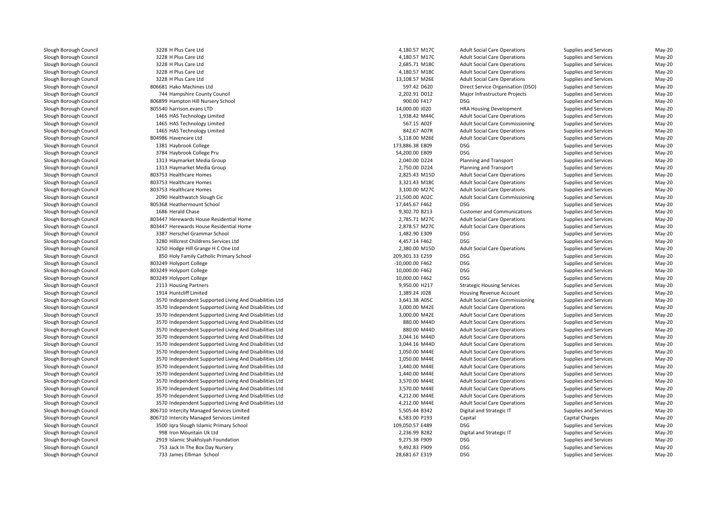3228 H Plus Care Ltdd 4,180.57 M17C 3228 H Plus Care Ltdd 4,180.57 M17C 3228 H Plus Care Ltd 2,685.71 M18C 3228 H Plus Care Ltd 3228 H Plus Care Ltd 806681 Hako Machines Ltd744 Hampshire County Council 806899 Hampton Hill Nursery School 900.00 F417 DSG 805540 harrison.evans LTD 1465 HAS Technology Limited 1465 HAS Technology Limited 1465 HAS Technology Limitedd 842.67 A07R 804986 Havencare Ltd1381 Haybrook College 1 Haybrook College 173,886.38 E809 3784 Haybrook College Pru 1313 Haymarket Media Group 1313 Haymarket Media Group**1** and 2,825.43 M15D and 803753 Healthcare Homes 2,825.43 M15D and 2,825.43 M15D and 2,825.43 M15D and 2,825.43 M15D and 2,825.43 M15D and 2,825.43 M15D and 2,825.43 M15D and 2,825.43 M15D and 2,825.43 M15D and 2,825.43 M **1** 803753 Healthcare Homes 3,321.43 M18C 803753 Healthcare Homes 3,100.00 M27C 2090 Healthwatch Slough Cic 21,500.00 A02Cl 17,445.67 F462 DSG 1888 Heathermount School 17,445.67 F462 DSG 17,445.67 F462 DSG 17,445.67 F462 DSG 17,445.67 F462 DSG 17,445.67 F462 DSG 17,445.67 F462 DSG 17,1445.67 PM 17,445.67 F462 DSG 17,1445.67 PM 17,445.67 PM 17 1686 Herald Chase 803447 Herewards House Residential Home 2,785.71 M27C 803447 Herewards House Residential Home 2,878.57 M27Cl 1,482.90 E309 BSG 1387 Herschel Grammar School 1,482.90 E309 BSG 1,482.90 E309 BSG 1,482.90 E309 BSG 1,482.90 E309 BSG 1,482.90 E309 BSG 1,482.90 E309 BSG 1,482.90 E309 BSG 1,482.90 E309 BSG 1,482.90 E309 BSG 1,482.90 E3 3280 Hillcrest Childrens Services Ltd 3250 Hodge Hill Grange H C One Ltd 850 Holy Family Catholic Primary School 209,301.33 E259 DSG803249 Holyport College 9 Holyport College -10,000.00 F462 DSG 803249 Holvport College Holyport College 10,000.00 F462 DSG803249 Holyport College Holyport College 10,000.00 F462 DSG2113 Housing Partners 1914 Huntcliff Limited 3570 Independent Supported Living And Disabilities Ltd 3570 Independent Supported Living And Disabilities Ltd 3570 Independent Supported Living And Disabilities Ltd 3570 Independent Supported Living And Disabilities Ltd 3570 Independent Supported Living And Disabilities Ltd 3570 Independent Supported Living And Disabilities Ltd 3570 Independent Supported Living And Disabilities Ltd 3570 Independent Supported Living And Disabilities Ltd 3570 Independent Supported Living And Disabilities Ltd 3570 Independent Supported Living And Disabilities Ltd 3570 Independent Supported Living And Disabilities Ltd 3570 Independent Supported Living And Disabilities Ltd 3570 Independent Supported Living And Disabilities Ltd 3570 Independent Supported Living And Disabilities Ltd 3570 Independent Supported Living And Disabilities Ltd 806710 Intercity Managed Services Limited 806710 Intercity Managed Services Limited 3500 Iqra Slough Islamic Primary School 109,050.57 E489 DSG 998 Iron Mountain Uk Ltd 2919 Islamic Shakhsiyah Foundation753 Jack In The Box Day Nursery 9,492.83 F909 DSG

 4,180.57 M18C 1,938.42 M44C 54,200.00 E809 DSGd 4,457.14 F462 DSG 2,380.00 M15D<br>209.301.33 E259 3,641.38 A05C 880.00 M44D 880.00 M44D 3,044.16 M44D 3,044.16 M44D 9,275.38 F909 DSG733 James Elliman School 28,681.67 E319 DSG

 Adult Social Care Operations Supplies and Services May-20 4,180.57 M17C 4dult Social Care Operations 5 Supplies and Services 6 May-20<br>2,685.71 M18C 4dult Social Care Operations 5 Supplies and Services 6 May-20 Adult Social Care Operations Supplies and Services May-20<br>Adult Social Care Operations Supplies and Services May-20 Adult Social Care Operations Supplies and Services May-20<br>Adult Social Care Operations Supplies and Services May-20 d extending the state of the 13,108.57 M26E Adult Social Care Operations Supplies and Services May-20 597.42 D620 Direct Service Organisation (DSO) Supplies and Services May-20<br>2,202.91 D012 Major Infrastructure Projects Supplies and Services May-20 4 Hampshire County Council 2,202.91 DO12 May-20 May-20 May-20 May-20 May-20 May-20 May-20 May-20 May-20 May-20 DSG Supplies and Services May-20<br>
HRA Housing Development Supplies and Services May-20 14,000.00 J020 HRA Housing Development Supplies and Services May-20 Adult Social Care Operations Supplies and Services May-20<br>Adult Social Care Commissioning Supplies and Services May-20 567.15 A02F Adult Social Care Commissioning Supplies and Services May-20 May-20<br>1972 Adult Social Care Operations Supplies and Services May-20 Adult Social Care Operations Supplies and Services May-20 d extending the S,118.00 M26E Adult Social Care Operations Supplies and Services May-20 Supplies and Services May-20 DSG Supplies and Services May-20<br>
Planning and Transport Supplies and Services May-20 2,040.00 D224 Planning and Transport Supplies and Services May-20 2,750.00 D224 Planning and Transport Supplies and Services May-20 2,825.43 M15D Adult Social Care Operations Supplies and Services May-20<br>3.321.43 M18C Adult Social Care Operations Supplies and Services May-20 Adult Social Care Operations Supplies and Services May-20 Adult Social Care Operations Supplies and Services May-20 21,500.00 AO2C Adult Social Care Commissioning Supplies and Services May-20 May-20<br>17,445.67 F462 DSG Supplies and Services May-20 DSG Supplies and Services May-20<br>
Customer and Communications Supplies and Services May-20 6 Herald Chase **19,302.70 B213** Customer and Communications Supplies and Services May-20 Adult Social Care Operations Supplies and Services May-20 2,878.57 M27C Adult Social Care Operations Supplies and Services May-20<br>1.482.90 F309 DSG DSG Supplies and Services May-20 DSG DES DES Supplies and Services May-20<br>
DSG DES Supplies and Services May-20 Supplies and Services<br>
Supplies and Services<br>
May-20 Adult Social Care Operations Supplies and Services May-20<br>DSG Supplies and Services May-20 DSG DES DES Supplies and Services May-20 May-20<br>Conservative Supplies and Services May-20 DSG DES DES Supplies and Services May-20<br>
DSG DES Supplies and Services May-20 DSG DES DES Supplies and Services May-20 May-20<br>Conservative Supplies and Services May-20 DSG Supplies and Services May-20<br>Strategic Housing Services Supplies and Services May-20 3 Housing Partners examples the May-20 Strategic Housing Services Supplies and Services Supplies and Services May-20 d extending the state of 1,389.24 J028 Housing Revenue Account Supplies and Services May-20 Adult Social Care Commissioning Supplies and Services May-20<br>Adult Social Care Operations Supplies and Services May-20 3,000.00 M42E Adult Social Care Operations Supplies and Services May-20<br>3.000.00 M42F Adult Social Care Operations Supplies and Services May-20 3,000.00 M42E Adult Social Care Operations Supplies and Services May-20 Adult Social Care Operations Supplies and Services May-20<br>Adult Social Care Operations Supplies and Services May-20 Adult Social Care Operations Supplies and Services May-20<br>Adult Social Care Operations Supplies and Services May-20 Adult Social Care Operations Supplies and Services May-20<br>Adult Social Care Operations Supplies and Services May-20 Adult Social Care Operations Supplies and Services May-20<br>Adult Social Care Operations Supplies and Services May-20 1,050.00 M44E Adult Social Care Operations Supplies and Services May-20<br>1,050.00 M44E Adult Social Care Operations Supplies and Services May-20 1,050.00 M44E Adult Social Care Operations Supplies and Services May-20<br>1,440.00 M44E Adult Social Care Operations Supplies and Services May-20 1,440.00 M44E Adult Social Care Operations Supplies and Services May-20<br>1.440.00 M44F Adult Social Care Operations Supplies and Services May-20 1,440.00 M44E Adult Social Care Operations Supplies and Services May-20 3,570.00 M44E Adult Social Care Operations Supplies and Services May-20<br>3,570.00 M44E Adult Social Care Operations Supplies and Services May-20 3,570.00 M44E Adult Social Care Operations Supplies and Services May-20<br>3.12.00 M44E Adult Social Care Operations Supplies and Services May-20 4,212.00 M44E Adult Social Care Operations Supplies and Services May-20<br>4,212.00 M44E Adult Social Care Operations Supplies and Services May-20 4,212.00 M44E Adult Social Care Operations Supplies and Services May-20<br>1942 5,505.44 B342 Digital and Strategic IT Supplies and Services May-20 5,505.44 B342 Digital and Strategic IT Supplies and Services May-20 6,583.00 P193 Capital Capital Charges May-20 DSG Supplies and Services May-20<br>
Digital and Strategic IT Supplies and Services May-20 2,236.99 B282 Digital and Strategic IT Supplies and Services May-20 Supplies and Services May-20 Supplies and Services May-20 Supplies and Services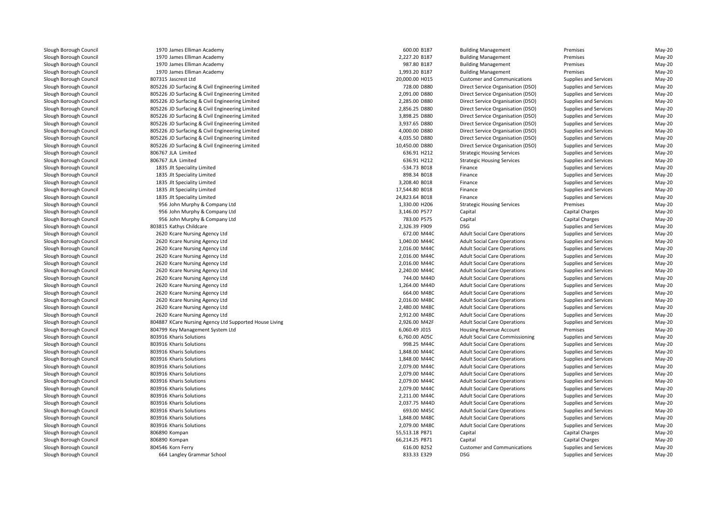1970 James Elliman Academy James Elliman Academy 600.00 B187 Building Management Premises May-20 1970 James Elliman Academy James Elliman Academy 2,227.20 B187 Building Management Premises May-20 1970 James Elliman Academy James Elliman Academy 987.80 B187 Building Management Premises May-20 1970 James Elliman Academy 0 James Elliman Academy 1,993.20 B187 Building Management Premises Premises Premises May-20 807315 Jascrest Ltd 805226 JD Surfacing & Civil Engineering Limited 805226 JD Surfacing & Civil Engineering Limited 805226 JD Surfacing & Civil Engineering Limited 805226 JD Surfacing & Civil Engineering Limited 805226 JD Surfacing & Civil Engineering Limited 805226 JD Surfacing & Civil Engineering Limited 805226 JD Surfacing & Civil Engineering Limited 805226 JD Surfacing & Civil Engineering Limited 805226 JD Surfacing & Civil Engineering Limited 806767 JLA Limited 806767 JLA Limited 1835 Jlt Speciality Limited 1835 Jlt Speciality Limited 1835 Jlt Speciality Limited 1835 Jlt Speciality Limited 1835 Jlt Speciality Limited 956 John Murphy & Company Ltd 956 John Murphy & Company Ltd 956 John Murphy & Company Ltd803815 Kathys Childcare S Kathys Childcare 2,326.39 F909 DSG 2620 Kcare Nursing Agency Ltdd 672.00 M44C 2620 Kcare Nursing Agency Ltd 2620 Kcare Nursing Agency Ltd 2620 Kcare Nursing Agency Ltd 2620 Kcare Nursing Agency Ltd 2620 Kcare Nursing Agency Ltd 2620 Kcare Nursing Agency Ltd 744.00 M44D 2620 Kcare Nursing Agency Ltdd 1,264.00 M44D 2620 Kcare Nursing Agency Ltdd 664.00 M48C 2620 Kcare Nursing Agency Ltd 2,016.00 M48C 2620 Kcare Nursing Agency Ltd 2620 Kcare Nursing Agency Ltd 2,912.00 M48C 804887 KCare Nursing Agency Ltd Supported House Living 2,926.00 M42F Adult Social Care Operations Supplies and Services May-20 804799 Key Management System Ltd803916 Kharis Solutions 6 Kharis Solutions 6,760.00 A05C 803916 Kharis Solutions 6 Kharis Solutions **998.25 M44C** 803916 Kharis Solutions 6 Kharis Solutions **1,848.00 M44C** 803916 Kharis Solutions 6 Kharis Solutions **1,848.00 M44C** 803916 Kharis Solutions Kharis Solutions 2,079.00 M44C803916 Kharis Solutions Kharis Solutions 2,079.00 M44C803916 Kharis Solutions Kharis Solutions 2,079.00 M44C803916 Kharis Solutions Kharis Solutions 2,079.00 M44C803916 Kharis Solutions 6 Kharis Solutions 2,211.00 M44C 803916 Kharis Solutions 6 Kharis Solutions 2007.75 M44D المستخدم المستخدم المستخدم المستخدم المستخدم المستخدم المستخدم المستخدم المستخدم المستخدم المستخدم المستخدم المستخدم المستخدم المستخدم المستخدم المستخدم المستخدم المستخدم المستخدم المستخدم ا 803916 Kharis Solutions 6 Kharis Solutions **693.00 M45C** 803916 Kharis Solutions 6 Kharis Solutions **1,848.00 M48C** 803916 Kharis Solutions Kharis Solutions 2,079.00 M48C 806890 Kompan 806890 Kompan804546 Korn Ferry Korn Ferry 616.00 B252 Customer and Communications Supplies and Services May-20 664Langley Grammar School 833.33 E329 DSG

 1,040.00 M44C 2,016.00 M44C 2,016.00 M44C 2,016.00 M44C 2,240.00 M44C2,480.00 M48C

 20,000.00 H015 Customer and Communications Supplies and Services May-20 728.00 D880 Direct Service Organisation (DSO) Supplies and Services May-20 May-20<br>2,091.00 D880 Direct Service Organisation (DSO) Supplies and Services May-20 2,091.00 D880 Direct Service Organisation (DSO) Supplies and Services May-20 May-20<br>2.285.00 D880 Direct Service Organisation (DSO) Supplies and Services May-20 2,285.00 D880 Direct Service Organisation (DSO) Supplies and Services May-20<br>2,856.25 D880 Direct Service Organisation (DSO) Supplies and Services May-20 2,856.25 D880 Direct Service Organisation (DSO) Supplies and Services May-20 May-20<br>2.898.25 D880 Direct Service Organisation (DSO) Supplies and Services May-20 3,898.25 D880 Direct Service Organisation (DSO) Supplies and Services May-20 May-20<br>3,937.65 D880 Direct Service Organisation (DSO) Supplies and Services May-20 3,937.65 D880 Direct Service Organisation (DSO) Supplies and Services May-20 May-20<br>4,000.00 D880 Direct Service Organisation (DSO) Supplies and Services May-20 4,000.00 D880 Direct Service Organisation (DSO) Supplies and Services May-20<br>4,035.50 D880 Direct Service Organisation (DSO) Supplies and Services May-20 4,035.50 D880 Direct Service Organisation (DSO) Supplies and Services May-20<br>10.450.00 DR80 Direct Service Organisation (DSO) Supplies and Services May-20 10,450.00 D880 Direct Service Organisation (DSO) Supplies and Services May-20 636.91 H212 Strategic Housing Services Supplies and Services May-20 636.91 H212 Strategic Housing Services Supplies and Services May-20 d extending the state of the S4.73 B018 Finance Supplies and Services Supplies and Services Supplies and Services Supplies and Services Supplies and Services Supplies and Services Supplies and Services Supplies and Service d Supplies and Services May-20 **Service** Supplies and Services May-20 **Supplies and Services** May-20 d Supplies and Services May-20 **Supplies and Services** May-20 **Supplies and Services** May-20 d supplies and Services May-20 Extending the May-20 Supplies and Services May-20 Supplies and Services May-20 d Supplies and Services May-20 Controller and Services May-20 Controller and Services May-20 Controller and Services May-20 Controller and Services May-20 Controller and Services May-20 Controller and Services May-20 Contr d entity and the strategic Housing Services of Premises May-20 May-20 May-20 Strategic Housing Services of Premises d Capital Charges Communication Capital Capital Capital Capital Capital Charges Capital Charges Communication Capital Charges Communication Capital Charges Communication Communication Communication Communication Communicat d Capital Charges Communication of the Capital Capital Capital Charges Capital Charges Capital Charges Communication of the Capital Charges Communication of the Charges Communication of the Charges Communication of the Cha DSG Supplies and Services May-20<br>Adult Social Care Operations Supplies and Services May-20 Adult Social Care Operations Supplies and Services May-20 Adult Social Care Operations Supplies and Services May-20<br>Adult Social Care Operations Supplies and Services May-20 Adult Social Care Operations Supplies and Services May-20<br>Adult Social Care Operations Supplies and Services May-20 Adult Social Care Operations Supplies and Services May-20<br>Adult Social Care Operations Supplies and Services May-20 Adult Social Care Operations Supplies and Services May-20<br>Adult Social Care Operations Supplies and Services May-20 Adult Social Care Operations Supplies and Services May-20<br>Adult Social Care Operations Supplies and Services May-20 744.00 M44D Adult Social Care Operations Supplies and Services May-20<br>1,264.00 M44D Adult Social Care Operations Supplies and Services May-20 A CALC MULT Social Care Operations Adult Social Care Operations Complies and Services May-20<br>CALC MAG Adult Social Care Operations Complies and Services May-20 Adult Social Care Operations Supplies and Services May-20 Adult Social Care Operations Supplies and Services May-20<br>Adult Social Care Operations Supplies and Services May-20 Adult Social Care Operations Supplies and Services May-20<br>Adult Social Care Operations Supplies and Services May-20 Adult Social Care Operations Supplies and Services May-20 6,060.49 J015 Housing Revenue Account Premises May-20 6,760.00 ADSC Adult Social Care Commissioning Supplies and Services May-20<br>Adult Social Care Operations Supplies and Services May-20 998.25 M44C Adult Social Care Operations Supplies and Services May-20<br>1.848.00 M44C Adult Social Care Operations Supplies and Services May-20 1,848.00 M44C Adult Social Care Operations Supplies and Services May-20<br>1,848.00 M44C Adult Social Care Operations Supplies and Services May-20 Adult Social Care Operations Supplies and Services May-20 2,079.00 M44C Adult Social Care Operations Supplies and Services May-20<br>2.079.00 M44C Adult Social Care Operations Supplies and Services May-20 2,079.00 M44C Adult Social Care Operations Supplies and Services May-20<br>2,079.00 M44C Adult Social Care Operations Supplies and Services May-20 2,079.00 M44C Adult Social Care Operations Supplies and Services May-20<br>2,079.00 M44C Adult Social Care Operations Supplies and Services May-20 2,079.00 M44C Adult Social Care Operations Supplies and Services May-20<br>2.211.00 M44C Adult Social Care Operations Supplies and Services May-20 2,211.00 M44C Adult Social Care Operations Supplies and Services May-20<br>2,037.75 M44D Adult Social Care Operations Supplies and Services May-20 2,037.75 M44D Adult Social Care Operations Supplies and Services May-20<br>1693.00 M45C Adult Social Care Operations Supplies and Services May-20 Adult Social Care Operations Supplies and Services May-20 Adult Social Care Operations Supplies and Services May-20 Adult Social Care Operations Supplies and Services May-20 55,513.18 P871 Capital Capital Charges May-20 66,214.25 P871 Capital Capital Charges May-20 Supplies and Services May-20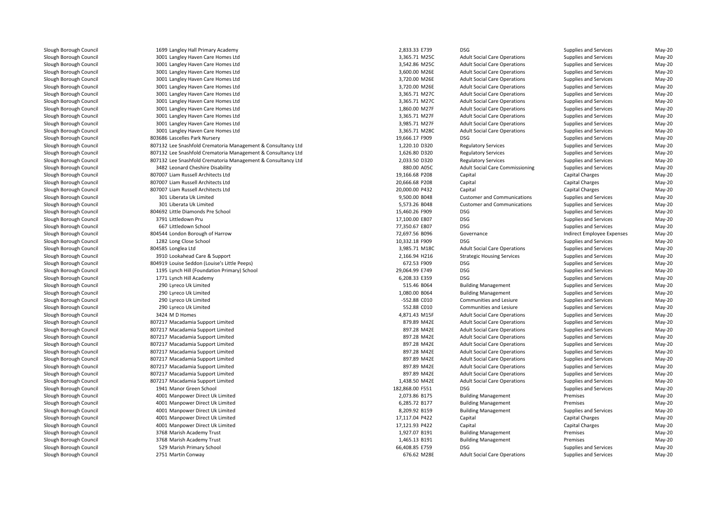1699 Langley Hall Primary Academy 2,833.33 E739 DSG 3001 Langley Haven Care Homes Ltd 3,365.71 M25C 3001 Langley Haven Care Homes Ltd 3,542.86 M25C 3001 Langley Haven Care Homes Ltd 3001 Langley Haven Care Homes Ltd 3001 Langley Haven Care Homes Ltd 3001 Langley Haven Care Homes Ltd 3,365.71 M27C 3001 Langley Haven Care Homes Ltd 3,365.71 M27C 3001 Langley Haven Care Homes Ltd 3001 Langley Haven Care Homes Ltd 3001 Langley Haven Care Homes Ltd 3001 Langley Haven Care Homes Ltd 3,365.71 M28Cl 19,666.17 F909 DSG Bascelles Park Nursery 19,666.17 F909 DSG Bascelles Park Nursery 19,666.17 F909 DSG Bascelles Park Nursery 19,666.17 F909 DSG Bascelles Park Nursery 19,666.17 F909 DSG Bascelles Park Nursery 19,666.17 807132 Lee Snashfold Crematoria Management & Consultancy Ltd 807132 Lee Snashfold Crematoria Management & Consultancy Ltd 807132 Lee Snashfold Crematoria Management & Consultancy Ltd 3482 Leonard Cheshire Disability 880.00 A05C 807007 Liam Russell Architects Ltd 807007 Liam Russell Architects Ltd 807007 Liam Russell Architects Ltd 301 Liberata Uk Limited 301 Liberata Uk Limited 804692 Little Diamonds Pre School 15,460.26 F909 DSG 3791 Littledown Pruu a a a 17,100.00 E807 DSG 667 Littledown School Littledown School 77,350.67 E807 DSG 804544 London Borough of Harrow1282 Long Close School 2008 Control 1282 Long Close School 20,332.18 F909 DSG 804585 Longlea Ltdd 3,985.71 M18C 3910 Lookahead Care & Support 0 Lookahead Care & Support 2,166.94 H216 Strategic Housing Services Supplies and Services May-20 804919 Louise Seddon (Louise's Little Peeps) 672.53 F909 DSG 1195 Lynch Hill (Foundation Primary) School 29,064.99 E749 DSG1771 Lynch Hill Academy Lynch Hill Academy 6,208.33 E359 DSG 290 Lyreco Uk Limited 290 Lyreco Uk Limited 290 Lyreco Uk Limited 290 Lyreco Uk Limited3424 M D Homes 4 M D Homes 4,871.43 M15F Adult Social Care Operations Supplies and Services May-20 807217 Macadamia Support Limited 807217 Macadamia Support Limited 807217 Macadamia Support Limited 807217 Macadamia Support Limited 807217 Macadamia Support Limited 807217 Macadamia Support Limited 807217 Macadamia Support Limited 807217 Macadamia Support Limited 807217 Macadamia Support Limited 1941 Manor Green School 182,868.00 F551 DSG 4001 Manpower Direct Uk Limited 4001 Manpower Direct Uk Limited 4001 Manpower Direct Uk Limited 4001 Manpower Direct Uk Limited 4001 Manpower Direct Uk Limited3768 Marish Academy Trust 8 Marish Academy Trust 1,927.07 B191 Building Management Premises Premises Premises May-20 3768 Marish Academy Trust 8 Marish Academy Trust 1,465.13 B191 Building Management Premises Premises May-20 529 Marish Primary School 66,408.85 E759 DSG2751 Martin Conway

| 33.33 E739  | DSG        |
|-------------|------------|
| 65.71 M25C  | Adu        |
| 42.86 M25C  | Adu        |
| 00.00 M26E  | Adu        |
| 20.00 M26E  | Adu        |
| 20.00 M26E  | Adu        |
| 65.71 M27C  | Adu        |
| 65.71 M27C  | Adu        |
| 60.00 M27F  | Adu        |
| 65.71 M27F  | Adu        |
| 85.71 M27F  | Adu        |
| 65.71 M28C  | Adu        |
| 66.17 F909  | <b>DSC</b> |
| 20.10 D320  | Reg        |
| 26.80 D320  | Reg        |
| 33.50 D320  | Reg        |
| 80.00 A05C  | Adu        |
| 66.68 P208  | Cap        |
| 66.68 P208  | Cap        |
| 00.00 P432  | Cap        |
| 00.00 B048  | Cus        |
| 73.26 B048  | Cus        |
| 60.26 F909  | <b>DSC</b> |
| 00.00 E807  | <b>DSC</b> |
| 50.67 E807  | DSC        |
| 97.56 B096  | Gov        |
| 32.18 F909  | <b>DSC</b> |
| 85.71 M18C  | Adu        |
| 66.94 H216  | Stra       |
| 72.53 F909  | <b>DSC</b> |
| 64.99 E749  | <b>DSC</b> |
| 08.33 E359  | <b>DSC</b> |
| 15.46 B064  | Buil       |
| 80.00 B064  | Buil       |
| 52.88 C010  | Con        |
|             |            |
| 52.88 C010  | Con<br>Adu |
| 71.43 M15F  |            |
| 379.89 M42E | Adu        |
| 97.28 M42E  | Adu        |
| 97.28 M42E  | Adu        |
| 97.28 M42E  | Adu        |
| 97.28 M42E  | Adu        |
| 97.89 M42E  | Adu        |
| 97.89 M42E  | Adu        |
| 97.89 M42E  | Adu        |
| 38.50 M42E  | Adu        |
| 68.00 F551  | <b>DSG</b> |
| 73.86 B175  | Buil       |
| 85.72 B177  | Buil       |
| 09.92 B159  | Buil       |
| 17.04 P422  | Cap        |
| 21.93 P422  | Cap        |
| 27.07 B191  | Buil       |
| 65.13 B191  | Buil       |
| 08.85 E759  | <b>DSG</b> |
| 76.62 M28E  | Adu        |

Supplies and Services<br>
Supplies and Services<br>
May-20 alt Social Care Operations and Services and Services and Services and Services May-20<br>Advisorial Care Operations and Services and Services and Services and Services and Services and Services and Se alt Social Care Operations **Supplies and Services** May-20<br>At Social Care Operations Supplies and Services May-20 d extending the state of the S,600.00 M26E Adult Social Care Operations Supplies and Services May-20 d extending the state of the S,720.00 M26E Adult Social Care Operations Supplies and Services May-20 d extending the state of the S,720.00 M26E Adult Social Care Operations Supplies and Services May-20 alt Social Care Operations **Supplies and Services** May-20<br>At Social Care Operations Supplies and Services May-20 alt Social Care Operations **Supplies and Services** May-20<br>At Social Care Operations Supplies and Services May-20 1,860.00 M27F Adult Social Care Operations Supplies and Services May-20 d extending the S,365.71 M27F Adult Social Care Operations Supplies and Services May-20 d Sanglet Care Constant Care Constant Care Constant Care Constant Care Constant Care Constant Care Constant Care Constant Care Constant Care Constant Care Constant Care Constant Care Constant Care Constant Care Constant Ca alt Social Care Operations **Supplies and Services** May-20<br>3 Supplies and Services May-20 Supplies and Services May-20<br>Supplies and Services May-20<br>Supplies and Services May-20 d 1,220.10 D320 Regulatory Services Supplies and Services May-20 1,626.80 D320 Regulatory Services Supplies and Services May-20 2,033.50 D320 Regulatory Services Supplies and Services May-20 alt Social Care Commissioning Supplies and Services and Services May-20<br>19-20 Capital Charges May-20 d entity of the state of the 19,166.68 P208 Capital Capital Capital Charges Capital Charges May-20 d Capital Charges Constants Constants Capital Constants Capital Charges Capital Charges Constants Constants Constants Constants Constants Constants Constants Constants Constants Constants Constants Constants Constants Cons 20,000.00 P432 Capital Capital Charges May-20 9,500.00 B048 Customer and Communications Supplies and Services May-20 5,573.26 B048 Customer and Communications Supplies and Services May-20 Supplies and Services<br>
Supplies and Services<br>
May-20 Supplies and Services<br>
Supplies and Services<br>
May-20 Supplies and Services May-20 (Supplies and Services May-20<br>Supplies and Services May-20 (May-20 (May-20 (May-20 ) 72,697.56 B096 Governance Indirect Employee Expenses May-20 Supplies and Services<br>
Supplies and Services<br>
May-20 alt Social Care Operations **Supplies and Services** May-20<br>Adult Social Care of the Supplies and Services May-20 Supplies and Services<br>
Supplies and Services<br>
May-20 Supplies and Services<br>
Supplies and Services<br>
May-20 Supplies and Services May-20<br>19-Young May-20 Supplies and Services May-20<br>19-Young May-20 Supplies and Services d S15.46 B064 Building Management Supplies and Services May-20 d entity and the solution Book Building Management Supplies and Services May-20 d extending the state of the SS2.88 CO10 communities and Lesiure Supplies and Services May-20 communities and Lesiure d extending the SS2.88 CO10 communities and Lesiure Supplies and Services May-20 d S79.89 M42E Adult Social Care Operations Supplies and Services May-20 d Services Contains and Care Constants Adult Social Care Operations Supplies and Services May-20 d Services Contains and Care Constants Adult Social Care Operations Supplies and Services May-20 d Services Contains and Care Constants Adult Social Care Operations Supplies and Services May-20 d Services Contains and Care Constants Adult Social Care Operations Supplies and Services May-20 May-20 d Services Contains and Care Constants Adult Social Care Operations Supplies and Services May-20 d Services Contains and Care Constants Adult Social Care Operations Supplies and Services May-20 d Services Contains and Care Constants Adult Social Care Operations Supplies and Services May-20 d and the social Care Cover of Adult Social Care Operations Supplies and Services May-20 Supplies and Services and Services May-20<br>
Iding Management **May-20** Premises Premises d and the control of the control of the control of the control of the control of the control of the control of the control of the control of the control of the control of the control of the control of the control of the co 6,285.72 B177 Building Management Premises May-20 8,209.92 B159 Building Management Supplies and Services May-20 17,117.04 P422 Capital Capital Charges May-20 17,121.93 P422 Capital Capital Charges May-20 Supplies and Services May-20<br>19-20 Int Social Care Operations May-20 1 Martin Conway 20 11 Martin Conway 676.62 M28E Adult Social Care Operations Supplies and Services May-20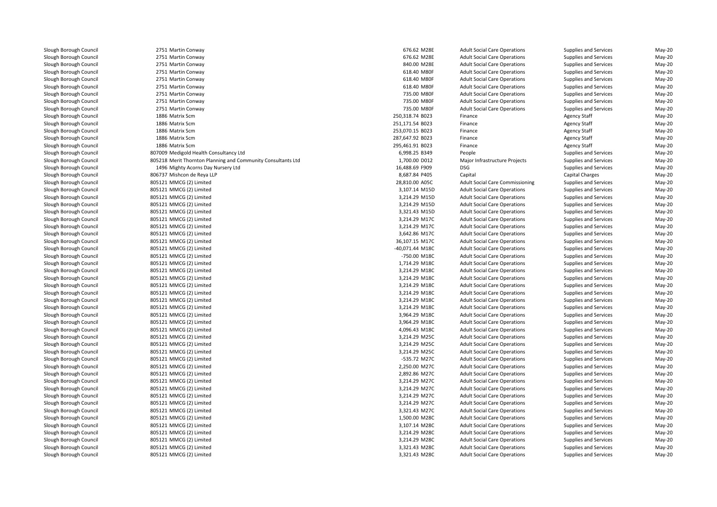2751 Martin Conway 2751 Martin Conway 2751 Martin Conway 2751 Martin Conway 2751 Martin Conway 2751 Martin Conway 2751 Martin Conway 2751 Martin Conway 2751 Martin Conway 1886 Matrix Scm 1886 Matrix Scm 1886 Matrix Scm 1886 Matrix Scm 1886 Matrix Scm 807009 Medigold Health Consultancy Ltd 805218 Merit Thornton Planning and Community Consultants Ltd 1496 Mighty Acorns Day Nursery Ltd 806737 Mishcon de Reya LLP 805121 MMCG (2) Limitedd 28,810.00 A05C 805121 MMCG (2) Limited 3,107.14 M15D 805121 MMCG (2) Limited 3,214.29 M15D 805121 MMCG (2) Limited 3,214.29 M15D 805121 MMCG (2) Limited 3,321.43 M15D 805121 MMCG (2) Limited $3,214.29$  M17C 805121 MMCG (2) Limited $3,214.29$  M17C 805121 MMCG (2) Limited $3,642.86$  M17C 805121 MMCG (2) Limitedd 36,107.15 M17C 805121 MMCG (2) Limited -40,071.44 M18C 805121 MMCG (2) Limited -750.00 M18C 805121 MMCG (2) Limitedd 1,714.29 M18C 805121 MMCG (2) Limitedd  $3,214.29$  M18C 805121 MMCG (2) Limitedd  $3,214.29$  M18C 805121 MMCG (2) Limitedd  $3,214.29$  M18C 805121 MMCG (2) Limitedd  $3,214.29$  M18C 805121 MMCG (2) Limitedd  $3,214.29$  M18C 805121 MMCG (2) Limitedd 3,214.29 M18C 805121 MMCG (2) Limitedd 3,964.29 M18C 805121 MMCG (2) Limitedd 3,964.29 M18C 805121 MMCG (2) Limitedd 4,096.43 M18C 805121 MMCG (2) Limitedd  $3,214.29$  M25C 805121 MMCG (2) Limitedd  $3,214.29$  M25C 805121 MMCG (2) Limited $3,214.29$  M25C 805121 MMCG (2) Limited -535.72 M27C 805121 MMCG (2) Limitedd  $2,250.00 \text{ M}$  805121 MMCG (2) Limited 2,892.86 M27C 805121 MMCG (2) Limited $3,214.29$  M27C 805121 MMCG (2) Limited $3,214.29$  M27C 805121 MMCG (2) Limited $3,214.29$  M27C 805121 MMCG (2) Limited $3,214.29$  M27C 805121 MMCG (2) Limitedd  $3,321.43$  M27C 805121 MMCG (2) Limitedd 1,500.00 M28C 805121 MMCG (2) Limited 3,107.14 M28C 805121 MMCG (2) Limitedd  $3,214.29$  M28C 805121 MMCG (2) Limitedd  $3,214.29$  M28C 805121 MMCG (2) Limitedd  $3,321.43$  M28C 805121 MMCG (2) Limitedd  $3,321.43$  M28C

| 1 Martin Conway                                         | 676.62 M28E                    | <b>Adult Social Care Operations</b>    | Supplies and Services        | May-20           |
|---------------------------------------------------------|--------------------------------|----------------------------------------|------------------------------|------------------|
| 1 Martin Conway                                         | 676.62 M28E                    | <b>Adult Social Care Operations</b>    | Supplies and Services        | May-20           |
| 1 Martin Conway                                         | 840.00 M28E                    | <b>Adult Social Care Operations</b>    | <b>Supplies and Services</b> | May-20           |
| 1 Martin Conway                                         | 618.40 M80F                    | <b>Adult Social Care Operations</b>    | Supplies and Services        | May-20           |
| 1 Martin Conway                                         | 618.40 M80F                    | <b>Adult Social Care Operations</b>    | Supplies and Services        | May-20           |
| 1 Martin Conway                                         | 618.40 M80F                    | <b>Adult Social Care Operations</b>    | Supplies and Services        | May-20           |
| 1 Martin Conway                                         | 735.00 M80F                    | <b>Adult Social Care Operations</b>    | Supplies and Services        | May-20           |
| 1 Martin Conway                                         | 735.00 M80F                    | <b>Adult Social Care Operations</b>    | Supplies and Services        | May-20           |
| 1 Martin Conway                                         | 735.00 M80F                    | <b>Adult Social Care Operations</b>    | Supplies and Services        | May-20           |
| 6 Matrix Scm                                            | 250,318.74 B023                | Finance                                | <b>Agency Staff</b>          | May-20           |
| 6 Matrix Scm                                            | 251,171.54 B023                | Finance                                | <b>Agency Staff</b>          | May-20           |
| 6 Matrix Scm                                            | 253,070.15 B023                | Finance                                | <b>Agency Staff</b>          | May-20           |
| 6 Matrix Scm                                            | 287,647.92 B023                | Finance                                | <b>Agency Staff</b>          | May-20           |
| 6 Matrix Scm                                            | 295,461.91 B023                | Finance                                | <b>Agency Staff</b>          | May-20           |
| 9 Medigold Health Consultancy Ltd                       | 6,998.25 B349                  | People                                 | Supplies and Services        | May-20           |
| 8 Merit Thornton Planning and Community Consultants Ltd | 1,700.00 D012                  | Major Infrastructure Projects          | Supplies and Services        | May-20           |
| 6 Mighty Acorns Day Nursery Ltd                         | 16,488.69 F909                 | <b>DSG</b>                             | Supplies and Services        | May-20           |
| 7 Mishcon de Reya LLP                                   | 8,687.84 P405                  | Capital                                | Capital Charges              | May-20           |
| 1 MMCG (2) Limited                                      | 28,810.00 A05C                 | <b>Adult Social Care Commissioning</b> | <b>Supplies and Services</b> | May-20           |
| 1 MMCG (2) Limited                                      | 3,107.14 M15D                  | <b>Adult Social Care Operations</b>    | Supplies and Services        | May-20           |
| 1 MMCG (2) Limited                                      | 3,214.29 M15D                  | <b>Adult Social Care Operations</b>    | Supplies and Services        | May-20           |
| 1 MMCG (2) Limited                                      | 3,214.29 M15D                  | <b>Adult Social Care Operations</b>    | Supplies and Services        | May-20           |
| 1 MMCG (2) Limited                                      | 3,321.43 M15D                  | <b>Adult Social Care Operations</b>    | Supplies and Services        | May-20           |
| 1 MMCG (2) Limited                                      | 3,214.29 M17C                  | <b>Adult Social Care Operations</b>    | Supplies and Services        | May-20           |
| 1 MMCG (2) Limited                                      | 3,214.29 M17C                  | <b>Adult Social Care Operations</b>    | Supplies and Services        | May-20           |
| 1 MMCG (2) Limited                                      | 3,642.86 M17C                  | <b>Adult Social Care Operations</b>    | Supplies and Services        | May-20           |
| 1 MMCG (2) Limited                                      | 36,107.15 M17C                 | <b>Adult Social Care Operations</b>    | Supplies and Services        | May-20           |
| 1 MMCG (2) Limited                                      | -40,071.44 M18C                | <b>Adult Social Care Operations</b>    | Supplies and Services        | May-20           |
| 1 MMCG (2) Limited                                      | -750.00 M18C                   | <b>Adult Social Care Operations</b>    | Supplies and Services        | May-20           |
| 1 MMCG (2) Limited                                      | 1,714.29 M18C                  | <b>Adult Social Care Operations</b>    | Supplies and Services        | May-20           |
| 1 MMCG (2) Limited                                      | 3,214.29 M18C                  | <b>Adult Social Care Operations</b>    | Supplies and Services        | May-20           |
| 1 MMCG (2) Limited                                      | 3,214.29 M18C                  | <b>Adult Social Care Operations</b>    | Supplies and Services        |                  |
| 1 MMCG (2) Limited                                      | 3,214.29 M18C                  | <b>Adult Social Care Operations</b>    |                              | May-20<br>May-20 |
|                                                         |                                |                                        | Supplies and Services        |                  |
| 1 MMCG (2) Limited                                      | 3,214.29 M18C<br>3,214.29 M18C | <b>Adult Social Care Operations</b>    | Supplies and Services        | May-20           |
| 1 MMCG (2) Limited                                      |                                | <b>Adult Social Care Operations</b>    | Supplies and Services        | May-20           |
| 1 MMCG (2) Limited                                      | 3,214.29 M18C                  | <b>Adult Social Care Operations</b>    | Supplies and Services        | May-20           |
| 1 MMCG (2) Limited                                      | 3,964.29 M18C                  | <b>Adult Social Care Operations</b>    | Supplies and Services        | May-20           |
| 1 MMCG (2) Limited                                      | 3,964.29 M18C                  | <b>Adult Social Care Operations</b>    | Supplies and Services        | $May-20$         |
| 1 MMCG (2) Limited                                      | 4,096.43 M18C                  | <b>Adult Social Care Operations</b>    | Supplies and Services        | May-20           |
| 1 MMCG (2) Limited                                      | 3,214.29 M25C                  | <b>Adult Social Care Operations</b>    | Supplies and Services        | May-20           |
| 1 MMCG (2) Limited                                      | 3,214.29 M25C                  | <b>Adult Social Care Operations</b>    | Supplies and Services        | May-20           |
| 1 MMCG (2) Limited                                      | 3,214.29 M25C                  | <b>Adult Social Care Operations</b>    | Supplies and Services        | May-20           |
| 1 MMCG (2) Limited                                      | -535.72 M27C                   | <b>Adult Social Care Operations</b>    | Supplies and Services        | May-20           |
| 1 MMCG (2) Limited                                      | 2,250.00 M27C                  | <b>Adult Social Care Operations</b>    | Supplies and Services        | May-20           |
| 1 MMCG (2) Limited                                      | 2,892.86 M27C                  | <b>Adult Social Care Operations</b>    | Supplies and Services        | May-20           |
| 1 MMCG (2) Limited                                      | 3,214.29 M27C                  | <b>Adult Social Care Operations</b>    | Supplies and Services        | May-20           |
| 1 MMCG (2) Limited                                      | 3,214.29 M27C                  | <b>Adult Social Care Operations</b>    | Supplies and Services        | May-20           |
| 1 MMCG (2) Limited                                      | 3,214.29 M27C                  | <b>Adult Social Care Operations</b>    | Supplies and Services        | May-20           |
| 1 MMCG (2) Limited                                      | 3,214.29 M27C                  | <b>Adult Social Care Operations</b>    | Supplies and Services        | May-20           |
| 1 MMCG (2) Limited                                      | 3,321.43 M27C                  | <b>Adult Social Care Operations</b>    | Supplies and Services        | May-20           |
| 1 MMCG (2) Limited                                      | 1,500.00 M28C                  | <b>Adult Social Care Operations</b>    | Supplies and Services        | May-20           |
| 1 MMCG (2) Limited                                      | 3,107.14 M28C                  | <b>Adult Social Care Operations</b>    | Supplies and Services        | May-20           |
| 1 MMCG (2) Limited                                      | 3,214.29 M28C                  | <b>Adult Social Care Operations</b>    | Supplies and Services        | May-20           |
| 1 MMCG (2) Limited                                      | 3,214.29 M28C                  | <b>Adult Social Care Operations</b>    | Supplies and Services        | May-20           |
| 1 MMCG (2) Limited                                      | 3,321.43 M28C                  | <b>Adult Social Care Operations</b>    | Supplies and Services        | May-20           |
| 1 MMCG (2) Limited                                      | 3.321.43 M28C                  | <b>Adult Social Care Operations</b>    | Supplies and Services        | Mav-20           |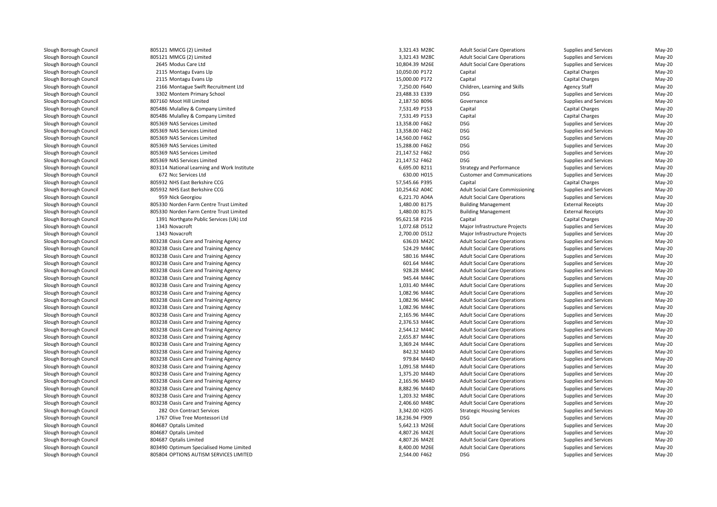805121 MMCG (2) Limited 805121 MMCG (2) Limited 3,321.43 M28C 2645 Modus Care Ltd 2115 Montagu Evans Llp 2115 Montagu Evans Llp 2166 Montague Swift Recruitment Ltd 3302 Montem Primary School 23,488.33 E339 DSG 807160 Moot Hill Limited 805486 Mulalley & Company Limited 805486 Mulalley & Company Limited 805369 NAS Services Limited 805369 NAS Services Limited 805369 NAS Services Limited 805369 NAS Services Limited 805369 NAS Services Limited 805369 NAS Services Limited 672 Ncc Services Ltd 805932 NHS East Berkshire CCG 805932 NHS East Berkshire CCG 959 Nick Georgiou 6,221.70 A04A 805330 Norden Farm Centre Trust Limited 805330 Norden Farm Centre Trust Limited 1391 Northgate Public Services (Uk) Ltd1343 Novacroft 1343 Novacroft **803238 Oasis Care and Training Agency 636.03 M42C** 636.03 M42C 636.03 M42C 636.03 M42C **803238 Oasis Care and Training Agency** 524.29 M44C **524.29 M44C** 803238 Oasis Care and Training Agency 580.16 M44C State 380.16 M44C State 380.16 M44C State 380.16 M44C 803238 Oasis Care and Training Agency **601.64 M44C** 601.64 M44C 601.64 M44C 803238 Oasis Care and Training Agency 928.28 M44C 803238 Oasis Care and Training Agency 945.44 M44C 803238 Oasis Care and Training Agency 1,031.40 M44C 803238 Oasis Care and Training Agency 1,082.96 M44C 803238 Oasis Care and Training Agency 1,082.96 M44C 803238 Oasis Care and Training Agency 1,082.96 M44C 803238 Oasis Care and Training Agency 2,165.96 M44C 803238 Oasis Care and Training Agency 2,376.53 M44C 803238 Oasis Care and Training Agency 2,544.12 M44C 803238 Oasis Care and Training Agency 2,655.87 M44C 803238 Oasis Care and Training Agency 3,369.24 M44C 803238 Oasis Care and Training Agency 842.32 M44D 803238 Oasis Care and Training Agency 979.84 M44D 803238 Oasis Care and Training Agency 1,091.58 M44D 803238 Oasis Care and Training Agency 1,375.20 M44D 803238 Oasis Care and Training Agency 2,165.96 M44D 803238 Oasis Care and Training Agency 8,882.96 M44D 803238 Oasis Care and Training Agency 1,203.32 M48C 803238 Oasis Care and Training Agency 2,406.60 M48C282 Ocn Contract Services 1767 Olive Tree Montessori Ltd 804687 Optalis Limited 804687 Optalis Limited 804687 Optalis Limited 803490 Optimum Specialised Home Limited805804 OPTIONS AUTISM SERVICES LIMITED

| d                         | 3,321.43 M28C  | <b>Adult Social</b> |
|---------------------------|----------------|---------------------|
| d                         | 3,321.43 M28C  | <b>Adult Social</b> |
|                           | 10,804.39 M26E | <b>Adult Social</b> |
| Iр                        | 10,050.00 P172 | Capital             |
| lр                        | 15,000.00 P172 | Capital             |
| Recruitment Ltd           | 7,250.00 F640  | Children, Le        |
| School                    | 23,488.33 E339 | <b>DSG</b>          |
|                           | 2,187.50 B096  | Governance          |
| any Limited               | 7,531.49 P153  | Capital             |
| any Limited               | 7,531.49 P153  | Capital             |
| ited                      | 13,358.00 F462 | <b>DSG</b>          |
| ited                      | 13,358.00 F462 | DSG                 |
| ited                      | 14,560.00 F462 | <b>DSG</b>          |
| ited                      | 15,288.00 F462 | <b>DSG</b>          |
| ited                      | 21,147.52 F462 | <b>DSG</b>          |
| ited                      | 21,147.52 F462 | <b>DSG</b>          |
| gand Work Institute       | 6,695.00 B211  | Strategy and        |
|                           | 630.00 H015    | Customer ar         |
| re CCG                    | 57,545.66 P395 | Capital             |
| re CCG                    | 10,254.62 A04C | <b>Adult Social</b> |
|                           | 6,221.70 A04A  | Adult Social        |
| <b>Itre Trust Limited</b> | 1,480.00 B175  | <b>Building Ma</b>  |
| itre Trust Limited        | 1,480.00 B175  | <b>Building Ma</b>  |
| Services (Uk) Ltd         | 95,621.58 P216 | Capital             |
|                           | 1,072.68 D512  | Major Infras        |
|                           | 2,700.00 D512  | Major Infras        |
| aining Agency             | 636.03 M42C    | <b>Adult Social</b> |
| aining Agency             | 524.29 M44C    | <b>Adult Social</b> |
| aining Agency             | 580.16 M44C    | <b>Adult Social</b> |
| aining Agency             | 601.64 M44C    | <b>Adult Social</b> |
| aining Agency             | 928.28 M44C    | <b>Adult Social</b> |
| aining Agency             | 945.44 M44C    | <b>Adult Social</b> |
| aining Agency             | 1,031.40 M44C  | <b>Adult Social</b> |
| aining Agency             | 1,082.96 M44C  | <b>Adult Social</b> |
| aining Agency             | 1,082.96 M44C  | <b>Adult Social</b> |
| aining Agency             | 1,082.96 M44C  | <b>Adult Social</b> |
| aining Agency             | 2,165.96 M44C  | <b>Adult Social</b> |
| aining Agency             | 2,376.53 M44C  | <b>Adult Social</b> |
| aining Agency             | 2,544.12 M44C  | Adult Social        |
| aining Agency             | 2,655.87 M44C  | <b>Adult Social</b> |
| aining Agency             | 3,369.24 M44C  | <b>Adult Social</b> |
| aining Agency             | 842.32 M44D    | Adult Social        |
| aining Agency             | 979.84 M44D    | <b>Adult Social</b> |
| aining Agency             | 1,091.58 M44D  | <b>Adult Social</b> |
| aining Agency             | 1,375.20 M44D  | <b>Adult Social</b> |
| aining Agency             | 2,165.96 M44D  | <b>Adult Social</b> |
| aining Agency             | 8,882.96 M44D  | <b>Adult Social</b> |
| aining Agency             | 1,203.32 M48C  | <b>Adult Social</b> |
| aining Agency             | 2,406.60 M48C  | <b>Adult Social</b> |
| vices                     | 3,342.00 H205  | Strategic Ho        |
| ssori Ltd                 | 18,236.94 F909 | <b>DSG</b>          |
|                           | 5,642.13 M26E  | <b>Adult Social</b> |
|                           | 4,807.26 M42E  | <b>Adult Social</b> |
|                           | 4,807.26 M42E  | <b>Adult Social</b> |
| ised Home Limited         | 8,400.00 M26E  | <b>Adult Social</b> |
| <b>I SERVICES LIMITED</b> |                | <b>DSG</b>          |
|                           | 2,544.00 F462  |                     |

A Care Operations Supplies and Services and Services May-20<br>1 Care Operations Supplies and Services May-20 Care Operations Supplies and Services and Services May-20<br>Care Operations Supplies and Services May-20 d extending the state of 10,804.39 M26E Adult Social Care Operations Supplies and Services May-20 10,050.00 P172 Capital Capital Charges May-20 15,000.00 P172 Capital Capital Charges May-20 d entity and the Children, Learning and Skills Agency Staff May-20 May-20 Supplies and Services<br>
Supplies and Services<br>
May-20 d extending the state of  $2,187.50$  B096 Governance Governance Supplies and Services May-20 7,531.49 P153 Capital Capital Charges May-20 7,531.49 P153 Capital Capital Charges May-20 Supplies and Services<br>
Supplies and Services<br>
May-20 Supplies and Services<br>
Supplies and Services<br>
May-20 Supplies and Services<br>
Supplies and Services<br>
May-20 Supplies and Services<br>
Supplies and Services<br>
May-20 Supplies and Services<br>
Supplies and Services<br>
May-20 Supplies and Services May-20<br>d Performance Supplies and Services May-20 803114 National Learning and Work Institute 6,695.00 B211 Strategy and Performance Supplies and Services May-20 630.00 H015 Customer and Communications Supplies and Services May-20 57,545.66 P395 Capital Capital Charges May-20 10,254.62 A04C Adult Social Care Commissioning Supplies and Services May-20 Care Operations **Care Supplies and Services** May-20<br>Adv-20 External Receipts May-20 1,480.00 B175 Building Management External Receipts May-20 1,480.00 B175 Building Management External Receipts May-20 95,621.58 P216 Capital Capital Charges May-20 Novacroft 1,072.68 D512 Major Infrastructure Projects Supplies and Services May-20 Novacroft 2,700.00 D512 Major Infrastructure Projects Supplies and Services May-20 Care Operations Supplies and Services May-20<br>
Care Operations Supplies and Services May-20 Care Operations Supplies and Services May-20<br>
Care Operations Supplies and Services May-20 Care Operations Supplies and Services May-20<br>
Care Operations Supplies and Services May-20 Care Operations Supplies and Services May-20<br>
Care Operations Supplies and Services May-20 Care Operations Supplies and Services May-20<br>
Care Operations Supplies and Services May-20 Care Operations Supplies and Services May-20<br>
Care Operations Supplies and Services May-20 Care Operations Supplies and Services May-20<br>Care Operations Supplies and Services May-20 Care Operations Supplies and Services May-20<br>
Care Operations Supplies and Services May-20 A Care Operations Care Supplies and Services Care Operations May-20<br>
Supplies and Services May-20 May-20 Care Operations Supplies and Services May-20<br>19 Care Operations Supplies and Services May-20 Care Operations Supplies and Services May-20<br>
Supplies and Services May-20<br>
May-20 Care Operations Supplies and Services May-20<br>
Care Operations Supplies and Services May-20 Care Operations Supplies and Services and Services May-20<br>Care Operations Supplies and Services May-20 Care Operations Supplies and Services May-20<br>
Care Operations Supplies and Services May-20 A Care Operations Care Supplies and Services Care Operations May-20<br>Care Operations Care Supplies and Services May-20 Care Operations Supplies and Services May-20<br>
Care Operations Supplies and Services May-20 Care Operations Supplies and Services May-20<br>
Supplies and Services May-20<br>
May-20 Care Operations Supplies and Services May-20<br>19 Care Operations Supplies and Services May-20 Care Operations Supplies and Services May-20<br>
Supplies and Services May-20<br>
May-20 Care Operations Supplies and Services May-20<br>
Care Operations Supplies and Services May-20 Care Operations Supplies and Services and Services May-20<br>Care Operations Supplies and Services May-20 Care Operations Supplies and Services and Services May-20<br>Care Operations Supplies and Services May-20 Care Operations **Adult Social Care Constructs** Care Operations May-20<br>
Supplies and Services May-20 2 Ocn Contract Services 3,342.00 H205 Strategic Housing Services Supplies and Services May-20 Supplies and Services May-20<br>Care Operations Supplies and Services May-20 d extending the S,642.13 M26E Adult Social Care Operations Supplies and Services May-20 d extending the A,807.26 M42E Adult Social Care Operations Supplies and Services May-20 d extending the A,807.26 M42E Adult Social Care Operations Supplies and Services May-20 8,400.00 M26E Adult Social Care Operations Supplies and Services May-20 Supplies and Services May-20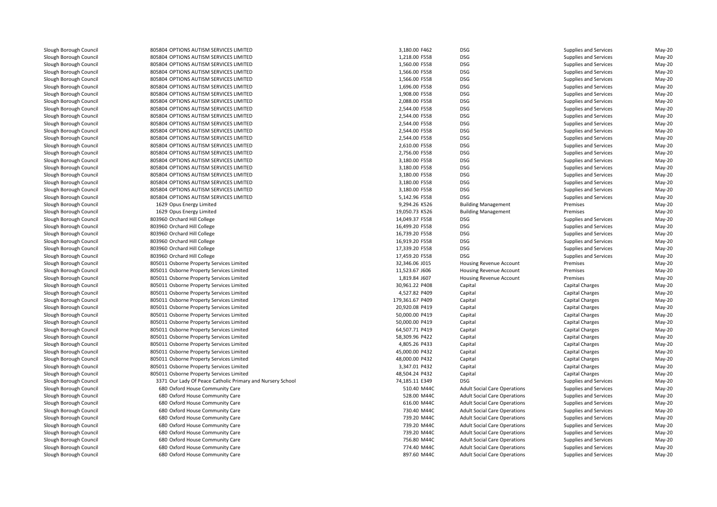805804 OPTIONS AUTISM SERVICES LIMITED 805804 OPTIONS AUTISM SERVICES LIMITED 805804 OPTIONS AUTISM SERVICES LIMITED 805804 OPTIONS AUTISM SERVICES LIMITED 805804 OPTIONS AUTISM SERVICES LIMITED 805804 OPTIONS AUTISM SERVICES LIMITED 805804 OPTIONS AUTISM SERVICES LIMITED 805804 OPTIONS AUTISM SERVICES LIMITED 805804 OPTIONS AUTISM SERVICES LIMITED 805804 OPTIONS AUTISM SERVICES LIMITED 805804 OPTIONS AUTISM SERVICES LIMITED 805804 OPTIONS AUTISM SERVICES LIMITED 805804 OPTIONS AUTISM SERVICES LIMITED 805804 OPTIONS AUTISM SERVICES LIMITED 805804 OPTIONS AUTISM SERVICES LIMITED 805804 OPTIONS AUTISM SERVICES LIMITED 805804 OPTIONS AUTISM SERVICES LIMITED 805804 OPTIONS AUTISM SERVICES LIMITED 805804 OPTIONS AUTISM SERVICES LIMITED 805804 OPTIONS AUTISM SERVICES LIMITED 805804 OPTIONS AUTISM SERVICES LIMITED 1629 Opus Energy Limited 1629 Opus Energy Limitedl 14,049.37 F558 DSG و 803960 Orchard Hill College 14,049.37 F558 DSG و 90.11 AM AM ALL And All College 14,049.37 F558 DSG و 90.11 AM AM ALL And All College 14,049.37 F558 DSG و 90.11 AM AM AM AM AM AM AM AM AM AM AM AM AM 803960 Orchard Hill College O Orchard Hill College 16,499.20 F558 DSG 803960 Orchard Hill College O Orchard Hill College 16,739.20 F558 DSG 803960 Orchard Hill College O Orchard Hill College 16,019.20 F558 DSG l 17,339.20 F558 DSG Dochard Hill College 17,339.20 F558 DSG DSG 2011 At 2012 The 17,339.20 F558 DSG DSG 2012 T 803960 Orchard Hill College O Orchard Hill College 17,459.20 F558 DSG 805011 Osborne Property Services Limited 805011 Osborne Property Services Limited 805011 Osborne Property Services Limited 805011 Osborne Property Services Limited 805011 Osborne Property Services Limited 805011 Osborne Property Services Limited 805011 Osborne Property Services Limited 805011 Osborne Property Services Limited 805011 Osborne Property Services Limited 805011 Osborne Property Services Limited 805011 Osborne Property Services Limited 805011 Osborne Property Services Limited 805011 Osborne Property Services Limited 805011 Osborne Property Services Limited 805011 Osborne Property Services Limited 805011 Osborne Property Services Limited1 3371 Our Lady Of Peace Catholic Primary and Nursery School 31 2012 11 2349 Assembly 2014 **680** Oxford House Community Care 510.40 M44C CARE 510.40 M44C **1** 680 Oxford House Community Care 528.00 M44C 680 Oxford House Community Care 528.00 M44C 528.00 M44C 528.00 M44C **680** Oxford House Community Care 616.00 M44C Care 616.00 M44C Care 616.00 M44C 616.00 M44C **1** 680 Oxford House Community Care 730.40 M44C **1** 680 Oxford House Community Care 739.20 M44C **1** 680 Oxford House Community Care 739.20 M44C **1** 680 Oxford House Community Care 739.20 M44C 680 Oxford House Community Care 756.80 M44C**680** Oxford House Community Care 774.40 M44C **774.40** M44C **680** Oxford House Community Care 897.60 M44C **897.60** M44C

| ERVICES LIMITED                     | 3,180.00 F462                    | DSG                                 | Supplies and Services              | May-20   |
|-------------------------------------|----------------------------------|-------------------------------------|------------------------------------|----------|
| ERVICES LIMITED                     | 1,218.00 F558                    | <b>DSG</b>                          | Supplies and Services              | $May-20$ |
| <b>ERVICES LIMITED</b>              | 1,560.00 F558                    | <b>DSG</b>                          | Supplies and Services              | May-20   |
| ERVICES LIMITED                     | 1,566.00 F558                    | <b>DSG</b>                          | Supplies and Services              | $May-20$ |
| ERVICES LIMITED                     | 1,566.00 F558                    | <b>DSG</b>                          | Supplies and Services              | May-20   |
| <b>ERVICES LIMITED</b>              | 1,696.00 F558                    | <b>DSG</b>                          | <b>Supplies and Services</b>       | $May-20$ |
| ERVICES LIMITED                     | 1,908.00 F558                    | <b>DSG</b>                          | Supplies and Services              | $May-20$ |
| ERVICES LIMITED                     | 2,088.00 F558                    | <b>DSG</b>                          | Supplies and Services              | May-20   |
| ERVICES LIMITED                     | 2,544.00 F558                    | <b>DSG</b>                          | <b>Supplies and Services</b>       | $May-20$ |
| ERVICES LIMITED                     | 2,544.00 F558                    | <b>DSG</b>                          | Supplies and Services              | $May-20$ |
| <b>ERVICES LIMITED</b>              | 2,544.00 F558                    | <b>DSG</b>                          | <b>Supplies and Services</b>       | $May-20$ |
| ERVICES LIMITED                     | 2,544.00 F558                    | <b>DSG</b>                          | Supplies and Services              | $May-20$ |
| ERVICES LIMITED                     | 2,544.00 F558                    | <b>DSG</b>                          | Supplies and Services              | May-20   |
| <b>ERVICES LIMITED</b>              | 2,610.00 F558                    | <b>DSG</b>                          | <b>Supplies and Services</b>       | May-20   |
| ERVICES LIMITED                     | 2,756.00 F558                    | <b>DSG</b>                          | Supplies and Services              | May-20   |
| <b>ERVICES LIMITED</b>              | 3,180.00 F558                    | <b>DSG</b>                          | Supplies and Services              | $May-20$ |
| <b>ERVICES LIMITED</b>              | 3,180.00 F558                    | <b>DSG</b>                          | Supplies and Services              | May-20   |
| ERVICES LIMITED                     | 3,180.00 F558                    | <b>DSG</b>                          | Supplies and Services              | May-20   |
| <b>ERVICES LIMITED</b>              | 3,180.00 F558                    | <b>DSG</b>                          | <b>Supplies and Services</b>       | $May-20$ |
| <b>ERVICES LIMITED</b>              | 3,180.00 F558                    | <b>DSG</b>                          | Supplies and Services              | May-20   |
| <b>ERVICES LIMITED</b>              | 5,142.96 F558                    | <b>DSG</b>                          | Supplies and Services              | $May-20$ |
| d                                   | 9,294.26 K526                    | <b>Building Management</b>          | Premises                           | May-20   |
| d                                   | 19,050.73 K526                   | <b>Building Management</b>          | Premises                           | $May-20$ |
|                                     | 14,049.37 F558                   | <b>DSG</b>                          | Supplies and Services              | $May-20$ |
|                                     | 16,499.20 F558                   | <b>DSG</b>                          | Supplies and Services              | May-20   |
|                                     | 16,739.20 F558                   | <b>DSG</b>                          | Supplies and Services              | $May-20$ |
|                                     | 16,919.20 F558                   | <b>DSG</b>                          | Supplies and Services              | May-20   |
|                                     | 17,339.20 F558                   | <b>DSG</b>                          | Supplies and Services              | $May-20$ |
|                                     | 17,459.20 F558                   | <b>DSG</b>                          | Supplies and Services              | $May-20$ |
| ervices Limited                     | 32,346.06 J015                   | Housing Revenue Account             | Premises                           | May-20   |
| ervices Limited                     | 11,523.67 J606                   | Housing Revenue Account             | Premises                           | $May-20$ |
| ervices Limited                     | 1,819.84 J607                    | Housing Revenue Account             | Premises                           | $May-20$ |
| ervices Limited                     | 30,961.22 P408                   | Capital                             | Capital Charges                    | $May-20$ |
| ervices Limited                     | 4,527.82 P409                    | Capital                             | Capital Charges                    | $May-20$ |
| ervices Limited                     | 179,361.67 P409                  | Capital                             | Capital Charges                    | May-20   |
| ervices Limited                     | 20,920.08 P419                   | Capital                             | Capital Charges                    | $May-20$ |
|                                     |                                  |                                     |                                    | $May-20$ |
| ervices Limited<br>ervices Limited  | 50,000.00 P419<br>50,000.00 P419 | Capital<br>Capital                  | Capital Charges<br>Capital Charges | $May-20$ |
|                                     |                                  |                                     |                                    |          |
| ervices Limited                     | 64,507.71 P419                   | Capital                             | Capital Charges                    | $May-20$ |
| ervices Limited                     | 58,309.96 P422                   | Capital                             | Capital Charges                    | May-20   |
| ervices Limited                     | 4,805.26 P433                    | Capital                             | Capital Charges                    | $May-20$ |
| ervices Limited                     | 45,000.00 P432                   | Capital                             | Capital Charges                    | $May-20$ |
| ervices Limited                     | 48,000.00 P432                   | Capital                             | Capital Charges                    | $May-20$ |
| ervices Limited                     | 3,347.01 P432                    | Capital                             | Capital Charges                    | $May-20$ |
| ervices Limited                     | 48,504.24 P432                   | Capital                             | Capital Charges                    | $May-20$ |
| Catholic Primary and Nursery School | 74,185.11 E349                   | <b>DSG</b>                          | Supplies and Services              | May-20   |
| nunity Care                         | 510.40 M44C                      | <b>Adult Social Care Operations</b> | Supplies and Services              | May-20   |
| nunity Care                         | 528.00 M44C                      | <b>Adult Social Care Operations</b> | Supplies and Services              | $May-20$ |
| nunity Care                         | 616.00 M44C                      | <b>Adult Social Care Operations</b> | Supplies and Services              | May-20   |
| munity Care                         | 730.40 M44C                      | <b>Adult Social Care Operations</b> | Supplies and Services              | $May-20$ |
| nunity Care                         | 739.20 M44C                      | <b>Adult Social Care Operations</b> | Supplies and Services              | $May-20$ |
| nunity Care                         | 739.20 M44C                      | <b>Adult Social Care Operations</b> | Supplies and Services              | May-20   |
| munity Care                         | 739.20 M44C                      | <b>Adult Social Care Operations</b> | Supplies and Services              | $May-20$ |
| nunity Care                         | 756.80 M44C                      | <b>Adult Social Care Operations</b> | Supplies and Services              | May-20   |
| munity Care                         | 774.40 M44C                      | <b>Adult Social Care Operations</b> | Supplies and Services              | May-20   |
| munity Care                         | 897.60 M44C                      | <b>Adult Social Care Operations</b> | Supplies and Services              | $May-20$ |
|                                     |                                  |                                     |                                    |          |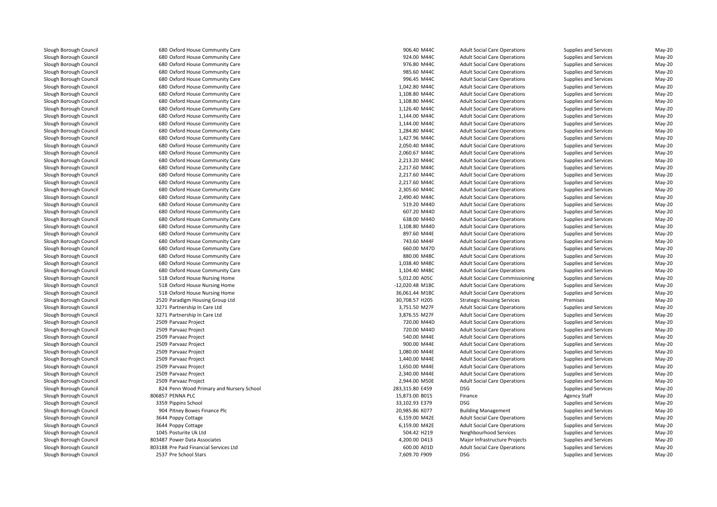**1** 680 Oxford House Community Care 906.40 M44C **1** 680 Oxford House Community Care 924.00 M44C 680 Oxford House Community Care 976.80 M44C**1** 680 Oxford House Community Care 985.60 M44C 680 Oxford House Community Care 996.45 M44C 680 Oxford House Community Care 1,042.80 M44C 680 Oxford House Community Care 1,108.80 M44C 680 Oxford House Community Care 1,108.80 M44C**680** Oxford House Community Care 1,126.40 M44C and the 1,126.40 M44C and the 1,126.40 M44C and the 1,126.40 M44C **680** Oxford House Community Care 1,144.00 M44C 1,144.00 M44C **680** Oxford House Community Care 1,144.00 M44C 1,144.00 M44C 680 Oxford House Community Care 1,284.80 M44C 680 Oxford House Community Care 1,427.96 M44C 680 Oxford House Community Care 2,050.40 M44Cof the Community Care and the Community Care and the Community Care and the Community Care and the Community Care and the Community Care and the Community Care and the Community Care and the Community Care and the Communit 680 Oxford House Community Care 2,213.20 M44C 680 Oxford House Community Care 2,217.60 M44C 680 Oxford House Community Care 2,217.60 M44C 680 Oxford House Community Care 2,217.60 M44C 680 Oxford House Community Care 2,305.60 M44C 680 Oxford House Community Care 2,490.40 M44C**1** 680 Oxford House Community Care 519.20 M44D 519.20 M44D **680** Oxford House Community Care 607.20 M44D **607.20 M44D 1** 680 Oxford House Community Care 638.00 M44D 638.00 M44D 638.00 M44D **1** 680 Oxford House Community Care 1,108.80 M44D and 1,108.80 M44D and 1,108.80 M44D 680 Oxford House Community Care 680 Oxford House Community Care **1** 680 Oxford House Community Care 660.00 M47D 660.00 M47D 660.00 M47D 660.00 M47D 660.00 M47D 660.00 M47D 660.00 M47D 660.00 M47D 660.00 M47D 660.00 M47D 660.00 M47D 660.00 M47D 660.00 M47D 660.00 M47D 660.00 M47D 660.00 **1** 680 Oxford House Community Care 880.00 M48C 880.00 M48C 880.00 M48C 880.00 M48C 880.00 M48C **1** 680 Oxford House Community Care 1,038.40 M48C **680** Oxford House Community Care 1,104.40 M48C 1,104.40 M48C 1,104.40 M48C 1,104.40 M48C 1,104.40 M48C 1,104.40 M48C **1** S18 Oxford House Nursing Home **5,012.00 A05C** S<sub>5</sub>,012.00 A05C S<sub>5</sub>,012.00 A05C S<sub>5</sub>,012.00 A05C S<sub>5</sub>,012.00 A05C S5,012.00 A05C S5,012.00 A05C S5,012.00 A05C S5,012.00 A05C S5,012.00 A05C S5,012.00 A05C S5,012.00 A05C 518 Oxford House Nursing Home -12,020.48 M18C 518 Oxford House Nursing Home 36,061.44 M18C 2520 Paradigm Housing Group Ltd 3271 Partnership In Care Ltd 3271 Partnership In Care Ltd2509 Parvaaz Project 9 Parvaaz Project 2008 and 2008 and 2008 and 2008 and 2008 and 2008 and 2008 and 2008 and 2008 and 2008 and 20 2509 Parvaaz Project 9 Parvaaz Project 2008 and 2008 and 2008 and 2008 and 2008 and 2008 and 2008 and 2008 and 2008 and 2008 and 20 2509 Parvaaz Project 2509 Parvaaz Project 2509 Parvaaz Project 2509 Parvaaz Project 2509 Parvaaz Project 2509 Parvaaz Project 2509 Parvaaz Project 824 Penn Wood Primary and Nursery School 283,315.80 E459 DSG 806857 PENNA PLC3359 Pippins School Pippins School 33,102.93 E379 DSG 904 Pitney Bowes Finance Plc 3644 Poppy Cottage 3644 Poppy Cottage 1045 Posturite Uk Ltd803487 Power Data Associates 803188 Pre Paid Financial Services Ltd2537 Pre School Stars Pre School Stars 7,609.70 F909 DSG

600.00 A01D

 Adult Social Care Operations Supplies and Services May-20 Adult Social Care Operations Supplies and Services May-20 976.80 M44C Adult Social Care Operations Supplies and Services May-20<br>1985.60 M44C Adult Social Care Operations Supplies and Services May-20 Adult Social Care Operations Supplies and Services May-20 996.45 M44C Adult Social Care Operations Supplies and Services May-20<br>1,042.80 M44C Adult Social Care Operations Supplies and Services May-20 Adult Social Care Operations Supplies and Services May-20 1,108.80 M44C Adult Social Care Operations Supplies and Services May-20<br>1.108.80 M44C Adult Social Care Operations Supplies and Services May-20 1,108.80 M44C Adult Social Care Operations Supplies and Services May-20<br>1,126.40 M44C Adult Social Care Operations Supplies and Services May-20 1,126.40 M44C Adult Social Care Operations Supplies and Services May-20<br>1.144.00 M44C Adult Social Care Operations Supplies and Services May-20 1,144.00 M44C Adult Social Care Operations Supplies and Services May-20<br>1,144.00 M44C Adult Social Care Operations Supplies and Services May-20 1,144.00 M44C Adult Social Care Operations Supplies and Services May-20<br>1,284.80 M44C Adult Social Care Operations Supplies and Services May-20 Adult Social Care Operations Supplies and Services May-20 Adult Social Care Operations Supplies and Services May-20 2,050.40 M44C Adult Social Care Operations Supplies and Services May-20<br>2.060.67 M44C Adult Social Care Operations Supplies and Services May-20 Adult Social Care Operations Supplies and Services May-20<br>Adult Social Care Operations Supplies and Services May-20 2,213.20 M44C Adult Social Care Operations Supplies and Services May-20<br>2,217.60 M44C Adult Social Care Operations Supplies and Services May-20 2,217.60 M44C Adult Social Care Operations Supplies and Services May-20 May-20<br>2.217.60 M44C Adult Social Care Operations Supplies and Services May-20 Adult Social Care Operations Supplies and Services May-20 2,217.60 M44C Adult Social Care Operations Supplies and Services May-20<br>2,305.60 M44C Adult Social Care Operations Supplies and Services May-20 2,305.60 M44C Adult Social Care Operations Supplies and Services May-20<br>2.490.40 M44C Adult Social Care Operations Supplies and Services May-20 Adult Social Care Operations Supplies and Services May-20 519.20 M44D Adult Social Care Operations Supplies and Services May-20 May-20<br>607.20 M44D Adult Social Care Operations Supplies and Services May-20 Adult Social Care Operations Supplies and Services May-20 638.00 M44D Adult Social Care Operations Supplies and Services May-20<br>1.108.80 M44D Adult Social Care Operations Supplies and Services May-20 Adult Social Care Operations 5upplies and Services May-20<br>1997.60 M44E Adult Social Care Operations Supplies and Services May-20 Oxford House Community Care 897.60 M44E Adult Social Care Operations Supplies and Services May-20 Oxford House Community Care 743.60 M44F Adult Social Care Operations Supplies and Services May-20 Adult Social Care Operations Supplies and Services May-20 880.00 M48C Adult Social Care Operations Supplies and Services May-20<br>1,038.40 M48C Adult Social Care Operations Supplies and Services May-20 Adult Social Care Operations Supplies and Services May-20 1,104.40 M48C 10.4 Adult Social Care Operations 5.012.00 Adult Social Care Commissioning 5.012.00 ADV-20 Adult Social Care Commissioning Supplies and Services May-20 Adult Social Care Operations Supplies and Services May-20 Adult Social Care Operations Supplies and Services May-20 d and the strategic Housing Services Strategic Housing Services of Premises Premises May-20 d S.751.50 M27F Adult Social Care Operations Supplies and Services May-20 3,876.55 M27F Adult Social Care Operations Supplies and Services May-20 Particular May-20 Adult Social Care Operations Supplies and Services May-20<br>Adult Social Care Operations Supplies and Services May-20 Adult Social Care Operations Supplies and Services May-20 Parvaaz Project 540.00 M44E Adult Social Care Operations Supplies and Services May-20 Parvaaz Project 900.00 M44E Adult Social Care Operations Supplies and Services May-20 Parvaaz Project 1,080.00 M44E Adult Social Care Operations Supplies and Services May-20 Parvaaz Project 1,440.00 M44E Adult Social Care Operations Supplies and Services May-20 Parvaaz Project 1,650.00 M44E Adult Social Care Operations Supplies and Services May-20 Parvaaz Project 2,340.00 M44E Adult Social Care Operations Supplies and Services May-20 Parvaaz Project 2,944.00 M50E Adult Social Care Operations Supplies and Services May-20 Supplies and Services May-20 C Server 20 and the U.S. and the U.S. 2003 Server 2015 Finance 2016 Server 2016 Agency Staff May-20 and May-20 DSG Supplies and Services May-20<br>
Building Management Supplies and Services May-20 4 Pitney Bowes Finance Plc 20,985.86 K077 Building Management Supplies and Services May-20 A Poppy Cottage **6,159.00 M42E** Adult Social Care Operations Supplies and Services May-20 A Poppy Cottage **6,159.00 M42E** Adult Social Care Operations Supplies and Services May-20 504.42 H219 Neighbourhood Services Supplies and Services May-20 Power Data Associates 4,200.00 D413 Major Infrastructure Projects Supplies and Services May-20 600.00 A01D Adult Social Care Operations Supplies and Services May-20<br>1999 T,609.70 F909 DSG Supplies and Services May-20 Supplies and Services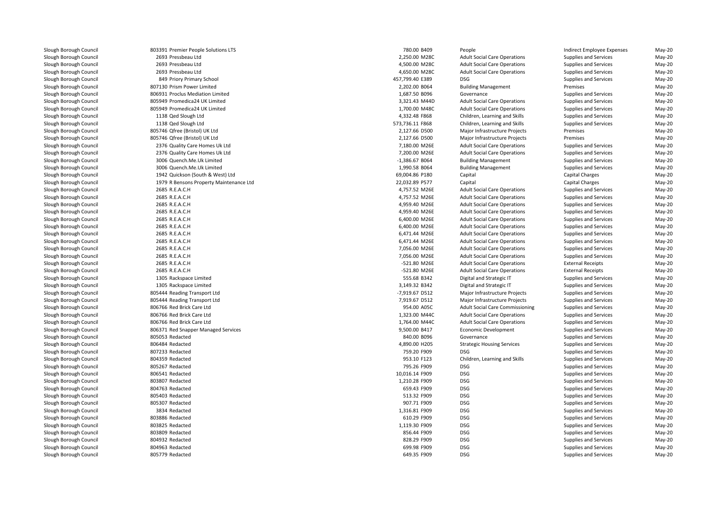803391 Premier People Solutions LTS 2693 Pressbeau Ltd 2,250.00 M28C 2693 Pressbeau Ltd 4,500.00 M28C 2693 Pressbeau Ltd 4,650.00 M28C 849 Priory Primary School 457,799.40 E389 DSG 807130 Prism Power Limited 806931 Proclus Mediation Limited 805949 Promedica24 UK Limited 3,321.43 M44D 805949 Promedica24 UK Limitedd 1,700.00 M48C 1138 Qed Slough Ltd 1138 Qed Slough Ltd 805746 Qfree (Bristol) UK Ltd 805746 Qfree (Bristol) UK Ltd 2376 Quality Care Homes Uk Ltd 2376 Quality Care Homes Uk Ltd 3006 Quench.Me.Uk Limited 3006 Quench.Me.Uk Limited 1942 Quickson (South & West) Ltd 1979 R Bensons Property Maintenance Ltd 2685 R.E.A.C.H 2685 R.E.A.C.H 2685 R.E.A.C.H 2685 R.E.A.C.H 2685 R.E.A.C.H 2685 R.E.A.C.H 2685 R.E.A.C.H 2685 R.E.A.C.H 2685 R.E.A.C.H 2685 R.E.A.C.H 2685 R.E.A.C.H 2685 R.E.A.C.H 1305 Rackspace Limited 1305 Rackspace Limited 805444 Reading Transport Ltd 805444 Reading Transport Ltd 806766 Red Brick Care Ltdd 954.00 A05C 806766 Red Brick Care Ltdd  $1,323.00 \text{ M}44\text{C}$  806766 Red Brick Care Ltdd 1,764.00 M44C 806371 Red Snapper Managed Services 805053 Redacted 806484 Redacted 807233 Redacted 759.20 F909 DSG 804359 Redacted 805267 Redacted 795.26 F909 DSG 806541 Redactedd 10,016.14 F909 DSG 2010 DSG 2010 DSG 2010 DSG 2010 DSG 2010 DSG 2010 DSG 2010 DSG 2010 DSG 2010 DSG 2010 DSG 803807 Redactedd 1,210.28 F909 DSG 2007 DSG 2007 DSG 2007 DSG 2007 DSG 2007 DSG 2007 DSG 2007 DSG 2007 DSG 2007 DSG 2007 DSG 2007 D 804763 Redacted 659.43 F909 DSG 805403 Redacted 513.32 F909 DSG 805307 Redacted 907.71 F909 DSG 3834 Redactedd 1,316.81 F909 DSG 803886 Redactedd 610.29 F909 DSG **DSG 2010 12:00 PSG 2010 12:00 PSG 2010 12:00 PSG** 2010 12:00 PSG 2010 12:00 PSG 2010 12:00 PSG 2010 12:00 PSG 2010 12:00 PSG 2010 12:00 PSG 2010 12:00 PSG 2010 12:00 PSG 2010 12:00 PSG 2010 12:00 PSG 201 803825 Redactedd 1,119.30 F909 DSG 2012 1,119.30 F909 DSG 2014 1,119.30 F909 DSG 2014 1,119.30 F909 DSG 803809 Redacted 856.44 F909 DSG 804932 Redacted 828.29 F909 DSG 804963 Redacted 699.98 F909 DSG805779 Redacted

| 1 Premier People Solutions LTS       | 780.00 B409                | People                                 | Indirect Employee Expenses   | May-20               |
|--------------------------------------|----------------------------|----------------------------------------|------------------------------|----------------------|
| 3 Pressbeau Ltd                      | 2,250.00 M28C              | <b>Adult Social Care Operations</b>    | Supplies and Services        | $May-20$             |
| 3 Pressbeau Ltd                      | 4,500.00 M28C              | <b>Adult Social Care Operations</b>    | Supplies and Services        | $May-20$             |
| 3 Pressbeau Ltd                      | 4,650.00 M28C              | <b>Adult Social Care Operations</b>    | Supplies and Services        | May-20               |
| 9 Priory Primary School              | 457,799.40 E389            | <b>DSG</b>                             | Supplies and Services        | May-20               |
| 0 Prism Power Limited                | 2,202.00 B064              | <b>Building Management</b>             | Premises                     | $May-20$             |
| 1 Proclus Mediation Limited          | 1,687.50 B096              | Governance                             | Supplies and Services        | $May-20$             |
| 9 Promedica24 UK Limited             | 3,321.43 M44D              | <b>Adult Social Care Operations</b>    | Supplies and Services        | $May-20$             |
| 9 Promedica24 UK Limited             | 1,700.00 M48C              | <b>Adult Social Care Operations</b>    | Supplies and Services        | May-20               |
| 8 Qed Slough Ltd                     | 4,332.48 F868              | Children, Learning and Skills          | Supplies and Services        | May-20               |
| 8 Qed Slough Ltd                     | 573,736.11 F868            | Children, Learning and Skills          | <b>Supplies and Services</b> | $May-20$             |
| 6 Qfree (Bristol) UK Ltd             | 2,127.66 D500              | Major Infrastructure Projects          | Premises                     | $May-20$             |
| 6 Qfree (Bristol) UK Ltd             | 2,127.66 D500              | Major Infrastructure Projects          | Premises                     | May-20               |
| 6 Quality Care Homes Uk Ltd          | 7,180.00 M26E              | <b>Adult Social Care Operations</b>    | Supplies and Services        | $May-20$             |
| 6 Quality Care Homes Uk Ltd          | 7,200.00 M26E              | <b>Adult Social Care Operations</b>    | Supplies and Services        | May-20               |
| 6 Quench.Me.Uk Limited               | $-1,386.67B064$            | <b>Building Management</b>             | Supplies and Services        | $May-20$             |
| 6 Quench.Me.Uk Limited               | 1,990.58 B064              | <b>Building Management</b>             | Supplies and Services        | $May-20$             |
| 2 Quickson (South & West) Ltd        | 69,004.86 P180             | Capital                                | Capital Charges              | May-20               |
| 9 R Bensons Property Maintenance Ltd | 22,032.89 P577             | Capital                                | Capital Charges              | May-20               |
| 5 R.E.A.C.H                          | 4,757.52 M26E              | <b>Adult Social Care Operations</b>    | Supplies and Services        | $May-20$             |
| 5 R.E.A.C.H                          | 4,757.52 M26E              | <b>Adult Social Care Operations</b>    | Supplies and Services        | $May-20$             |
| 5 R.E.A.C.H                          | 4,959.40 M26E              | <b>Adult Social Care Operations</b>    | Supplies and Services        | $May-20$             |
| 5 R.E.A.C.H                          | 4,959.40 M26E              | <b>Adult Social Care Operations</b>    | Supplies and Services        | May-20               |
| 5 R.E.A.C.H                          | 6,400.00 M26E              | <b>Adult Social Care Operations</b>    | Supplies and Services        | May-20               |
| 5 R.E.A.C.H                          | 6,400.00 M26E              | <b>Adult Social Care Operations</b>    | Supplies and Services        | $May-20$             |
| 5 R.E.A.C.H                          | 6,471.44 M26E              | <b>Adult Social Care Operations</b>    | Supplies and Services        | $May-20$             |
| 5 R.E.A.C.H                          | 6,471.44 M26E              | <b>Adult Social Care Operations</b>    | Supplies and Services        | $May-20$             |
| 5 R.E.A.C.H                          | 7,056.00 M26E              | <b>Adult Social Care Operations</b>    | Supplies and Services        | $May-20$             |
| 5 R.E.A.C.H                          | 7,056.00 M26E              | <b>Adult Social Care Operations</b>    | Supplies and Services        | May-20               |
| 5 R.E.A.C.H                          | -521.80 M26E               | <b>Adult Social Care Operations</b>    | <b>External Receipts</b>     | $May-20$             |
| 5 R.E.A.C.H                          | -521.80 M26E               | <b>Adult Social Care Operations</b>    | <b>External Receipts</b>     | $May-20$             |
| 5 Rackspace Limited                  | 555.68 B342                | Digital and Strategic IT               | Supplies and Services        | May-20               |
| 5 Rackspace Limited                  | 3,149.32 B342              | Digital and Strategic IT               | Supplies and Services        | May-20               |
| 4 Reading Transport Ltd              | -7,919.67 D512             | Major Infrastructure Projects          | <b>Supplies and Services</b> | May-20               |
| 4 Reading Transport Ltd              | 7,919.67 D512              | Major Infrastructure Projects          | Supplies and Services        | May-20               |
| 6 Red Brick Care Ltd                 | 954.00 A05C                | <b>Adult Social Care Commissioning</b> | Supplies and Services        | $May-20$             |
| 6 Red Brick Care Ltd                 | 1,323.00 M44C              | <b>Adult Social Care Operations</b>    | Supplies and Services        | $May-20$             |
| 6 Red Brick Care Ltd                 | 1,764.00 M44C              | <b>Adult Social Care Operations</b>    | Supplies and Services        | May-20               |
| 1 Red Snapper Managed Services       | 9,500.00 B417              | Economic Development                   | Supplies and Services        | May-20               |
| 3 Redacted                           | 840.00 B096                | Governance                             | Supplies and Services        | $May-20$             |
| 4 Redacted                           | 4,890.00 H205              | <b>Strategic Housing Services</b>      | Supplies and Services        | May-20               |
|                                      | 759.20 F909                | <b>DSG</b>                             |                              |                      |
| 3 Redacted                           |                            |                                        | Supplies and Services        | May-20               |
| 9 Redacted                           | 953.10 F123<br>795.26 F909 | Children, Learning and Skills          | Supplies and Services        | $May-20$<br>$May-20$ |
| 7 Redacted                           | 10,016.14 F909             | <b>DSG</b><br><b>DSG</b>               | Supplies and Services        |                      |
| 1 Redacted                           |                            |                                        | Supplies and Services        | $May-20$             |
| 7 Redacted                           | 1,210.28 F909              | <b>DSG</b>                             | Supplies and Services        | $May-20$             |
| 3 Redacted                           | 659.43 F909                | <b>DSG</b>                             | Supplies and Services        | May-20               |
| 3 Redacted                           | 513.32 F909                | <b>DSG</b>                             | Supplies and Services        | May-20               |
| 7 Redacted                           | 907.71 F909                | <b>DSG</b>                             | Supplies and Services        | $May-20$             |
| 4 Redacted                           | 1,316.81 F909              | <b>DSG</b>                             | Supplies and Services        | May-20               |
| 6 Redacted                           | 610.29 F909                | <b>DSG</b>                             | Supplies and Services        | May-20               |
| 5 Redacted                           | 1,119.30 F909              | <b>DSG</b>                             | Supplies and Services        | May-20               |
| 9 Redacted                           | 856.44 F909                | <b>DSG</b>                             | Supplies and Services        | May-20               |
| 2 Redacted                           | 828.29 F909                | <b>DSG</b>                             | Supplies and Services        | $May-20$             |
| 3 Redacted                           | 699.98 F909                | <b>DSG</b>                             | Supplies and Services        | $May-20$             |
| 9 Redacted                           | 649.35 F909                | <b>DSG</b>                             | Supplies and Services        | $May-20$             |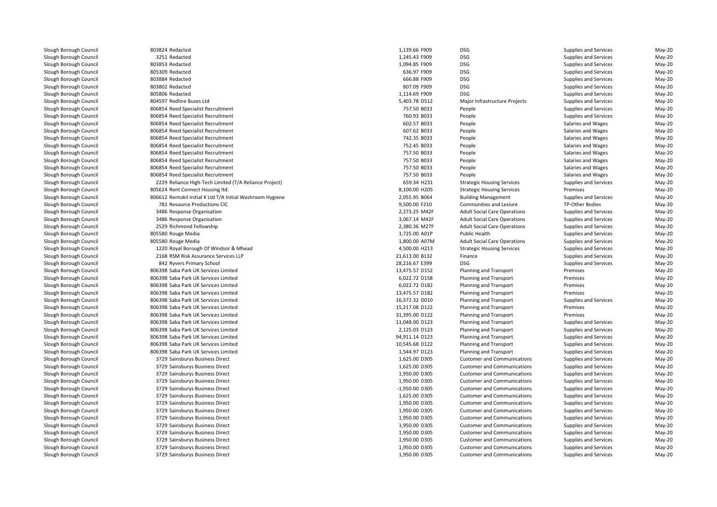| 803824 Redacted                                            | 1,139.66 F909  | <b>DSG</b>                          | Supplies and Services | May-20   |
|------------------------------------------------------------|----------------|-------------------------------------|-----------------------|----------|
| 3251 Redacted                                              | 1,245.43 F909  | <b>DSG</b>                          | Supplies and Services | May-20   |
| 803853 Redacted                                            | 1,094.85 F909  | <b>DSG</b>                          | Supplies and Services | May-20   |
| 805309 Redacted                                            | 636.97 F909    | <b>DSG</b>                          | Supplies and Services | May-20   |
| 803884 Redacted                                            | 666.88 F909    | <b>DSG</b>                          | Supplies and Services | May-20   |
| 803802 Redacted                                            | 807.09 F909    | <b>DSG</b>                          | Supplies and Services | May-20   |
| 805806 Redacted                                            | 1,114.69 F909  | <b>DSG</b>                          | Supplies and Services | $May-20$ |
| 804597 Redline Buses Ltd                                   | 5,403.78 D512  | Major Infrastructure Projects       | Supplies and Services | May-20   |
| 806854 Reed Specialist Recruitment                         | 757.50 B033    | People                              | Supplies and Services | May-20   |
| 806854 Reed Specialist Recruitment                         | 760.93 B033    | People                              | Supplies and Services | $May-20$ |
| 806854 Reed Specialist Recruitment                         | 602.57 B033    | People                              | Salaries and Wages    | May-20   |
| 806854 Reed Specialist Recruitment                         | 607.62 B033    | People                              | Salaries and Wages    | May-20   |
| 806854 Reed Specialist Recruitment                         | 742.35 B033    | People                              | Salaries and Wages    | $May-20$ |
| 806854 Reed Specialist Recruitment                         | 752.45 B033    | People                              | Salaries and Wages    | May-20   |
| 806854 Reed Specialist Recruitment                         | 757.50 B033    | People                              | Salaries and Wages    | $May-20$ |
| 806854 Reed Specialist Recruitment                         | 757.50 B033    | People                              | Salaries and Wages    | $May-20$ |
| 806854 Reed Specialist Recruitment                         | 757.50 B033    | People                              | Salaries and Wages    | May-20   |
| 806854 Reed Specialist Recruitment                         | 757.50 B033    | People                              | Salaries and Wages    | $May-20$ |
| 2229 Reliance High-Tech Limited (T/A Reliance Project)     | 659.34 H231    | <b>Strategic Housing Services</b>   | Supplies and Services | $May-20$ |
| 805624 Rent Connect Housing ltd.                           | 8,100.00 H205  | <b>Strategic Housing Services</b>   | Premises              | May-20   |
| 806612 Rentokil Initial K Ltd T/A Initial Washroom Hygiene | 2,055.95 B064  | <b>Building Management</b>          | Supplies and Services | $May-20$ |
| 781 Resource Productions CIC                               | 9,500.00 F210  | Communities and Lesiure             | TP-Other Bodies       | $May-20$ |
| 3486 Response Organisation                                 | 2,273.25 M42F  | <b>Adult Social Care Operations</b> | Supplies and Services | $May-20$ |
| 3486 Response Organisation                                 | 3,067.14 M42F  | <b>Adult Social Care Operations</b> | Supplies and Services | $May-20$ |
| 2529 Richmond Fellowship                                   | 2,380.36 M27F  | <b>Adult Social Care Operations</b> | Supplies and Services | May-20   |
| 805580 Rouge Media                                         | 1,725.00 A01P  | Public Health                       | Supplies and Services | $May-20$ |
| 805580 Rouge Media                                         | 1,800.00 A07M  | <b>Adult Social Care Operations</b> | Supplies and Services | $May-20$ |
| 1220 Royal Borough Of Windsor & Mhead                      | 4,500.00 H213  | <b>Strategic Housing Services</b>   | Supplies and Services | May-20   |
| 2168 RSM Risk Assurance Services LLP                       | 21,613.00 B132 | Finance                             | Supplies and Services | $May-20$ |
| 842 Ryvers Primary School                                  | 28,216.67 E399 | <b>DSG</b>                          | Supplies and Services | $May-20$ |
| 806398 Saba Park UK Services Limited                       | 13,475.57 D152 | Planning and Transport              | Premises              | $May-20$ |
| 806398 Saba Park UK Services Limited                       | 6,022.72 D158  | Planning and Transport              | Premises              | $May-20$ |
| 806398 Saba Park UK Services Limited                       | 6,022.72 D182  | Planning and Transport              | Premises              | $May-20$ |
| 806398 Saba Park UK Services Limited                       | 13,475.57 D182 | Planning and Transport              | Premises              | $May-20$ |
| 806398 Saba Park UK Services Limited                       | 16,372.32 D010 | Planning and Transport              | Supplies and Services | $May-20$ |
| 806398 Saba Park UK Services Limited                       | 15,217.08 D122 | Planning and Transport              | Premises              | $May-20$ |
| 806398 Saba Park UK Services Limited                       | 31,395.00 D122 | Planning and Transport              | Premises              | $May-20$ |
| 806398 Saba Park UK Services Limited                       | 11,048.00 D123 | Planning and Transport              | Supplies and Services | May-20   |
| 806398 Saba Park UK Services Limited                       | 2,125.03 D123  | Planning and Transport              | Supplies and Services | $May-20$ |
| 806398 Saba Park UK Services Limited                       | 94,911.14 D123 | Planning and Transport              | Supplies and Services | $May-20$ |
| 806398 Saba Park UK Services Limited                       | 10,545.68 D122 | Planning and Transport              | Supplies and Services | May-20   |
| 806398 Saba Park UK Services Limited                       | 1,544.97 D123  | Planning and Transport              | Supplies and Services | $May-20$ |
| 3729 Sainsburys Business Direct                            | 1,625.00 D305  | <b>Customer and Communications</b>  | Supplies and Services | $May-20$ |
| 3729 Sainsburys Business Direct                            | 1,625.00 D305  | <b>Customer and Communications</b>  | Supplies and Services | May-20   |
| 3729 Sainsburys Business Direct                            | 1,950.00 D305  | <b>Customer and Communications</b>  | Supplies and Services | $May-20$ |
| 3729 Sainsburys Business Direct                            | 1,950.00 D305  | <b>Customer and Communications</b>  | Supplies and Services | $May-20$ |
| 3729 Sainsburys Business Direct                            | -1,950.00 D305 | <b>Customer and Communications</b>  | Supplies and Services | $May-20$ |
| 3729 Sainsburys Business Direct                            | 1,625.00 D305  | <b>Customer and Communications</b>  | Supplies and Services | $May-20$ |
| 3729 Sainsburys Business Direct                            | 1,950.00 D305  | <b>Customer and Communications</b>  | Supplies and Services | $May-20$ |
| 3729 Sainsburys Business Direct                            | 1,950.00 D305  | <b>Customer and Communications</b>  | Supplies and Services | $May-20$ |
| 3729 Sainsburys Business Direct                            | 1,950.00 D305  | <b>Customer and Communications</b>  | Supplies and Services | May-20   |
| 3729 Sainsburys Business Direct                            | 1,950.00 D305  | <b>Customer and Communications</b>  | Supplies and Services | May-20   |
| 3729 Sainsburys Business Direct                            | 1,950.00 D305  | <b>Customer and Communications</b>  | Supplies and Services | May-20   |
| 3729 Sainsburys Business Direct                            | 1,950.00 D305  | <b>Customer and Communications</b>  | Supplies and Services | May-20   |
| 3729 Sainsburys Business Direct                            | 1,950.00 D305  | <b>Customer and Communications</b>  | Supplies and Services | May-20   |
| 3729 Sainsburys Business Direct                            | 1,950.00 D305  | <b>Customer and Communications</b>  | Supplies and Services | May-20   |
|                                                            |                |                                     |                       |          |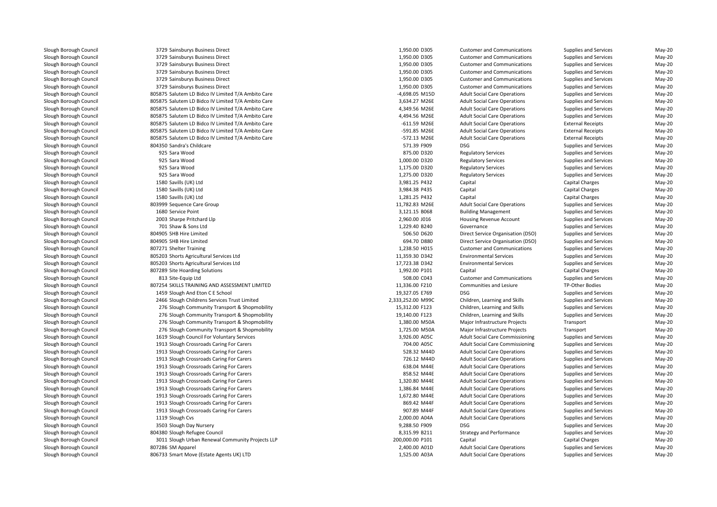3729 Sainsburys Business Direct Sainsburys Business Direct 1,950.00 D305 Customer and Communications Supplies and Services May-20 3729 Sainsburys Business Direct Sainsburys Business Direct 1,950.00 D305 Customer and Communications Supplies and Services May-20 3729 Sainsburys Business Direct Sainsburys Business Direct 1,950.00 D305 Customer and Communications Supplies and Services May-20 3729 Sainsburys Business Direct 3729 Sainsburys Business Direct Sainsburys Business Direct 1,950.00 D305 Customer and Communications Supplies and Services May-20 3729 Sainsburys Business Direct Sainsburys Business Direct 1,950.00 D305 Customer and Communications Supplies and Services May-20 805875 Salutem LD Bidco IV Limited T/A Ambito Care -4,698.05 M15D805875 Salutem LD Bidco IV Limited T/A Ambito Care 3,634.27 M26E Adult Social Care Operations Supplies and Services May-20 805875 Salutem LD Bidco IV Limited T/A Ambito Care 2014 Care 2014 May-20 Agament Acts Adult Social Care Operations Supplies and Services May-20 805875 Salutem LD Bidco IV Limited T/A Ambito Care **1966 1967 1968 May-20** 4,494.56 M26E Adult Social Care Operations Supplies and Services May-20 805875 Salutem LD Bidco IV Limited T/A Ambito Care -611.59 M26E Adult Social Care Operations -611.59 M26E Adult Social Care Operations -611.59 M26E Adult Social Care Operations -611.59 M26E Adult Social Care Operations -61 805875 Salutem LD Bidco IV Limited T/A Ambito Care -591.85 M26E Adult Social Care Operations -591.85 M26E Adult Social Care Operations -591.85 M26E External Receipts May-20 805875 Salutem LD Bidco IV Limited T/A Ambito Care -572.13 M26E Adult Social Care Operations External Receipts May-20 804350 Sandra's Childcare O Sandra's Childcare 571.39 F909 DSG 925925 Sara Wood 925 Sara Wood 925925 Sara Wood 925 Sara Wood 1580 Savills (UK) Ltd 1580 Savills (UK) Ltd 1580 Savills (UK) Ltd 803999 Sequence Care Group1680 Service Point O Service Point 3,121.15 BO68 Building Management Supplies and Services May-20 2003 Sharpe Pritchard Llp 701 Shaw & Sons Ltd 804905 SHB Hire Limited 804905 SHB Hire Limited807271 Shelter Training 1 Shelter Training 1,238.50 H015 Customer and Communications Supplies and Services May-20 805203 Shorts Agricultural Services Ltd 805203 Shorts Agricultural Services Ltd807289 Site Hoarding Solutions Site Hoarding Solutions 1,992.00 P101 Capital Capital Charges May-20 813 Site-Equip Ltd 807254 SKILLS TRAINING AND ASSESSMENT LIMITED 1459 Slough And Eton C E School 19,327.05 E769 DSG 2466 Slough Childrens Services Trust Limited15,312.00 F123 Children, Learning and Skills Supplies and Services May-20 Children, Learning and Skills Supplies and Services May-20 19,140.00 1213 Children, Learning and Skills Supplies and Services May-20 Nay-20 Children, Learning and Skills Supplies and Services May-20 1 1,380.00 M50A 276 Slough Community Transport & Shopmobility 1,380.00 M50A 1 1,725.00 M50A 276 Slough Community Transport & Shopmobility 1,725.00 M50A 1619 Slough Council For Voluntary Services 3,926.00 A05C 1913 Slough Crossroads Caring For Carers 704.00 A05C1913 Slough Crossroads Caring For Carers 528.32 M44D States 528.32 M44D 1913 Slough Crossroads Caring For Carers 726.12 M44D 726.12 M44D 726.12 M44D 1913 Slough Crossroads Caring For Carers 638.04 M44E Adult Social Care Operations Supplies and Services May-20 1913 Slough Crossroads Caring For Carers Slough Crossroads Caring For Carers 858.52 M44E Adult Social Care Operations Supplies and Services May-20 1913 Slough Crossroads Caring For Carers 1,320.80 M44E Adult Social Care Operations Supplies and Services May-20 1913 Slough Crossroads Caring For Carers 1,386.84 M44E Adult Social Care Operations Supplies and Services May-20 1913 Slough Crossroads Caring For Carers 1,672.80 M44E Adult Social Care Operations Supplies and Services May-20 1913 Slough Crossroads Caring For Carers 869.42 M44F Adult Social Care Operations Supplies and Services May-20 1913 Slough Crossroads Caring For Carers 907.89 M44F Adult Social Care Operations Supplies and Services May-20 1119 Slough Cvs Sologh Cvs 2,000.00 A04A 3503 Slough Day Nursery 9,288.50 F909 DSG804380 Slough Refugee Council O Slough Refugee Council **8,315.99 B211** Strategy and Performance Supplies and Services May-20 3011 Slough Urban Renewal Community Projects LLP807286 SM Apparel 6 SM Apparel 2,400.00 A01D 806733 Smart Move (Estate Agents UK) LTD

2,333,252.00 M99C

1,950.00 D305 Customer and Communications Supplies and Services May-20<br>1,950.00 D305 Customer and Communications Supplies and Services May-20 4,698.05 M15D Adult Social Care Operations Supplies and Services May-20<br>3.634.27 M26E Adult Social Care Operations Supplies and Services May-20 DSG Supplies and Services May-20<br>
Regulatory Services Cupplies and Services May-20 d extending the state of the STS.00 D320 Regulatory Services Supplies and Services May-20 Nay-20 1,000.00 D320 Regulatory Services Supplies and Services May-20 1,175.00 D320 Regulatory Services Supplies and Services May-20 d extending the state of the state of the state of the state of the state of the state of the state of the state of the state of the state of the state of the state of the state of the state of the state of the state of th 3,981.25 P432 Capital Capital Charges May-20 3,984.38 P435 Capital Capital Charges May-20 d capital Charges May-20 Capital Charges Capital Charges Capital Charges May-20 Capital Charges May-20 Capital Charges May-20 Capital Charges May-20 Capital Charges May-20 Capital Charges May-20 Capital Charges May-20 Capi p 11,782.83 M26E Adult Social Care Operations Supplies and Services May-20 2,960.00 J016 Housing Revenue Account Supplies and Services May-20 d extending the state of the 1,229.40 B240 Governance Supplies and Services May-20 May-20 506.50 D620 Direct Service Organisation (DSO) Supplies and Services May-20 694.70 D880 Direct Service Organisation (DSO) Supplies and Services May-20 11,359.30 D342 Environmental Services Supplies and Services May-20 17,723.38 D342 Environmental Services Supplies and Services May-20 508.00 C043 Customer and Communications Supplies and Services May-20 11,336.00 F210 Communities and Lesiure TP-Other Bodies May-20 DSG Supplies and Services May-20<br>Children, Learning and Skills Supplies and Services May-20 Children, Learning and Skills Supplies and Services May-20<br>Children. Learning and Skills Supplies and Services May-20 1,380.00 M50A Major Infrastructure Projects Transport Transport May-20<br>1,725.00 M50A Major Infrastructure Projects Transport Transport May-20 1,725.00 M50A Major Infrastructure Projects<br>
1992 - Adult Social Care Commissioning Supplies and Services May-20 A Supplies and Services May-20 (Adult Social Care Commissioning Supplies and Services May-20<br>194.00 AOSC May-20 Adult Social Care Commissioning Supplies and Services May-20 Adult Social Care Commissioning Supplies and Services May-20 528.32 M44D Adult Social Care Operations Supplies and Services May-20<br>196.12 M44D Adult Social Care Operations Supplies and Services May-20 726.12 M44D Adult Social Care Operations Supplies and Services May-20<br>198.04 M44E Adult Social Care Operations Supplies and Services May-20 2,000.00 A04A Adult Social Care Operations Supplies and Services May-20<br>19.288.50 F909 DSG Supplies and Services May-20 DSG Supplies and Services May-20<br>Strategy and Performance Supplies and Services May-20 200,000.00 P101 Capital Capital Charges May-20 2,400.00 A01D Adult Social Care Operations Supplies and Services May-20<br>1.525.00 A03A Adult Social Care Operations Supplies and Services May-20 1,525.00 A03A Adult Social Care Operations Supplies and Services May-20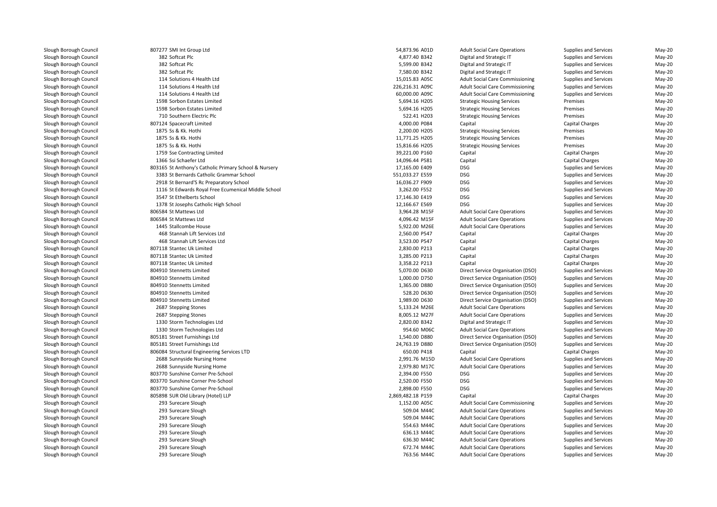807277 SMI Int Group Ltd 54,873.96 A01D382 Softcat Plc 382 Softcat Plc 382 114 Solutions 4 Health Ltd 15,015.83 A05C $114$ 114 Solutions 4 Health Ltd d 226,216.31 A09C  $114$ 114 Solutions 4 Health Ltd 60,000.00 A09C 1598 Sorbon Estates Limited 1598 Sorbon Estates Limited710 Southern Electric Plc 807124 Spacecraft Limited1875 Ss & Kk Hothi 1875 Ss & Kk. Hothi 1875 Ss & Kk. Hothi 1759 Sse Contracting Limited 1366 Ssi Schaefer Ltd1 17,165.00 E409 BSG 316 St Anthony's Catholic Primary School & Nursery 17,165.00 E409 BSG 3383 St Bernards Catholic Grammar School 551,033.27 E559 DSG 2918 St Bernard'S Rc Preparatory School 16,036.27 F909 DSG 1116 St Edwards Royal Free Ecumenical Middle School 3,262.00 F552 DSG 3547 St Ethelberts School 17,146.30 E419 DSG 1378 St Josephs Catholic High School 12,166.67 E569 DSG 806584 St Mattews Ltd 806584 St Mattews Ltd1445 Stallcombe House 468468 Stannah Lift Services Ltd 468 Stannah Lift Services Ltd 807118 Stantec Uk Limited 807118 Stantec Uk Limited 807118 Stantec Uk Limited 804910 Stennetts Limited 804910 Stennetts Limited 804910 Stennetts Limited 804910 Stennetts Limited 804910 Stennetts Limited2687 Stepping Stones 2687 Stepping Stones 1330 Storm Technologies Ltd 1330 Storm Technologies Ltd 805181 Street Furnishings Ltd 805181 Street Furnishings Ltd 806084 Structural Engineering Services LTD 2688 Sunnyside Nursing Home 2,991.76 M15D 2688 Sunnyside Nursing Home 2,979.80 M17C 803770 Sunshine Corner Pre-School 2,394.00 F550 DSG 803770 Sunshine Corner Pre-School 2,520.00 F550 DSG 803770 Sunshine Corner Pre-School 2,898.00 F550 DSG 805898 SUR Old Library (Hotel) LLP 293 Surecare Sloughh 1,152.00 A05C 293 Surecare Sloughh 509.04 M44C 293 Surecare Sloughh 509.04 M44C 293 Surecare Sloughh 554.63 M44C 293 Surecare Sloughh 636.13 M44C 293 Surecare Sloughh **636.30 M44C**  293 Surecare Sloughh 672.74 M44C 293 Surecare Slough

| Ltd                              | 54,873.96 A01D    |
|----------------------------------|-------------------|
|                                  | 4,877.40 B342     |
|                                  | 5,599.00 B342     |
|                                  | 7,580.00 B342     |
| alth Ltd                         | 15,015.83 A05C    |
| alth Ltd                         | 226,216.31 A09C   |
| alth Ltd                         | 60,000.00 A09C    |
| Limited                          | 5,694.16 H205     |
| Limited                          | 5,694.16 H205     |
| ric Plc                          | 522.41 H203       |
| ited                             | 4,000.00 P084     |
|                                  | 2,200.00 H205     |
|                                  | 11,771.25 H205    |
|                                  | 15,816.66 H205    |
| ξ Limited                        | 39,221.00 P160    |
| ı                                | 14,096.44 P581    |
| atholic Primary School & Nursery | 17,165.00 E409    |
|                                  |                   |
| tholic Grammar School            | 551,033.27 E559   |
| Preparatory School               | 16,036.27 F909    |
| al Free Ecumenical Middle School | 3,262.00 F552     |
| chool                            | 17,146.30 E419    |
| nolic High School                | 12,166.67 E569    |
|                                  | 3,964.28 M15F     |
|                                  | 4,096.42 M15F     |
| use                              | 5,922.00 M26E     |
| rvices Ltd                       | 2,560.00 P547     |
| rvices Ltd                       | 3,523.00 P547     |
| ited                             | 2,830.00 P213     |
| ited                             | 3,285.00 P213     |
| ited                             | 3,358.22 P213     |
| ed                               | 5,070.00 D630     |
| ed                               | 1,000.00 D750     |
| ed                               | 1,365.00 D880     |
| ed                               | 528.20 D630       |
| ed                               | 1,989.00 D630     |
| 'S                               | 5,133.24 M26E     |
| 'S                               | 8,005.12 M27F     |
| ogies Ltd                        | 2,820.00 B342     |
| ogies Ltd                        | 954.60 M06C       |
| ngs Ltd                          | 1,540.00 D880     |
| ngs Ltd                          | 24,763.19 D880    |
| neering Services LTD             | 650.00 P418       |
| sing Home                        | 2,991.76 M15D     |
| sing Home                        | 2,979.80 M17C     |
| er Pre-School                    | 2,394.00 F550     |
| er Pre-School                    | 2,520.00 F550     |
| er Pre-School                    | 2,898.00 F550     |
| / (Hotel) LLP                    | 2,869,482.18 P159 |
| h                                | 1,152.00 A05C     |
| h                                | 509.04 M44C       |
| h                                | 509.04 M44C       |
| h                                | 554.63 M44C       |
| h                                | 636.13 M44C       |
| h                                | 636.30 M44C       |
| h                                | 672.74 M44C       |
| h                                | 763.56 M44C       |
|                                  |                   |

Adult Social Care Operations

Adult Social Care Operations Supplies and Services May-20<br>
Digital and Strategic IT Supplies and Services May-20 2 Softcat Plc 4,877.40 B342 Digital and Strategic IT Supplies and Services May-20 Softcat Plc 5,599.00 B342 Digital and Strategic IT Supplies and Services May-20 Softcat Plc 7,580.00 B342 Digital and Strategic IT Supplies and Services May-20 Adult Social Care Commissioning Supplies and Services May-20<br>Adult Social Care Commissioning Supplies and Services May-20 Adult Social Care Commissioning Supplies and Services May-20<br>Adult Social Care Commissioning Supplies and Services May-20 Adult Social Care Commissioning Supplies and Services May-20<br>Strategic Housing Services Premises Premises May-20 d entity and the Superior Strategic Housing Services of Premises Premises May-20 May-20 d entity and the Superior Strategic Housing Services of Premises Premises May-20 May-20 O Southern Electric Plc 522.41 H203 Strategic Housing Services Premises Premises Premises May-20 4,000.00 P084 Capital Capital Charges May-20 S Ss & Kk. Hothi 2,200.00 H205 Strategic Housing Services Premises Premises Premises May-20 S Ss & Kk. Hothi 11,771.25 H205 Strategic Housing Services Premises Premises May-20 SSS & Kk. Hothi 15,816.66 H205 Strategic Housing Services Premises Premises May-20 39,221.00 P160 Capital Capital Charges May-20 14,096.44 P581 Capital Capital Charges May-20 DSG DES DES Supplies and Services May-20 May-20<br>Conservative Supplies and Services May-20 Supplies and Services May-20 DSG DES DES Supplies and Services May-20<br>
DSG DES Supplies and Services May-20 Supplies and Services May-20 DSG DES DES Supplies and Services May-20 May-20<br>Conservative Supplies and Services May-20 DSG DSG Supplies and Services May-20 May-20<br>Adult Social Care Operations Supplies and Services May-20 d extending the state of the S,964.28 M15F Adult Social Care Operations Supplies and Services May-20 d extending the 4,096.42 M15F Adult Social Care Operations Supplies and Services May-20 Stallcombe House 5,922.00 M26E Adult Social Care Operations Supplies and Services May-20 2,560.00 P547 Capital Capital Charges May-20 3,523.00 P547 Capital Capital Charges May-20 2,830.00 P213 Capital Capital Charges May-20 3,285.00 P213 Capital Capital Charges May-20 3,358.22 P213 Capital Capital Charges May-20 Supplies and Service Service Organisation (DSO) Supplies and Services May-20<br>
Direct Service Organisation (DSO) Supplies and Services May-20 Direct Service Organisation (DSO) Supplies and Services May-20<br>
Direct Service Organisation (DSO) Supplies and Services May-20 Direct Service Organisation (DSO) Supplies and Services May-20<br>
Direct Service Organisation (DSO) Supplies and Services May-20 Direct Service Organisation (DSO) Supplies and Services May-20<br>
Direct Service Organisation (DSO) Supplies and Services May-20 1,999.00 Direct Service Organisation (DSO) Supplies and Services May-20<br>1,999.00 Adult Social Care Operations Supplies and Services May-20 7 Stepping Stones **5,133.24 M26E** Adult Social Care Operations Supplies and Services May-20 Stepping Stones 8,005.12 M27F Adult Social Care Operations Supplies and Services May-20 d Charlotter Charlotter and Strategic IT All and Strategic IT Supplies and Services May-20 and Services May-20 Adult Social Care Operations Supplies and Services May-20<br>
Direct Service Organisation (DSO) Supplies and Services May-20 Direct Service Organisation (DSO) Supplies and Services May-20<br>1.540 Direct Service Organisation (DSO) Supplies and Services May-20 24,20 Direct Service Organisation (DSO) Supplies and Services May-20<br>Capital Charges Capital Charges May-20 650.00 P418 Capital Capital Charges May-20 Adult Social Care Operations Supplies and Services May-20<br>Adult Social Care Operations Supplies and Services May-20 Adult Social Care Operations Supplies and Services May-20<br>DSG Supplies and Services May-20 DSG DES DES Supplies and Services May-20<br>
DSG DES Supplies and Services May-20 DSG DES DES Supplies and Services May-20 May-20<br>Conservative Supplies and Services May-20 Supplies and Services May-20 2,869,482.18 P159 Capital Capital Charges May-20 Adult Social Care Commissioning Supplies and Services May-20<br>Adult Social Care Operations Supplies and Services May-20 Adult Social Care Operations Supplies and Services May-20<br>Adult Social Care Operations Supplies and Services May-20 Adult Social Care Operations Supplies and Services May-20<br>Adult Social Care Operations Supplies and Services May-20 Adult Social Care Operations Supplies and Services May-20<br>Adult Social Care Operations Supplies and Services May-20 Adult Social Care Operations Supplies and Services May-20<br>Adult Social Care Operations Supplies and Services May-20 Adult Social Care Operations Supplies and Services May-20<br>Adult Social Care Operations Supplies and Services May-20 Adult Social Care Operations Supplies and Services May-20<br>Adult Social Care Operations Supplies and Services May-20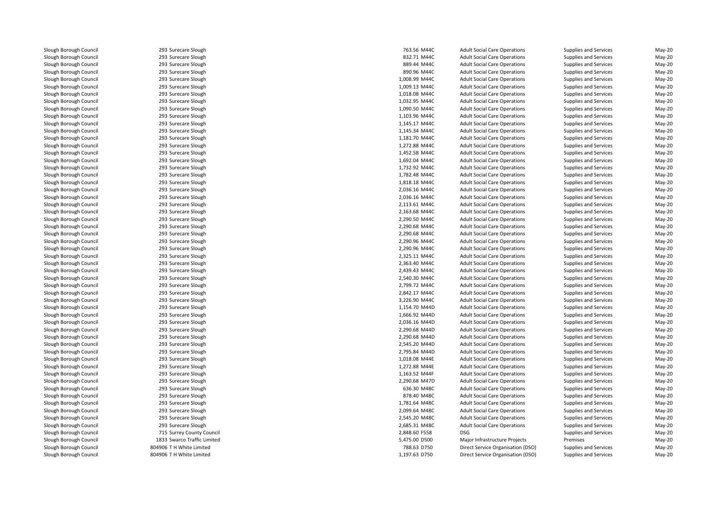293 Surecare Slough 293 Surecare Slough 293 Surecare Slough 293 Surecare Slough 293 Surecare Slough 293 Surecare Slough 293 Surecare Slough 293 Surecare Slough 293 Surecare Slough 293 Surecare Slough 293 Surecare Slough 293 Surecare Slough 293 Surecare Slough 293 Surecare Slough 293 Surecare Slough 293 Surecare Slough 293 Surecare Slough 293 Surecare Slough 293 Surecare Slough 293 Surecare Slough 293 Surecare Slough 293 Surecare Slough 293 Surecare Slough 293 Surecare Slough 293 Surecare Slough 293 Surecare Slough 293 Surecare Slough 293 Surecare Slough 293 Surecare Slough 293 Surecare Slough 293 Surecare Slough 293 Surecare Slough 293 Surecare Slough 293 Surecare Slough 293 Surecare Slough 293 Surecare Slough 293 Surecare Slough 293 Surecare Slough 293 Surecare Slough 293 Surecare Slough 293 Surecare Slough 293 Surecare Slough 293 Surecare Slough 293 Surecare Slough 293293 Surecare Slough 293 Surecare Slough 293 Surecare Slough 293 Surecare Slough 293 Surecare Slough 293 Surecare Slough 293 Surecare Slough 293 Surecare Slough 715 Surrey County Council 2,848.60 F558 DSG 1833 Swarco Traffic Limited 804906 T H White Limited804906 T H White Limited

|         | 763.56 M44C   | <b>Adult Social Care Operations</b> | Supplies and Services | May-20   |
|---------|---------------|-------------------------------------|-----------------------|----------|
|         | 832.71 M44C   | <b>Adult Social Care Operations</b> | Supplies and Services | May-20   |
|         | 889.44 M44C   | <b>Adult Social Care Operations</b> | Supplies and Services | May-20   |
|         | 890.96 M44C   | <b>Adult Social Care Operations</b> | Supplies and Services | May-20   |
|         | 1,008.99 M44C | <b>Adult Social Care Operations</b> | Supplies and Services | May-20   |
|         | 1,009.13 M44C | <b>Adult Social Care Operations</b> | Supplies and Services | May-20   |
|         | 1,018.08 M44C | <b>Adult Social Care Operations</b> | Supplies and Services | May-20   |
|         | 1,032.95 M44C | <b>Adult Social Care Operations</b> | Supplies and Services | May-20   |
|         | 1,090.50 M44C | <b>Adult Social Care Operations</b> | Supplies and Services | May-20   |
|         | 1,103.96 M44C | <b>Adult Social Care Operations</b> | Supplies and Services | May-20   |
|         | 1,145.17 M44C | <b>Adult Social Care Operations</b> | Supplies and Services | May-20   |
|         | 1,145.34 M44C | <b>Adult Social Care Operations</b> | Supplies and Services | May-20   |
|         | 1,181.70 M44C | <b>Adult Social Care Operations</b> | Supplies and Services | May-20   |
|         | 1,272.88 M44C | <b>Adult Social Care Operations</b> | Supplies and Services | May-20   |
|         | 1,452.58 M44C | <b>Adult Social Care Operations</b> | Supplies and Services | May-20   |
|         | 1,692.04 M44C | <b>Adult Social Care Operations</b> | Supplies and Services | May-20   |
|         | 1,732.92 M44C | <b>Adult Social Care Operations</b> | Supplies and Services | May-20   |
|         | 1,782.48 M44C | <b>Adult Social Care Operations</b> | Supplies and Services | May-20   |
|         | 1,818.18 M44C | <b>Adult Social Care Operations</b> | Supplies and Services | May-20   |
|         | 2,036.16 M44C | <b>Adult Social Care Operations</b> | Supplies and Services | May-20   |
|         | 2,036.16 M44C | <b>Adult Social Care Operations</b> | Supplies and Services | May-20   |
|         | 2,113.61 M44C | <b>Adult Social Care Operations</b> | Supplies and Services | May-20   |
|         | 2,163.68 M44C | <b>Adult Social Care Operations</b> | Supplies and Services | May-20   |
|         | 2,290.50 M44C | <b>Adult Social Care Operations</b> | Supplies and Services | May-20   |
|         | 2,290.68 M44C | <b>Adult Social Care Operations</b> | Supplies and Services | May-20   |
|         | 2,290.68 M44C | <b>Adult Social Care Operations</b> | Supplies and Services | May-20   |
|         | 2,290.96 M44C | <b>Adult Social Care Operations</b> | Supplies and Services | May-20   |
|         | 2,290.96 M44C | <b>Adult Social Care Operations</b> | Supplies and Services | May-20   |
|         | 2,325.11 M44C | <b>Adult Social Care Operations</b> | Supplies and Services | May-20   |
|         | 2,363.40 M44C | <b>Adult Social Care Operations</b> | Supplies and Services | $May-20$ |
|         | 2,439.43 M44C | <b>Adult Social Care Operations</b> | Supplies and Services | May-20   |
|         | 2,540.30 M44C | <b>Adult Social Care Operations</b> | Supplies and Services | May-20   |
|         | 2,799.72 M44C | <b>Adult Social Care Operations</b> | Supplies and Services | May-20   |
|         | 2,842.17 M44C | <b>Adult Social Care Operations</b> | Supplies and Services | May-20   |
|         | 3,226.90 M44C | <b>Adult Social Care Operations</b> | Supplies and Services | May-20   |
|         | 1,154.70 M44D | <b>Adult Social Care Operations</b> | Supplies and Services | May-20   |
|         | 1,666.92 M44D | <b>Adult Social Care Operations</b> | Supplies and Services | May-20   |
|         | 2,036.16 M44D | <b>Adult Social Care Operations</b> | Supplies and Services | May-20   |
|         | 2,290.68 M44D | <b>Adult Social Care Operations</b> | Supplies and Services | May-20   |
|         | 2,290.68 M44D | <b>Adult Social Care Operations</b> | Supplies and Services | May-20   |
|         |               |                                     |                       | May-20   |
|         | 2,545.20 M44D | <b>Adult Social Care Operations</b> | Supplies and Services | May-20   |
|         | 2,795.84 M44D | <b>Adult Social Care Operations</b> | Supplies and Services |          |
|         | 1,018.08 M44E | <b>Adult Social Care Operations</b> | Supplies and Services | May-20   |
|         | 1,272.88 M44E | <b>Adult Social Care Operations</b> | Supplies and Services | May-20   |
|         | 1,163.52 M44F | <b>Adult Social Care Operations</b> | Supplies and Services | May-20   |
|         | 2,290.68 M47D | <b>Adult Social Care Operations</b> | Supplies and Services | May-20   |
|         | 636.30 M48C   | <b>Adult Social Care Operations</b> | Supplies and Services | May-20   |
|         | 878.40 M48C   | <b>Adult Social Care Operations</b> | Supplies and Services | May-20   |
|         | 1,781.64 M48C | <b>Adult Social Care Operations</b> | Supplies and Services | May-20   |
|         | 2,099.64 M48C | <b>Adult Social Care Operations</b> | Supplies and Services | May-20   |
|         | 2,545.20 M48C | <b>Adult Social Care Operations</b> | Supplies and Services | May-20   |
|         | 2,685.31 M48C | <b>Adult Social Care Operations</b> | Supplies and Services | May-20   |
| Council | 2,848.60 F558 | <b>DSG</b>                          | Supplies and Services | May-20   |
| Limited | 5,475.00 D500 | Major Infrastructure Projects       | Premises              | May-20   |
| ted     | 788.63 D750   | Direct Service Organisation (DSO)   | Supplies and Services | May-20   |
| ted     | 1,197.63 D750 | Direct Service Organisation (DSO)   | Supplies and Services | May-20   |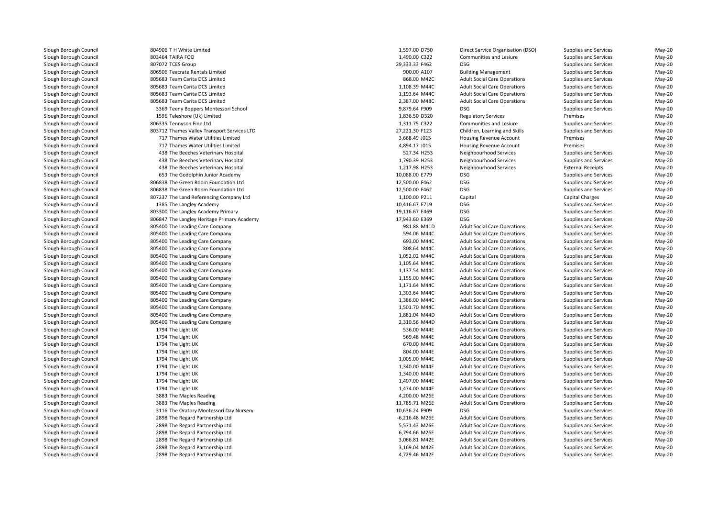804906 T H White Limited 803464 TAIRA FOO 807072 TCES Groupp 29,333.33 F462 DSG 806506 Teacrate Rentals Limited 805683 Team Carita DCS Limitedd 868.00 M42C 805683 Team Carita DCS Limitedd  $1,108.39$  M44C 805683 Team Carita DCS Limitedd 1,193.64 M44C 805683 Team Carita DCS Limited 2,387.00 M48C 3369 Teeny Boppers Montessori School 9,879.64 F909 DSG 1596 Teleshore (Uk) Limited 806335 Tennyson Finn Ltd 803712 Thames Valley Transport Services LTD 717 Thames Water Utilities Limited 717 Thames Water Utilities Limited 438438 The Beeches Veterinary Hospital 1 10,088.00 E779 DSG و 653 The Godolphin Junior Academy 10,088.00 E779 DSG 806838 The Green Room Foundation Ltd 806838 The Green Room Foundation Ltd 807237 The Land Referencing Company Ltd1385 The Langley Academy 10,416.67 E719 DSG l 19,116.67 E469 DSG و 803300 The Langley Academy Primary 19,116.67 E469 DSG و 90.116.67 E469 DSG و 90.116.67 E469 DSG و 90.116.67 E469 DSG و 91.116.67 E469 DSG و 91.116.67 E469 DSG و 91.116.67 E469 DSG و 91.116.17 E469 DS 1 17,943.60 E369 DSG و806847 The Langley Heritage Primary Academy 17,943.60 E369 DSG **1** 805400 The Leading Care Company **120 and 20 and 20 and 20 and 20 and 30 and 30 and 30 and 30 and 30 and 30 and 30 and 30 and 30 and 30 and 30 and 30 and 30 and 30 and 30 and 30 and 30 and 30 and 30 and 30 and 30 and 30** l 594.06 M44C 805400 The Leading Care Company 594.06 M44C 594.06 M44C 594.06 M44C and the Usam of the Leading Care Company 693.00 M44C and the Second Leading Care Company 693.00 M44C and the S 805400 The Leading Care Company 808.64 M44C Number 2008.64 M44C Number 2008.64 M44C and the USD 305400 The Leading Care Company 1,052.02 M44C and the Second 1,052.02 M44C and the Second 1,052.02 M44C and the USD 305400 The Leading Care Company 1,105.64 M44C and the Second 1,105.64 M44C and the Second 1,105.64 M44C and the USD S05400 The Leading Care Company 1,137.54 M44C November 2014 1,137.54 M44C No. 1,137.54 M44C and the USD 305400 The Leading Care Company 1,155.00 M44C and the USD 30 M44C and the USD 30 M44C and the USD 30 M44C and the USD 30 M44C and the USD 30 M44C and the USD 30 M44C and the USD 30 M44C and the USD 30 M44C and and the USO Section of the Leading Care Company 1,171.64 M44C and the Section of the Section of the Section of the Section of the Section of the Section of the Section of the Section of the Section of the Section of the Se and the USD 305400 The Leading Care Company 1,303.64 M44C and the Second 1,303.64 M44C and the Second 1,303.64 M44C and the USD 305400 The Leading Care Company 1,386.00 M44C and the USD 306 M44C and the SOS 31,386.00 M44C and the SOS 31,386.00 M44C and the SOS 31,386.00 M44C and the SOS 31,386.00 M44C and the SOS 31,386.00 M44C and the and the South of the Leading Care Company 1,501.70 M44C and the South of the South of the South of the South of the South of the South of the South of the South of the South of the South of the South of the South of the So 1 and 1,881.04 M44D 805400 The Leading Care Company 1,881.04 M44D 1,881.04 M44D 805400 The Leading Care Company 2,310.56 M44D 1794 The Light UK 1794 The Light UK 1794 The Light UK 1794 The Light UK 1794 The Light UK 1794 The Light UK 1794 The Light UK 1794 The Light UK 1794 The Light UK3883 The Maples Reading 3883 The Maples Reading 1 53116 The Oratory Montessori Day Nursery 10,636.24 F909 DSG 2898 The Regard Partnership Ltd 2898 The Regard Partnership Ltd 2898 The Regard Partnership Ltd 2898 The Regard Partnership Ltd 2898 The Regard Partnership Ltd2898 The Regard Partnership Ltd

|               | 1,597.00 D750  | Direct Serv        |
|---------------|----------------|--------------------|
|               | 1,490.00 C322  | Communit           |
|               | 29,333.33 F462 | DSG                |
|               | 900.00 A107    | <b>Building M</b>  |
|               | 868.00 M42C    | <b>Adult Socia</b> |
|               | 1,108.39 M44C  | <b>Adult Socia</b> |
|               | 1,193.64 M44C  | <b>Adult Socia</b> |
|               | 2,387.00 M48C  | <b>Adult Socia</b> |
| Jol           | 9,879.64 F909  | <b>DSG</b>         |
|               | 1,836.50 D320  | Regulatory         |
|               | 1,311.75 C322  | Communit           |
| es LTD        | 27,221.30 F123 | Children, L        |
|               | 3,668.49 J015  | Housing Re         |
|               | 4,894.17 J015  | Housing Re         |
| ıl            | 527.34 H253    | Neighbour          |
| ıl            | 1,790.39 H253  | Neighbour          |
| ıl            | 1,217.98 H253  | Neighbour          |
|               | 10,088.00 E779 | <b>DSG</b>         |
| d             | 12,500.00 F462 | DSG                |
| d             | 12,500.00 F462 | <b>DSG</b>         |
| Ltd           | 1,100.00 P211  | Capital            |
|               | 10,416.67 E719 | DSG                |
|               | 19,116.67 E469 | DSG                |
| cademy        | 17,943.60 E369 | <b>DSG</b>         |
|               | 981.88 M41D    | <b>Adult Socia</b> |
|               | 594.06 M44C    | <b>Adult Socia</b> |
|               | 693.00 M44C    | <b>Adult Socia</b> |
|               | 808.64 M44C    | <b>Adult Socia</b> |
|               | 1,052.02 M44C  | <b>Adult Socia</b> |
|               | 1,105.64 M44C  | <b>Adult Socia</b> |
|               | 1,137.54 M44C  | <b>Adult Socia</b> |
|               | 1,155.00 M44C  | <b>Adult Socia</b> |
|               | 1,171.64 M44C  | <b>Adult Socia</b> |
|               | 1,303.64 M44C  | <b>Adult Socia</b> |
|               | 1,386.00 M44C  | <b>Adult Socia</b> |
|               | 1,501.70 M44C  | <b>Adult Socia</b> |
|               | 1,881.04 M44D  | <b>Adult Socia</b> |
|               | 2,310.56 M44D  | <b>Adult Socia</b> |
|               | 536.00 M44E    | <b>Adult Socia</b> |
|               | 569.48 M44E    | <b>Adult Socia</b> |
|               | 670.00 M44E    | <b>Adult Socia</b> |
|               | 804.00 M44E    | <b>Adult Socia</b> |
|               | 1,005.00 M44E  | <b>Adult Socia</b> |
|               | 1,340.00 M44E  | <b>Adult Socia</b> |
|               | 1,340.00 M44E  | <b>Adult Socia</b> |
|               | 1,407.00 M44E  | <b>Adult Socia</b> |
|               | 1,474.00 M44E  | <b>Adult Socia</b> |
|               | 4,200.00 M26E  | <b>Adult Socia</b> |
|               | 11,785.71 M26E | <b>Adult Socia</b> |
| <b>irsery</b> | 10,636.24 F909 | <b>DSG</b>         |
|               | -6,216.48 M26E | <b>Adult Socia</b> |
|               | 5,571.43 M26E  | <b>Adult Socia</b> |
|               | 6,794.66 M26E  | <b>Adult Socia</b> |
|               | 3,066.81 M42E  | <b>Adult Socia</b> |
|               | 3,169.04 M42E  | <b>Adult Socia</b> |
|               | 4 729 46 MA2E  | Adult Socia        |
|               |                |                    |

 1,597.00 D750 Direct Service Organisation (DSO) Supplies and Services May-20 O **1,490.00 C322** Communities and Lesiure Supplies and Services May-20 Supplies and Services and Services May-20<br>19-yellanagement May-20 Supplies and Services 900.00 A107 Building Management Supplies and Services May-20 al Care Operations **Supplies and Services** May-20<br>
Supplies and Services May-20 al Care Operations **Adults Supplies and Services May-20**<br>A Supplies and Services May-20 al Care Operations **Supplies and Services** May-20<br>A Care Operations Supplies and Services May-20 Supplies and Services<br>
Supplies and Services<br>
May-20 Supplies and Services May-20<br>Services May-20<br>May-20 May-20 1,836.50 D320 Regulatory Services Premises May-20 d extending the state of 1,311.75 C322 communities and Lesiure Supplies and Services May-20 27,221.30 F123 Children, Learning and Skills Supplies and Services May-20 d by the same of the set of the set of the set of the set of the set of the set of the set of the set of the set of the set of the set of the set of the set of the set of the set of the set of the set of the set of the set d by the match of the 4,894.17 J015 Housing Revenue Account Remises Premises Premises May-20 8 The Beeches Veterinary Hospital Supplies and Services May-20 Neighbourhood Services Supplies and Services May-20 1 A38 The Beeches Veterinary Hospital 1,790.39 H253 Neighbourhood Services Supplies and Services May-20 8 The Beeches Veterinary Hospital 1,217.98 H253 Neighbourhood Services External Receipts External Receipts May-20 Supplies and Services<br>
Supplies and Services<br>
May-20 Supplies and Services<br>
Supplies and Services<br>
May-20 Supplies and Services May-20<br>
Capital Charges May-20 1,100.00 P211 Capital Capital Charges May-20 Supplies and Services<br>
Supplies and Services<br>
May-20 Supplies and Services<br>
Supplies and Services<br>
May-20 Supplies and Services May-20<br>al Care Operations Supplies and Services May-20 al Care Operations **Advisors** Supplies and Services **May-20**<br>A Care Operations **Supplies and Services** May-20 al Care Operations **Supplies and Services** May-20<br>
Supplies and Services May-20 al Care Operations **Adults Supplies and Services May-20**<br>A Supplies and Services May-20 ial Care Operations **Adults Supplies and Services May-20**<br>A Supplies and Services May-20 May-20 al Care Operations **Adults Supplies and Services May-20**<br>A Supplies and Services May-20 al Care Operations **Adicates Supplies and Services** May-20<br>A Care Operations Supplies and Services May-20 Supplies and Services<br>
Supplies and Services<br>
May-20 al Care Operations **Supplies and Services** May-20<br>
Supplies and Services May-20 al Care Operations **Supplies and Services** May-20<br>
al Care Operations Supplies and Services May-20 al Care Operations **Supplies and Services** May-20<br>
Supplies and Services May-20 al Care Operations **Adults Supplies and Services May-20**<br>A Supplies and Services May-20 ial Care Operations **Advisors** Supplies and Services **May-20**<br>A Care Operations Supplies and Services May-20 al Care Operations **Supplies and Services** May-20<br>
Supplies and Services May-20 al Care Operations **Adults Supplies and Services May-20**<br>A Supplies and Services May-20 K S36.00 M44E Adult Social Care Operations Supplies and Services May-20 K SESTER ADULT SO A SECULAR MARE ADULT SOCIAL CARE ADULT SOCIAL CARE ADULT SUPPLIES AND SUPPLIES AND SUPPLIES AND SUPPLIES AND SUPPLIES AND SUPPLIES AND SUPPLIES AND SUPPLIES AND SUPPLIES AND SUPPLIES AND SUPPLIES AND SUPP K Shape Controller May-20 Conserved Conserved Care Conserved Care Conserved Care Operations Supplies and Services May-20 May-20 804.00 M44E Adult Social Care Operations Supplies and Services May-20 1,005.00 M44E Adult Social Care Operations Supplies and Services May-20 1,340.00 M44E Adult Social Care Operations Supplies and Services May-20 1,340.00 M44E Adult Social Care Operations Supplies and Services May-20 1,407.00 M44E Adult Social Care Operations Supplies and Services May-20 1,474.00 M44E Adult Social Care Operations Supplies and Services May-20 3 The Maples Reading **1988 Contract Care Contract Care Contract Care Contract Care Contract Care Contract Care Contract Care Operations Supplies and Services May-20 (May-20)** 3 The Maples Reading 11,785.71 M26E Adult Social Care Operations Supplies and Services May-20 Supplies and Services May-20<br>al Care Operations Supplies and Services May-20 d extending the G,216.48 M26E Adult Social Care Operations Supplies and Services May-20 d extending the S,571.43 M26E Adult Social Care Operations Supplies and Services May-20 d extending the G,794.66 M26E Adult Social Care Operations Supplies and Services May-20 d and Services and Services Care Adult Social Care Operations Capplies and Services May-20 d extending the S,169.04 M42E Adult Social Care Operations Supplies and Services May-20 d extending the 4,729.46 M42E Adult Social Care Operations Supplies and Services May-20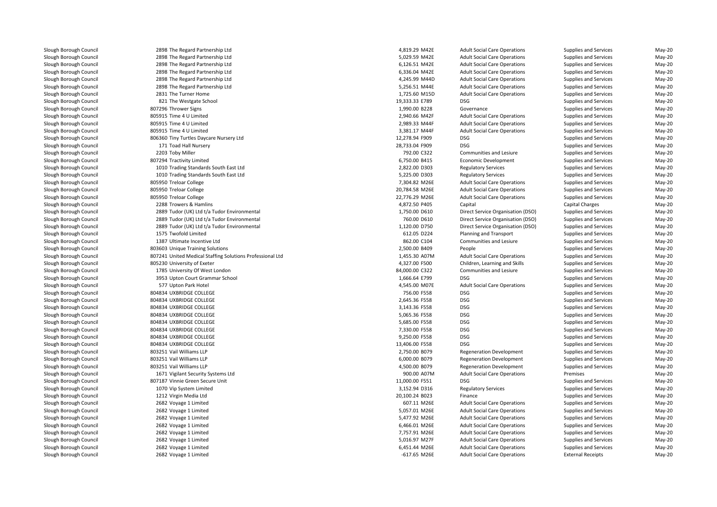| 2898 The Regard Partnership Ltd                           | 4,819.29 M42E  | <b>Adult Social Care Operations</b> | Supplies and Services    | May-20   |
|-----------------------------------------------------------|----------------|-------------------------------------|--------------------------|----------|
| 2898 The Regard Partnership Ltd                           | 5,029.59 M42E  | <b>Adult Social Care Operations</b> | Supplies and Services    | May-20   |
| 2898 The Regard Partnership Ltd                           | 6,126.51 M42E  | <b>Adult Social Care Operations</b> | Supplies and Services    | $May-20$ |
| 2898 The Regard Partnership Ltd                           | 6,336.04 M42E  | <b>Adult Social Care Operations</b> | Supplies and Services    | $May-20$ |
| 2898 The Regard Partnership Ltd                           | 4,245.99 M44D  | <b>Adult Social Care Operations</b> | Supplies and Services    | $May-20$ |
| 2898 The Regard Partnership Ltd                           | 5,256.51 M44E  | <b>Adult Social Care Operations</b> | Supplies and Services    | May-20   |
| 2831 The Turner Home                                      | 1,725.60 M15D  | <b>Adult Social Care Operations</b> | Supplies and Services    | May-20   |
| 821 The Westgate School                                   | 19,333.33 E789 | <b>DSG</b>                          | Supplies and Services    | $May-20$ |
| 807296 Thrower Signs                                      | 1,990.00 B228  | Governance                          | Supplies and Services    | $May-20$ |
| 805915 Time 4 U Limited                                   | 2,940.66 M42F  | <b>Adult Social Care Operations</b> | Supplies and Services    | May-20   |
| 805915 Time 4 U Limited                                   | 2,989.33 M44F  | <b>Adult Social Care Operations</b> | Supplies and Services    | $May-20$ |
| 805915 Time 4 U Limited                                   | 3,381.17 M44F  | <b>Adult Social Care Operations</b> | Supplies and Services    | $May-20$ |
| 806360 Tiny Turtles Daycare Nursery Ltd                   | 12,278.94 F909 | <b>DSG</b>                          | Supplies and Services    | May-20   |
| 171 Toad Hall Nursery                                     | 28,733.04 F909 | <b>DSG</b>                          | Supplies and Services    | $May-20$ |
| 2203 Toby Miller                                          | 792.00 C322    | Communities and Lesiure             | Supplies and Services    | $May-20$ |
| 807294 Tractivity Limited                                 | 6,750.00 B415  | Economic Development                | Supplies and Services    | $May-20$ |
| 1010 Trading Standards South East Ltd                     | 2,822.00 D303  | <b>Regulatory Services</b>          | Supplies and Services    | $May-20$ |
| 1010 Trading Standards South East Ltd                     | 5,225.00 D303  | <b>Regulatory Services</b>          | Supplies and Services    | $May-20$ |
| 805950 Treloar College                                    | 7,304.82 M26E  | <b>Adult Social Care Operations</b> | Supplies and Services    | $May-20$ |
| 805950 Treloar College                                    | 20,784.58 M26E | <b>Adult Social Care Operations</b> | Supplies and Services    | May-20   |
| 805950 Treloar College                                    | 22,776.29 M26E | <b>Adult Social Care Operations</b> | Supplies and Services    | $May-20$ |
| 2288 Trowers & Hamlins                                    | 4,872.50 P405  | Capital                             | Capital Charges          | $May-20$ |
| 2889 Tudor (UK) Ltd t/a Tudor Environmental               | 1,750.00 D610  | Direct Service Organisation (DSO)   | Supplies and Services    | May-20   |
| 2889 Tudor (UK) Ltd t/a Tudor Environmental               | 760.00 D610    | Direct Service Organisation (DSO)   | Supplies and Services    | $May-20$ |
| 2889 Tudor (UK) Ltd t/a Tudor Environmental               | 1,120.00 D750  | Direct Service Organisation (DSO)   | Supplies and Services    | $May-20$ |
| 1575 Twofold Limited                                      | 612.05 D224    | Planning and Transport              | Supplies and Services    | May-20   |
| 1387 Ultimate Incentive Ltd                               | 862.00 C104    | Communities and Lesiure             | Supplies and Services    | $May-20$ |
| 803603 Unique Training Solutions                          | 2,500.00 B409  | People                              | Supplies and Services    | $May-20$ |
| 807241 United Medical Staffing Solutions Professional Ltd | 1,455.30 A07M  | <b>Adult Social Care Operations</b> | Supplies and Services    | $May-20$ |
| 805230 University of Exeter                               | 4,327.00 F500  | Children, Learning and Skills       | Supplies and Services    | May-20   |
| 1785 University Of West London                            | 84,000.00 C322 | Communities and Lesiure             | Supplies and Services    | $May-20$ |
| 3953 Upton Court Grammar School                           | 1,666.64 E799  | <b>DSG</b>                          | Supplies and Services    | $May-20$ |
| 577 Upton Park Hotel                                      | 4,545.00 M07E  | <b>Adult Social Care Operations</b> | Supplies and Services    | $May-20$ |
| 804834 UXBRIDGE COLLEGE                                   | 756.00 F558    | <b>DSG</b>                          | Supplies and Services    | May-20   |
| 804834 UXBRIDGE COLLEGE                                   | 2,645.36 F558  | <b>DSG</b>                          | Supplies and Services    | $May-20$ |
| 804834 UXBRIDGE COLLEGE                                   | 3,143.36 F558  | <b>DSG</b>                          | Supplies and Services    | May-20   |
| 804834 UXBRIDGE COLLEGE                                   | 5,065.36 F558  | <b>DSG</b>                          | Supplies and Services    | May-20   |
| 804834 UXBRIDGE COLLEGE                                   | 5,685.00 F558  | <b>DSG</b>                          | Supplies and Services    | $May-20$ |
| 804834 UXBRIDGE COLLEGE                                   | 7,330.00 F558  | <b>DSG</b>                          | Supplies and Services    | $May-20$ |
| 804834 UXBRIDGE COLLEGE                                   | 9,250.00 F558  | <b>DSG</b>                          | Supplies and Services    | $May-20$ |
| 804834 UXBRIDGE COLLEGE                                   | 13,406.00 F558 | <b>DSG</b>                          | Supplies and Services    | $May-20$ |
| 803251 Vail Williams LLP                                  | 2,750.00 B079  | Regeneration Development            | Supplies and Services    | $May-20$ |
| 803251 Vail Williams LLP                                  | 6,000.00 B079  | Regeneration Development            | Supplies and Services    | $May-20$ |
| 803251 Vail Williams LLP                                  | 4,500.00 B079  | <b>Regeneration Development</b>     | Supplies and Services    | May-20   |
| 1671 Vigilant Security Systems Ltd                        | 900.00 A07M    | <b>Adult Social Care Operations</b> | Premises                 | $May-20$ |
| 807187 Vinnie Green Secure Unit                           | 11,000.00 F551 | <b>DSG</b>                          | Supplies and Services    | $May-20$ |
| 1070 Vip System Limited                                   | 3,152.94 D316  | <b>Regulatory Services</b>          | Supplies and Services    | May-20   |
| 1212 Virgin Media Ltd                                     | 20,100.24 B023 | Finance                             | Supplies and Services    | $May-20$ |
| 2682 Voyage 1 Limited                                     | 607.11 M26E    | <b>Adult Social Care Operations</b> | Supplies and Services    | $May-20$ |
| 2682 Voyage 1 Limited                                     | 5,057.01 M26E  | <b>Adult Social Care Operations</b> | Supplies and Services    | May-20   |
| 2682 Voyage 1 Limited                                     | 5,477.92 M26E  | <b>Adult Social Care Operations</b> | Supplies and Services    | $May-20$ |
| 2682 Voyage 1 Limited                                     | 6,466.01 M26E  | <b>Adult Social Care Operations</b> | Supplies and Services    | $May-20$ |
| 2682 Voyage 1 Limited                                     | 7,757.91 M26E  | <b>Adult Social Care Operations</b> | Supplies and Services    | $May-20$ |
| 2682 Voyage 1 Limited                                     | 5,016.97 M27F  | <b>Adult Social Care Operations</b> | Supplies and Services    | May-20   |
| 2682 Voyage 1 Limited                                     | 6,451.44 M26E  | <b>Adult Social Care Operations</b> | Supplies and Services    | May-20   |
| 2682 Voyage 1 Limited                                     | $-617.65$ M26E | <b>Adult Social Care Operations</b> | <b>External Receipts</b> | May-20   |
|                                                           |                |                                     |                          |          |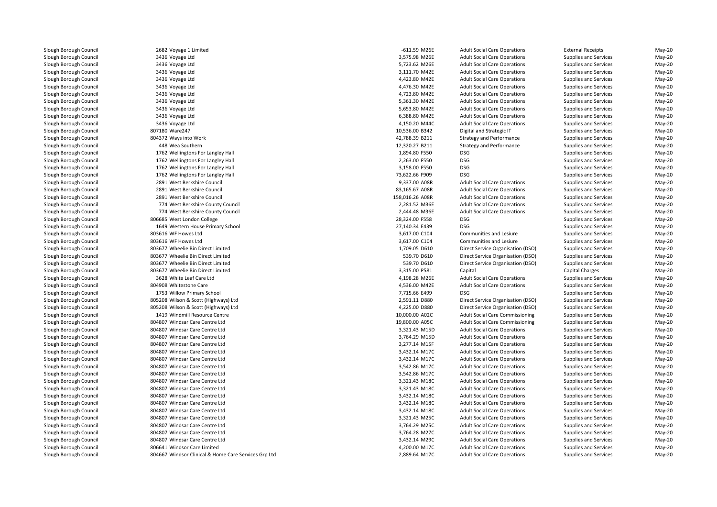| 2682 Voyage 1 Limited                                | -611.59 M26E    | <b>Adult Social Care Operations</b>    | <b>External Receipts</b> | May-20   |
|------------------------------------------------------|-----------------|----------------------------------------|--------------------------|----------|
| 3436 Voyage Ltd                                      | 3,575.98 M26E   | <b>Adult Social Care Operations</b>    | Supplies and Services    | May-20   |
| 3436 Voyage Ltd                                      | 5,723.62 M26E   | <b>Adult Social Care Operations</b>    | Supplies and Services    | May-20   |
| 3436 Voyage Ltd                                      | 3,111.70 M42E   | <b>Adult Social Care Operations</b>    | Supplies and Services    | May-20   |
| 3436 Voyage Ltd                                      | 4,423.80 M42E   | <b>Adult Social Care Operations</b>    | Supplies and Services    | May-20   |
| 3436 Voyage Ltd                                      | 4,476.30 M42E   | <b>Adult Social Care Operations</b>    | Supplies and Services    | May-20   |
| 3436 Voyage Ltd                                      | 4,723.80 M42E   | <b>Adult Social Care Operations</b>    | Supplies and Services    | May-20   |
| 3436 Voyage Ltd                                      | 5,361.30 M42E   | <b>Adult Social Care Operations</b>    | Supplies and Services    | May-20   |
| 3436 Voyage Ltd                                      | 5,653.80 M42E   | <b>Adult Social Care Operations</b>    | Supplies and Services    | May-20   |
| 3436 Voyage Ltd                                      | 6,388.80 M42E   | <b>Adult Social Care Operations</b>    | Supplies and Services    | May-20   |
| 3436 Voyage Ltd                                      | 4,150.20 M44C   | <b>Adult Social Care Operations</b>    | Supplies and Services    | May-20   |
| 807180 Ware247                                       | 10,536.00 B342  | Digital and Strategic IT               | Supplies and Services    | May-20   |
| 804372 Ways into Work                                | 42,788.39 B211  | <b>Strategy and Performance</b>        | Supplies and Services    | May-20   |
| 448 Wea Southern                                     | 12,320.27 B211  | <b>Strategy and Performance</b>        | Supplies and Services    | May-20   |
| 1762 Wellingtons For Langley Hall                    | 1,894.80 F550   | <b>DSG</b>                             | Supplies and Services    | May-20   |
| 1762 Wellingtons For Langley Hall                    | 2,263.00 F550   | <b>DSG</b>                             | Supplies and Services    | May-20   |
| 1762 Wellingtons For Langley Hall                    | 3,158.00 F550   | <b>DSG</b>                             | Supplies and Services    | May-20   |
| 1762 Wellingtons For Langley Hall                    | 73,622.66 F909  | <b>DSG</b>                             | Supplies and Services    | $May-20$ |
| 2891 West Berkshire Council                          | 9,337.00 A08R   | <b>Adult Social Care Operations</b>    | Supplies and Services    | May-20   |
| 2891 West Berkshire Council                          | 83,165.67 A08R  | <b>Adult Social Care Operations</b>    | Supplies and Services    | May-20   |
| 2891 West Berkshire Council                          | 158,016.26 A08R | <b>Adult Social Care Operations</b>    | Supplies and Services    | May-20   |
| 774 West Berkshire County Council                    | 2,281.52 M36E   | <b>Adult Social Care Operations</b>    | Supplies and Services    | May-20   |
| 774 West Berkshire County Council                    | 2,444.48 M36E   | <b>Adult Social Care Operations</b>    | Supplies and Services    | May-20   |
| 806685 West London College                           | 28,324.00 F558  | <b>DSG</b>                             | Supplies and Services    | May-20   |
| 1649 Western House Primary School                    | 27,140.34 E439  | <b>DSG</b>                             | Supplies and Services    | May-20   |
| 803616 WF Howes Ltd                                  | 3,617.00 C104   | Communities and Lesiure                | Supplies and Services    | $May-20$ |
| 803616 WF Howes Ltd                                  | 3,617.00 C104   | Communities and Lesiure                | Supplies and Services    | May-20   |
| 803677 Wheelie Bin Direct Limited                    | 1,709.05 D610   | Direct Service Organisation (DSO)      | Supplies and Services    | May-20   |
| 803677 Wheelie Bin Direct Limited                    | 539.70 D610     | Direct Service Organisation (DSO)      | Supplies and Services    | May-20   |
| 803677 Wheelie Bin Direct Limited                    | 539.70 D610     | Direct Service Organisation (DSO)      | Supplies and Services    | May-20   |
| 803677 Wheelie Bin Direct Limited                    | 3,315.00 P581   | Capital                                | <b>Capital Charges</b>   | May-20   |
| 3628 White Leaf Care Ltd                             | 4,198.28 M26E   | <b>Adult Social Care Operations</b>    | Supplies and Services    | $May-20$ |
| 804908 Whitestone Care                               | 4,536.00 M42E   | <b>Adult Social Care Operations</b>    | Supplies and Services    | May-20   |
| 1753 Willow Primary School                           | 7,715.66 E499   | <b>DSG</b>                             | Supplies and Services    | $May-20$ |
| 805208 Wilson & Scott (Highways) Ltd                 | 2,591.11 D880   | Direct Service Organisation (DSO)      | Supplies and Services    | May-20   |
| 805208 Wilson & Scott (Highways) Ltd                 | 4,225.00 D880   | Direct Service Organisation (DSO)      | Supplies and Services    | $May-20$ |
| 1419 Windmill Resource Centre                        | 10,000.00 A02C  | <b>Adult Social Care Commissioning</b> | Supplies and Services    | May-20   |
| 804807 Windsar Care Centre Ltd                       | 19,800.00 A05C  | <b>Adult Social Care Commissioning</b> | Supplies and Services    | $May-20$ |
| 804807 Windsar Care Centre Ltd                       | 3,321.43 M15D   | <b>Adult Social Care Operations</b>    | Supplies and Services    | May-20   |
| 804807 Windsar Care Centre Ltd                       | 3,764.29 M15D   | <b>Adult Social Care Operations</b>    | Supplies and Services    | May-20   |
| 804807 Windsar Care Centre Ltd                       | 3,277.14 M15F   | <b>Adult Social Care Operations</b>    | Supplies and Services    | May-20   |
| 804807 Windsar Care Centre Ltd                       | 3,432.14 M17C   | <b>Adult Social Care Operations</b>    | Supplies and Services    | $May-20$ |
| 804807 Windsar Care Centre Ltd                       | 3,432.14 M17C   | <b>Adult Social Care Operations</b>    | Supplies and Services    | May-20   |
| 804807 Windsar Care Centre Ltd                       | 3,542.86 M17C   | <b>Adult Social Care Operations</b>    | Supplies and Services    | $May-20$ |
| 804807 Windsar Care Centre Ltd                       | 3,542.86 M17C   | <b>Adult Social Care Operations</b>    | Supplies and Services    | May-20   |
| 804807 Windsar Care Centre Ltd                       | 3,321.43 M18C   | <b>Adult Social Care Operations</b>    | Supplies and Services    | May-20   |
| 804807 Windsar Care Centre Ltd                       | 3,321.43 M18C   | <b>Adult Social Care Operations</b>    | Supplies and Services    | May-20   |
| 804807 Windsar Care Centre Ltd                       | 3,432.14 M18C   | <b>Adult Social Care Operations</b>    | Supplies and Services    | May-20   |
| 804807 Windsar Care Centre Ltd                       | 3,432.14 M18C   | <b>Adult Social Care Operations</b>    | Supplies and Services    | May-20   |
| 804807 Windsar Care Centre Ltd                       | 3,432.14 M18C   | <b>Adult Social Care Operations</b>    | Supplies and Services    | May-20   |
| 804807 Windsar Care Centre Ltd                       | 3,321.43 M25C   | <b>Adult Social Care Operations</b>    | Supplies and Services    | May-20   |
| 804807 Windsar Care Centre Ltd                       | 3,764.29 M25C   | <b>Adult Social Care Operations</b>    | Supplies and Services    | $May-20$ |
| 804807 Windsar Care Centre Ltd                       | 3,764.28 M27C   | <b>Adult Social Care Operations</b>    | Supplies and Services    | May-20   |
| 804807 Windsar Care Centre Ltd                       | 3,432.14 M29C   | <b>Adult Social Care Operations</b>    | Supplies and Services    | May-20   |
| 806641 Windsor Care Limited                          | 4,200.00 M17C   | <b>Adult Social Care Operations</b>    | Supplies and Services    | May-20   |
| 804667 Windsor Clinical & Home Care Services Grp Ltd | 2.889.64 M17C   | <b>Adult Social Care Operations</b>    | Supplies and Services    | $Mav-20$ |